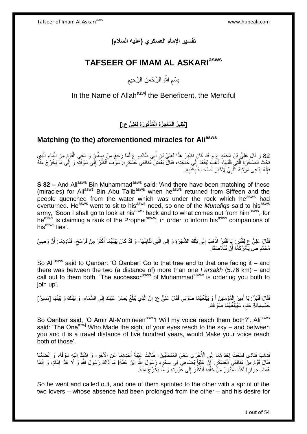**تفسير اإلمام العسكري )عليه السالم(**

# **TAFSEER OF IMAM AL ASKARIasws**

ِ بِسْمِ اللَّهِ الرَّحْمنِ الرَّحِيمِ ِ ِ

In the Name of Allah<sup>azwj</sup> the Beneficent, the Merciful

**ُكو َر ِة لَِعلِ ٍّي ع:[ َمذْ ُم ْع ِج َز ِة الْ ]َن ِظي ُر الْ**

# **Matching (to the) aforementioned miracles for Aliasws**

82 وَ قَالَ عَلِيُّ بِنُ مُحَمَّدٍ ع وَ قَدْ كَانَ نَظِيرُ هَذَا لِعَلِيِّ بْنِ أَبِي طَالِبٍ ع لَمَّا رَجَعَ مِنْ صِغْينٍ وَ سَقَى الْقَوْمَ مِنَ الْمَاءِ الَّذِي ه ْ ْ ِ َ نُحْتَ الصَّخْرَةِ ٱلَّذِي قَلَبَهَا، ذَهَبَ لِيَقْعُدَ إِلَى حَاجَدِهِ، فَقَالَ بَعْضَ مُّنَافِقِي عَسْكَرِهِ. سَوْفَ أَنْظُرُ إِلَى سَوْأَنِيهِ وَ إِلَى مَا يَخْرُجُ مِنْهُ ِ ه ِ َ ِ َ ِ فَإِنَّهُ يَدَّعِي مَرْتَبَةَ النَّبِيِّ لِأَخْبَرَ أَصْحَابَهُ بِكَّذِبِهِ َ ِ ِ ِ ِ

**S 82 –** And Ali<sup>asws</sup> Bin Muhammad<sup>asws</sup> said: 'And there have been matching of these (miracles) for Ali<sup>asws</sup> Bin Abu Talib<sup>asws</sup> when he<sup>asws</sup> returned from Siffeen and the people quenched from the water which was under the rock which he<sup>asws</sup> had overturned. He<sup>asws</sup> went to sit to his<sup>asws</sup> need, so one of the *Munafiqs* said to his<sup>asws</sup> army, 'Soon I shall go to look at his<sup>asws</sup> back and to what comes out from him<sup>asws</sup>, for heasily is claiming a rank of the Prophet<sup>saww</sup>, in order to inform his<sup>asws</sup> companions of  $his<sup>asws</sup> lies'$ 

فَقَالَ عَلِيٌّ عِ لِقَنْبَرٍ . بِا قَنْبَرُ اذْهَبْ إِلَى تِلْكَ الشَّجَرَةِ وَ إِلَى الَّتِي تُقَابِلُهَا- وَ قَدْ كَانَ بَيْنَهُمَا أَكْثَرُ مِنْ فَرْسَخٍ- فَنَادِهِمَا: أَنَّ وَصِيَّ ٔ<br>ا ِ ه  $\frac{1}{2}$ ْ  $\frac{1}{2}$ ْ ٍ َ َ َ مُحَمَّدٍ صَّ يَأْمُرُكُمًّا أَنْ تَتَلَاصَقَا. اُ ْ

So Ali<sup>asws</sup> said to Qanbar: 'O Qanbar! Go to that tree and to that one facing it – and there was between the two (a distance of) more than one *Farsakh* (5.76 km) – and call out to them both, 'The successor<sup>asws</sup> of Muhammad<sup>saww</sup> is ordering you both to join up'.

َ فَقَالَ قَنْبَرٌ . يَا أَمِيرَ الْمُؤْمِنِينَ أَ وَ يَبْلُغُهُمَا صَوْتِي فَقَالَ عَلِيٌّ عِ. إِنَّ الَّذِي يُبَلِّغُ بَصَرَ عَيْنِكَ إِلَى السَّمَاءِ- وَ بَيْنَكَ وَ بَيْنَهَا [مَسِيرُ] ِ ِّ ه ِ ُ َ ْ خَمْسِمِانَةِ عَام، سَيُبَلِّغُهُمَا صَوْتَكَ. ِّ ֧֧֧֧֧֧֧֧֓֝֓֝֓֝֓֝֬֟֓֟֓֓֓֟֓֓֟֓֓<del>֛</del>

So Qanbar said, 'O Amir Al-Momineen<sup>asws</sup>! Will my voice reach them both?'. Ali<sup>asws</sup> said: 'The One<sup>azwj</sup> Who Made the sight of your eyes reach to the sky – and between you and it is a travel distance of five hundred years, would Make your voice reach both of those'.

ِّفَذَهَبَ فَنَادَى فَسِعَتْ إِجْدَاهُمَا إِلَى الْأُخْرَى سَعْيَ الْمُتَحَابِّينَ- طَالَتْ غَيْبَةُ أَحَدِهِمَا عَنِ الْأَخَرِ- وَ اشْتَدَّ إِلَيْهِ شَوْقُهُ، وَ انْضَمَّتَا ·<br>∶ ْ ِ **∶** َ ْ فَقَالَ قَوْمٌ مِنْ مُنَافِقِي الْعَسْكَرِ : إِنَّ عَلِيّاً يُضَاهِي فِي سِحْرِهِ رَسُولَ اللّهِ ابْنَ عَمّهِ! مَا ذَاكَ رَسُولُ اللّهِ وَ لَا هَذَا إِمَامٌ، وَ إِنَّمَا ِ ِ **∶** ْ  $\ddot{\cdot}$ ِ ِ هُمَاسَاحِرُ انِ! لَكِنَّا سَنَّذُورُ مِنْۤ خَلْفِهِ لِنَنْظُرَ إِلَى عَوْرَتِهِ وَ مَاۤ يَخْرُجُ مِنْهُ. ِ ْ

So he went and called out, and one of them sprinted to the other with a sprint of the two lovers – whose absence had been prolonged from the other – and his desire for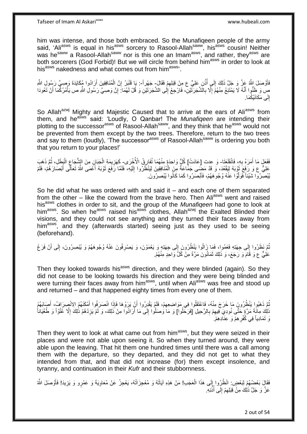him was intense, and those both embraced. So the Munafiqeen people of the army said, 'Ali<sup>asws</sup> is equal in his<sup>asws</sup> sorcery to Rasool-Allah<sup>saww</sup>, his<sup>asws</sup> cousin! Neither was he<sup>saww</sup> a Rasool-Allah<sup>saww</sup> nor is this one an Imam<sup>asws</sup>, and rather, they<sup>asws</sup> are both sorcerers (God Forbid)! But we will circle from behind him<sup>asws</sup> in order to look at his<sup>asws</sup> nakedness and what comes out from him<sup>asws,</sup>

فَأَوْصَلَ إِلاَّهُ عَزَّ وَ جَلَّ ذَلِكَ إِلَي أُذُنِ عَلِيٍّ ع مِنْ قِبَلِهِمْ فَقَالَ- جَهْرٍاً-: يَا قَنْبَرُ إِنَّ الْمُنَافِقِينَ أَرَادُوا مُكَايَدَة وَصِيٍّ رَسُولِ الثَّهِ ِ ُ  $\frac{1}{2}$ ز<br>ا َ ْ ِ صٍ وَ ظَنُّوا أَنَّهُ لَا يَمْتَنِعُ مِنْهُمْ إِلَّا بِالَشَّجَرَتَيْنِ، فَارْجِعْ إِلَى الشَّجَرَتَيْنِ وَ قُلْ لَهُمَا:َ إِنَّ وَصِيًّ رَسُولِ اللَّهِ ص يَأْمُرُكُمَا أَنْ تَغُودَا َ َ ْ ِ ِ **∶** ِ إِلَى مَكَانَيْكُمَا. ِ

So Allah<sup>azwj</sup> Mighty and Majestic Caused that to arrive at the ears of Ali<sup>asws</sup> from them, and he<sup>asws</sup> said: 'Loudly, O Qanbar! The *Munafiqeen* are intending their plotting to the successor<sup>asws</sup> of Rasool-Allah<sup>saww</sup>, and they think that he<sup>asws</sup> would not be prevented from them except by the two trees. Therefore, return to the two trees and say to them (loudly), 'The successor<sup>asws</sup> of Rasool-Allah<sup>saww</sup> is ordering you both that you return to your places!'

فَعَلَ مَا أَمَرَهُ بِهِ، فَاتْظَعَتَا- وَ عدت [عَادَتْ] كُلُّ وَاحِدَةٍ مِنْهُمَا تُفَارِقُ الْأُخْرَى- كَهَزِيمَةِ الْجَبَانِ مِنَ الشُّجَاعِ الْبَطَلِ، ثُمَّ ذَهَبَ **∶** َ ِ ر<br>: ْ ِ ْ **ٍ** عَلِيٌّ ع وَ رَفَعَ ثَوْبَهُ لِيَقْعُدَ، وَ قَدْ مَضِّعى جَمَاعَةٌ مِنَ الْمُنَافِقِينَ لِيَنْظُرُوا إِلَيْهِ، فَلَمَّا رَفَعَ ثَوْبَهُ أَعْمَى اللَّهُ تَعَالَى أَبْصَارَهُمْ، فَلَمْ ْ َ َ َ َ لَ ِ يْبْصِّرُوا شَيْئاً فَوَلَّوْا عَنْهُ وُجُوهَهُمْ، فَأَبْصَرُوا كَمَا كَانُوا يُبْصِرُونَ َ ه

So he did what he was ordered with and said it  $-$  and each one of them separated from the other  $-$  like the coward from the brave hero. Then Ali<sup>asws</sup> went and raised his<sup>asws</sup> clothes in order to sit, and the group of the *Munafiqeen* had gone to look at him<sup>asws</sup>. So when he<sup>asws</sup> raised his<sup>asws</sup> clothes, Allah<sup>azwj</sup> the Exalted Blinded their visions, and they could not see anything and they turned their faces away from him<sup>asws</sup>, and they (afterwards started) seeing just as they used to be seeing (beforehand).

نُمَّ نَظَرُوا إِلَى جِهَتِهِ فَعَمُوا، فَمَا زَالُوا يَنْظُرُونَ إِلَى جِهَتِهٍ وَ يَعْمَوْنَ، وَ يَصْرِفُونَ عَنْهُ وُجُوهَهُمْ وَ يُبْصِرُونَ، إِلَى أَنْ فَرَغَ **∶** ِ  $\frac{1}{2}$ ُ َ ِ عَلِيٌّ ع وَ قَامَ وَ رَجَعَ، وَ ذَلِكَ ثَمَانُونَ مَرَّةً مِنْ كُلَّ وَاحِدٍ مِنْهُمْ. َ

Then they looked towards his<sup>asws</sup> direction, and they were blinded (again). So they did not cease to be looking towards his direction and they were being blinded and were turning their faces away from him<sup>asws</sup>, until when Ali<sup>asws</sup> was free and stood up and returned – and that happened eighty times from every one of them.

ُمَّ ذَهَبُوا يَنْظُرُونَ مَا خَرَجَ مِنْهُ، فَاعْتَقَلُوا فِي مَوَاضِعِهِمْ، فَلَمْ يَقْدِرُوا أَنْ يَرَوْهَا فَإِذَا انْصَرَفُوا أَمْثَنَهُمُ الِانْصِرَافُ، أَصَابَهُمْ اُ ِ َ َ ا<br>ا ذَاكَ مِائَةَ مَرَّةٍ حَتَّى نُودِيَ فِيهِمْ بِالرَّحِيلِ [فَرَحْلُوا] وَ مَا وَصَلُوا إِلَى مَا أَرَادُوا مِنْ ذَلِكَ، وَ لَمْ يَزِدْهُمُ ذَٰلِكَ إِلَّا عُتُوَاً وَ طُغْيَاناً **∶** ِ ا<br>ا ِ ِ َوَ تَمَادِياً فِي كُفْرِ هِمْ وَ عِنَادِهِمْ. ِ

Then they went to look at what came out from him<sup>asws</sup>, but they were seized in their places and were not able upon seeing it. So when they turned around, they were able upon the leaving. That hit them one hundred times until there was a call among them with the departure, so they departed, and they did not get to what they intended from that, and that did not increase (for) them except insolence, and tyranny, and continuation in their *Kufr* and their stubbornness.

فَقَالٍَ بَعْضُهُمْ لِبَعْضٍ: انْظُرُوا إِلَى هَذَا الْعَجَدِ! مَنْ هَذِهِ آيَاتُهُ وَ مُعْجِزَاتُهُ، يَعْجِزُ عَنْ مُعَاوِيَةَ وَ عَمْرٍو وَ يَزِيدَ! فَأَوْصَلَ اللَّهُ **∶** ْ  $\frac{1}{2}$ ِ<br>أ ِ عَزَّ وَ جَلَّ ذَٰلِكَ مِنْ فِبَلِهِمْ إِلَى أُذُنِهِ ُ ِ  $\ddot{\xi}$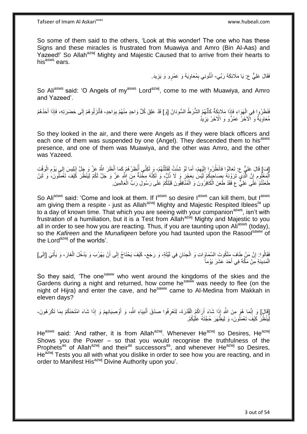So some of them said to the others, 'Look at this wonder! The one who has these Signs and these miracles is frustrated from Muawiya and Amro (Bin Al-Aas) and Yazeed!' So Allah<sup>azwj</sup> Mighty and Majestic Caused that to arrive from their hearts to his<sup>asws</sup> ears.

> فَقَالَ عَلِيٌّ ع: يَا مَلَائِكَةَ رَبِّي- انْتُونِي بِمُعَاوِيَةَ وَ عَمْرٍو وَ يَزِيدَ. **∶** ِ ِ

So Aliasws said: 'O Angels of my<sup>asws</sup> Lord<sup>azwj</sup>, come to me with Muawiya, and Amro and Yazeed'.

فَنَظَرُوا فِي الْهَوَاءِ فَإِذَا مَلَائِكَةٌ كَأَنَّهُمُ الشُّرَطُ السُّودَانُ [وَ] قَدْ عَلِقَ كُلُّ وَاحِدٍ مِنْهُمْ بِوَاحِدٍ، فَأَنْزَلُوهُمْ إِلَى حَضَرَتِهِ، فَإِذَا أَحَدُهُمْ َ ْ َ ِ َ ِ مُعَاوِيَةُ وَ ٱلْأَخَرُ عَمْرٌو وَ الْأَخَرُ يَزِيدُ ِ **∶** 

So they looked in the air, and there were Angels as if they were black officers and each one of them was suspended by one (Angel). They descended them to hisasws presence, and one of them was Muawiya, and the other was Amro, and the other was Yazeed.

[فَ] قَالَ عَلِيٌّ ع: تَعَالَوْا فَانْظُرُوا إِلَيْهِمْ، أَمَا لَوْ شِئْتُ لَقَتَلْتُهُمْ، وَ لَكِنِّي أُنْظِرُهُمْ كَمَا أَنْظَرَ اللَّهُ عَزَّ وَ جَلَّ إِبْلِيسَ إِلـي يَوْمِ الْوَقْتِ َ ُ ْ َ ِ لَ  $\frac{1}{2}$ ِ  $\frac{1}{2}$ ْ ِ ِ الْمَعْلُومِ إِنَّ الَّذِي تَرَوْنَهُ بِصَاحِبِكُمْ لَيْسَ بِعَجْزٍ وَ لَا ذُلِّ، وَ لِكِنَّهُ مِخْنَةٌ مِنَ اللَّهِ عَزَ وَ حَلَّ لَكُمْ لِيَنْظُرَ كَيْفَ تَعْمَلُونَ، وَ لَئِنْ ِ ِ ِ ه ِ طَعَنْتُمْ ۚعَلَى عَلِيٌّ عِ فَقَدْ طَعَنَ الْكَافِرُونَ وَ الْمُنَّافِقُونَ قَبْلَكُمْ عَلَى رَسُولِ رَبِّ الْعَالَمِينَ ـ ْ ْ ْ

So Aliasws said: 'Come and look at them. If lasws so desire lasws can kill them, but lasws am giving them a respite - just as Allah<sup>azwj</sup> Mighty and Majestic Respited Iblees<sup>la</sup> up to a day of known time. That which you are seeing with your companion<sup>asws</sup>, isn't with frustration of a humiliation, but it is a Test from Allahazwj Mighty and Majestic to you all in order to see how you are reacting. Thus, if you are taunting upon Ali<sup>asws</sup> (today), so the *Kafireen* and the *Munafigeen* before you had taunted upon the Rasool<sup>saww</sup> of the Lord<sup>azwj</sup> of the worlds'.

فَقَالُوا: إِنَّ مَنْ طَافَ مَلَكُوتَ السَّمَاوَاتِ وَ الْجِنَانِ فِي لَيْلَةٍ، وَ رَجَعَ- كَيْفَ يَحْتَاجُ إِلَى أَنْ يَهْرُبَ وَ يَذْخُلَ الْغَارَ، وَ يَأْتِيَ [إِلَى] ْ ِ ِ ْ ْ َ ِ الْمَدِينَةِ مِنْ مَكَّةَ فِي أَحَدَ عَشَرَ يَوْمأَ َ ْ

So they said, 'The one<sup>saww</sup> who went around the kingdoms of the skies and the Gardens during a night and returned, how come he<sup>saww</sup> was needy to flee (on the night of Hijra) and enter the cave, and he<sup>saww</sup> came to Al-Medina from Makkah in eleven days?

[قَالَٖ] وَ إِنَّمَا هُوَ مِنَ اللَّهِ إِذَا شَاءَ أَرَاكُمُ الْقُدْرَةَ- لِتَعْرِفُوا صِدْقَ أُنْبِيَاءِ اللَّهِ، وَ أَوْصِيَائِهِمْ وَ إِذَا شَاءَ امْتَحَنَكُمْ بِمَا تَكْرَهُونَ-ِ ْ َ ِ ِ َ **!** َ ِ لِّيَنْظُرَ كَيْفَ تَعْمَلُونَ، وَ لِيَظْهَرَ حُجَّتَهُ عَلَيْكُمْ.

He<sup>asws</sup> said: 'And rather, it is from Allah<sup>azwj</sup>. Whenever He<sup>azwj</sup> so Desires, He<sup>azwj</sup> Shows you the Power – so that you would recognise the truthfulness of the Prophets<sup>as</sup> of Allah<sup>azwj</sup> and their<sup>as</sup> successors<sup>as</sup>, and whenever He<sup>azwj</sup> so Desires, He<sup>azwj</sup> Tests you all with what you dislike in order to see how you are reacting, and in order to Manifest His<sup>azwj</sup> Divine Authority upon you'.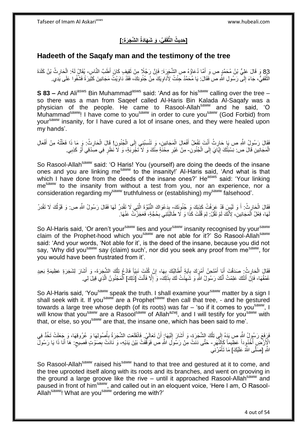# **ال َّش َج َر ِة:[ فِ ِّي، َو َش َهاَدةُ قَ ] َحِدي ُث الثَّ**

### **Hadeeth of the Saqafy man and the testimony of the tree**

83 وَ قَالَ عَلِيُّ بْنُ مُحَمَّدٍ ص وَ أَمَّا دُعَاؤُهُ صِ الشَّجَرَةَ: فَإِنَّ رَجُلًا مِنْ ثَقِيفٍ كَانَ أَطَبَّ النَّاسِ- يُقَالُ لَهُ: الْحَارِثُ بْنُ كَلَاةَ<br>وَقَالَ النَّاسِ الْمَسْرَةِ الْمَسْرَةِ وَاللَّهُ عَلَيْ ْ ِ َ الْثَّقَفِيُّ، جَاءَ إِلَى رَسُولِ اللَّهِ صَّ فَقَالَ: يَا مُحَمَّدُ جِئْتُ لِأُدَّاوِيَكَ مِنْ جُنُونِكَ، فَقَدْ دَاوَيْتُ مَجَانِينَ كَثِيرَةَ فَشُفُوا عَلَى يَدِي. ِ יִי (ו ه

**S 83 –** And Ali<sup>asws</sup> Bin Muhammad<sup>asws</sup> said: 'And as for his<sup>saww</sup> calling over the tree – so there was a man from Saqeef called Al-Haris Bin Kalada Al-Saqafy was a physician of the people. He came to Rasool-Allah<sup>saww</sup> and he said, 'O Muhammad<sup>saww</sup>! I have come to you<sup>saww</sup> in order to cure you<sup>saww</sup> (God Forbid) from yoursaww insanity, for I have cured a lot of insane ones, and they were healed upon my hands'.

ِ فَقَالَ رَسُولُ اللَّهِ ص يَا حَارِثُ أَنْتَ تَفْعَلُ أَفْعَالَ الْمَجَانِينِ، وَ تَنْسِبُنِي إِلَى الْجُنُونِ! قَالَ الْحَارِثُ: وَ مَا ذَا فَعَلْتُهُ مِنْ أَفْعَالِ ْ ْ  $\frac{1}{2}$ ْ َ ِ َ ْ الْمَجَانِينِ قَالَ ص: نِسْبَتُكَ إِيَّايَ إِلَى الْجُنُونِ- مِنْ غَيْرِ مِحْنَةٍ مِنْكَ وَ لَا تَجْرِبَةٍ، وَ لَا نَظَرٍ فِي صِدْقِي أَوْ كَذِبِي. ْ ∣∣<br>∶ ِ **∶** ِ َ **∶** 

So Rasool-Allah<sup>saww</sup> said: 'O Haris! You (yourself) are doing the deeds of the insane ones and you are linking me<sup>saww</sup> to the insanity!' Al-Haris said, 'And what is that which I have done from the deeds of the insane ones?' He<sup>asws</sup> said: 'Your linking me<sup>saww</sup> to the insanity from without a test from you, nor an experience, nor a consideration regarding my<sup>saww</sup> truthfulness or (establishing) my<sup>saww</sup> falsehood'.

فَقَالَ الْحَارِثُ: أَ وَ لَيْسِ قَدْ عَرَفْتُ كَذِبَكَ وَ جُنُونَكَ- بِدَعْوَاكَ النُّبُوَّةَ الَّتِي لَا تَقْدِرُ لَهَا فَقَالَ رَسُولُ اللَّهِ ص: وَ قَوْلُكَ لَا تَقْدِرُ َ ِ ْ اُ ه ِ هَا، فِعْلُ اَلْمَجَانِينِۗ، لِأَنَّكَ لَمْ تَقُلْ: لِمَ قُلْتَ كَذَا وَ لَا طَالَبْتَنِي بِحُجَّةٍ، فَعَجَزْتُ عَنْهَا ۖ **∶** ْ ْ لَ

So Al-Haris said, 'Or aren't your<sup>saww</sup> lies and your<sup>saww</sup> insanity recognised by your<sup>saww</sup> claim of the Prophet-hood which you<sup>saww</sup> are not able for it?' So Rasool-Allah<sup>saww</sup> said: 'And your words, 'Not able for it', is the deed of the insane, because you did not say, 'Why did you<sup>saww</sup> say (claim) such', nor did you seek any proof from me<sup>saww</sup>, for you would have been frustrated from it'.

فَقَالَ الْحَارِثُ: صَدَقْتَ أَنَا أَمْتَحِنُ أَمْرٍكَ بِآيَةٍ أَطَالِبُكَ بِهَا، إِنْ كُنْتَ نَبِيّاً فَادْعُ تِلْكَ الشَّجَرَةَ- وَ أَشَارَ لِشَجَرَةٍ عَظِيمَةٍ بَعِيدٍ ْ ِ ِ ∫<br>∶ :<br>ا **∶** َ َ َ ِ عُمْقُهَا- فَإِنَّ أَنَتْكَ عَلِمْتُ أَنَّكَ رَسُولُ اللَّهِ وَ شَهِدْتُ لَكَ بِذَلِكَ- وَ إِلَّا فَأَنْتَ [ذَلِكَ] الْمَجْنُونُ الَّذِي قِيلَ لِي. ِ َ َ ِ َ ِ ه ْ

So Al-Haris said, 'You<sup>saww</sup> speak the truth. I shall examine your<sup>saww</sup> matter by a sign I shall seek with it. If you<sup>saww</sup> are a Prophet<sup>saww</sup> then call that tree, - and he gestured towards a large tree whose depth (of its roots) was far  $-$  'so if it comes to you<sup>saww</sup>, I will know that you<sup>saww</sup> are a Rasool<sup>saww</sup> of Allah<sup>azwj</sup>, and I will testify for you<sup>saww</sup> with that, or else, so yousaww are that, the insane one, which has been said to me'.

فَزِفَعَ رَسُولُ اللَّهِ ص يَدَهُ إِلَي تِلْكَ الِشَّجَرَةِ، وَ أَشَارَ إِلَيْهَا: أَنْ تَعَالَيْ. فَانْقَلَعَت الشَّجَرَةُ بِأُصُولِهَا وَ عُرُوقِهَا، وَ جَعَلَتْ تَخُذُ فِي ُ **∶** اُ لَ  $\frac{1}{2}$ ْ  $\frac{1}{2}$ **∶** الْإَِرْضِ أُخْذُرِداً عَظِيماً كَأَلْنَّهَرِ - حَتَّى دَنَتْ مِنْ رَسُولِ اللَّهِ ص فَوَقَّفَتْ بَيْنَ يَدَيْهِ، وَ نَادَتْ بِصَوْتٍ فَصِيحٍ: هَا أَنَا ذَا يَا رَسُولٌ ِ:<br>ا َ ٍ ِ اللَّهِ [صَلَّى اللَّهُ عَلَيْكَ] مَا تَأْمُرُنِي ْ

So Rasool-Allah<sup>saww</sup> raised his<sup>saww</sup> hand to that tree and gestured at it to come, and the tree uprooted itself along with its roots and its branches, and went on grooving in the ground a large groove like the rive  $-$  until it approached Rasool-Allah<sup>saww</sup> and paused in front of himsaww, and called out in an eloquent voice, 'Here I am, O Rasool-Allah<sup>saww</sup>! What are you<sup>saww</sup> ordering me with?'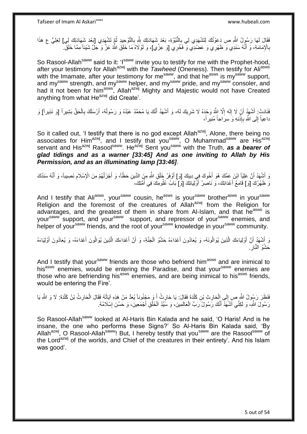فَقَالَ لَمَا رَسُوِلُ اللَّهِ ص دَعَوْتُكَ لِتَشْهَدِي لِي بِالنُّبُوَّةِ- بَعْدَ شَهَادَتِكَ شِّهِ بِالتَّوْحِيدِ ثُمَّ تَشْهَدِي [بَعْدَ شَهَادَتِكَ لِي] لِعَلِيٍّ ع هَذَا ِ ا<br>المقام **∶** بِالْإِمَامَةِ، وَ أَنَّهُ سَنَدِي وَ ظَهْرِي وَ عَضُدِي وَ فَخْرِي [وَ عِزِّي]، وَ لَوْلَاهُ مَا خَلَقَ اللَّهُ عَزَّ وَ جَلَّ شَيْئاً مِمَّا خَلَقَ َ **∶** 

So Rasool-Allah<sup>saww</sup> said to it: 'I<sup>saww</sup> invite you to testify for me with the Prophet-hood, after your testimony for Allah<sup>azwj</sup> with the *Tawheed* (Oneness). Then testify for Ali<sup>asws</sup> with the Imamate, after your testimony for me<sup>saww</sup>, and that he<sup>asws</sup> is my<sup>saww</sup> support, and my<sup>saww</sup> strength, and my<sup>saww</sup> helper, and my<sup>saww</sup> pride, and my<sup>saww</sup> consoler, and had it not been for him<sup>asws</sup>, Allah<sup>azwj</sup> Mighty and Majestic would not have Created anything from what He<sup>azwj</sup> did Create'.

فَادَتْ: أَشْهَدُ أَنْ لَا إِلَهَ إِلَّا اللَّهُ وَحْدَهُ لَا شَرِيكَ لَهُ، وَ أَشْهَدُ أَنَّكَ يَا مُحَمَّدُ عَبْدُهُ وَ رَسُولُهُ، أَرْسَلَكَ بِالْحَقِّ بَشِيراً [وَ نَذِيراً] وَ َ ِ ِ لَ ِ َ ْ **∶** داعِياً إِلَى اللَّهِ بِإِذْنِهِ وَ سِرَاجاً مُنِيراً، **ٔ** ِ  $\frac{1}{2}$ 

So it called out, 'I testify that there is no god except Allah<sup>azwj</sup>, Alone, there being no associates for Him<sup>azwj</sup>, and I testify that you<sup>saww</sup>, O Muhammad<sup>saww</sup> are His<sup>azwj</sup> servant and His<sup>azwj</sup> Rasool<sup>saww</sup>. He<sup>azwj</sup> Sent you<sup>saww</sup> with the Truth, *as a bearer of glad tidings and as a warner [33:45] And as one inviting to Allah by His Permission, and as an illuminating lamp [33:46]*.

وَ أَشْهَدُ أَنَّ عَلِيَّاً ابْنَ عَمِّكَ هُوَ أَخُوكَ فِي دِينِكَ [وَ] أَوْفَلُ خَلْقِ اللَّهِ مِنَ الدِّينِ حَظَّاً، وَ أَجْزَلُهُمْ مِنَ الْإِسْلَامِ نَصِيباً، وَ أَنَّهُ سَنَدُكَ<br>عَيْدُنِي حَيَّنَ فَيْ بَيْنَ مَنْ الْ َ ْ َ َ َ َ ِ ُ وَ ظَهْرُكَ [وَ] قَامِعُ أَعْدَائِكَ، وَ نَاصِرُ أَوْلِيَائِكَ [و] بَابُ عُلُومِكَ فِي أُمَّتِكَ، َ ر<br>ا

And I testify that Ali<sup>asws</sup>, your<sup>saww</sup> cousin, he<sup>asws</sup> is your<sup>saww</sup> brother<sup>asws</sup> in your<sup>saww</sup> Religion and the foremost of the creatures of Allah<sup>azwj</sup> from the Religion for advantages, and the greatest of them in share from Al-Islam, and that he<sup>asws</sup> is your<sup>saww</sup> support, and your<sup>saww</sup> support, and repressor of your<sup>saww</sup> enemies, and helper of yoursaww friends, and the root of yoursaww knowledge in yoursaww community.

وَ أَشْهَدُ أَنَّ أَوْلِيَاءَكَ الَّذِينَ يُوَالُونَهُ- وَ يُعَادُونَ أَعْدَاءَهُ حَشْوُ الْجَنَّةِ، وَ أَنَّ أَعْدَاءَكَ الَّذِينَ يُوَالُونَ أَعْدَاءَهُ- وَ يُعَادُونَ أَوْلِيَاءَهُ ه َ َ َ ه َ َ ْ َ حَشْوُ النَّارِ ِ ِ

And I testify that your<sup>saww</sup> friends are those who befriend him<sup>asws</sup> and are inimical to hisasws enemies, would be entering the Paradise, and that yoursaww enemies are those who are befriending his<sup>asws</sup> enemies, and are being inimical to his<sup>asws</sup> friends, would be entering the Fire'.

فَنَظَرَ رَسُولُ اللَّهِ صِ إِلَى إِلْحَارِثِ بْنِ كَلْدَةَ فَقَالَ: يَا حَارِثُ أَ وَ مَجْنُوناً يُعَدُّ مَنْ هَذِهِ آيَاتُهُ فَقَالَ الْحَارِثُ بْنُ كَلْدَةَ: لَا وَ اللَّهِ يَا َ ِ ْ ِ ْ  $\frac{1}{2}$ ْ ِ ْ رَسُولَ اللَّهِ، وَ لَكِنِّي أَشْهَدُ أَنَّكَ رَسُولُ رَبِّ الْعَالَمِينَ، وَ سََيِّدُ الْخَلْقِ أَجْمَعِينَ، وَ حَسُنَ إِسْلَامُهُ. ِ ْ ْ ْ َ َ

So Rasool-Allah<sup>saww</sup> looked at Al-Haris Bin Kalada and he said, 'O Haris! And is he insane, the one who performs these Signs?' So Al-Haris Bin Kalada said, 'By Allah<sup>azwj</sup>, O Rasool-Allah<sup>saww</sup>! But, I hereby testify that you<sup>saww</sup> are the Rasool<sup>saww</sup> of the Lord<sup>azwj</sup> of the worlds, and Chief of the creatures in their entirety'. And his Islam was good'.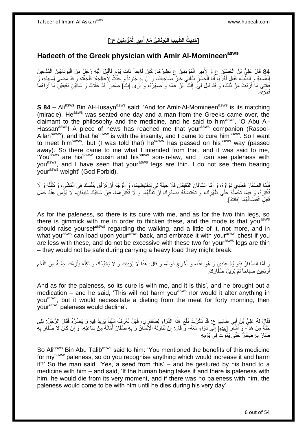#### **ُمْؤ ِمنِي َن ع:[ الْ ِمير ُيوَنانِ ِّي َم َع أ ي ِب الْ َّطب ] َحِدي ُث ال ِ َ ِ**

### **Hadeeth of the Greek physician with Amir Al-Momineenasws**

84 قَالَ عَلِيُّ بْنُ الْحُسَيْنِ عِ وَ لِأَمِيرِ الْمُؤْمِنِينَ عِ نَظِيرُ هَا: كَإِنَ قَاعِداً ذَاتَ يَوْمِ فَأَقْبَلَ إِلَيْهِ رَجُلٌ مِنَ الْيُونَانِيِّينَ الْمُدَّعِينَ<br>أَيْفَ عَلَيْهِ مَا يَسْيَبْنِي بَيْنَ عَلَيْهِ لَ ِ ْ َ ْ ْ **∶** ْ ْ لِلْفَلْسَفَةِ وَ الطَّبِّ، فَقَالَ لَمُ: يَا أَبَا الْحَسَنِ بَلَغَنِي خَبَرُ صَاحِبِكَ، وَ أَنَّ بِهِ جُنُوناً وَ جُنَّتُ لِأُعَالِجَهُ! فَلَحِقْتُهُ وَ قَدْ مَضَى لِسَبِيلِهِ، وَ ِ َ **!** ْ َ ْ ِ فَاتَنِي مَا أَرَدْتُ مِنْ ذَلِكَ، وَ قَدْ قِيلَ لِيَ: إِنَّكَ ابْنُ عَمِّهِ وَ صَـهْرُهُ، وَ أَرَى [بِكَ] صُفَاراً قَدْ عَلَاكَ وَ سَاقَيْنِ دَقِيقَيْنِ مَا أَرَاهُمَا اُ ِ َ ِ َ ؙؙؾ*ۊؚ*ڷٞٲڶ*ؚ*ڷڰ

**S 84 –** Ali<sup>asws</sup> Bin Al-Husayn<sup>asws</sup> said: 'And for Amir-Al-Momineen<sup>asws</sup> is its matching (miracle). He<sup>asws</sup> was seated one day and a man from the Greeks came over, the claimant to the philosophy and the medicine, and he said to him<sup>asws</sup>, 'O Abu Al-Hassan<sup>asws</sup>! A piece of news has reached me that your<sup>asws</sup> companion (Rasool-Allah<sup>saww</sup>), and that he<sup>saww</sup> is with the insanity, and I came to cure him<sup>saww</sup>. So I want to meet him<sup>saww</sup>, but (I was told that) he<sup>saww</sup> has passed on his<sup>saww</sup> way (passed away). So there came to me what I intended from that, and it was said to me, 'You<sup>asws</sup> are his<sup>saww</sup> cousin and his<sup>saww</sup> son-in-law, and I can see paleness with you<sup>asws</sup>, and I have seen that your<sup>asws</sup> legs are thin. I do not see them bearing you , and there is a product your<sup>asws</sup> weight' (God Forbid).

.<br>أَمَّا الصُّفَارُ فَعِنْدِي دَوَاؤُهُ، وَ أَمَّا السَّاقَانِ الدَّقِيقَانِ فَلَا حِيلَةَ لِي لِتَغْلِيظِهِمَا، وَ الْوَجْهُ أَنْ تَرْفُقَ بِنَفْسِكَ فِي الْمَشْيِ، وَ تُقَلِّلُهُ وَ لَا ْ ِ َ لَ ِّ ِ ْ ِ َ ْكُثِّرْهُ، وَ فِيمَا تَحْمِلُهُ عَلَى ظَهْرِكَ، وَ تَخْتَضِنُهُ بِصَدْرِكَ أَنْ تُقَلِّلُهُمَا وَ لَا تُكْثِرَهُمَا، فَإِنَّ سَاقَيْكَ دَقِيقَانِ- لَا يُؤْمَنُ عِنْدَ حَمْلِ<br>. ∣ٍ إ لَ ِّ اُ **∶** ِ ِ ٔ<br>ا ثَقِيلٍ انْقِصَافُهُمَا [فَاتَّئِدْ].

As for the paleness, so there is its cure with me, and as for the two thin legs, so there is gimmick with me in order to thicken these, and the mode is that you<sup>asws</sup> should raise yourself<sup>asws</sup> regarding the walking, and a little of it, not more, and in what you<sup>asws</sup> can load upon your<sup>asws</sup> back, and embrace it with your<sup>asws</sup> chest if you are less with these, and do not be excessive with these two for your<sup>asws</sup> legs are thin – they would not be safe during carrying a heavy load they might break.

يَ أَمَّا الصُّفَارُ فَدَوَاؤُهُ عِنْدِي وَ هُوَ هَذَا- وَ أَخْرَجَ دَوَاءً- وَ قَالَ: هَذَا لَا يُؤْذِيكَ وَ لَا يُخَيِّسُكَ وَ لَكِنَّهُ يَلْزَمُكَ حِمْيَةٌ مِنَ اللَّحْم ِ ه ْ أَرْبَعِينَ صَبَاحاً ثُمَّ يُزِيلُ صُفِّارَكَ. ِ ُ َ

And as for the paleness, so its cure is with me, and it is this', and he brought out a medication – and he said, 'This will not harm you<sup>asws</sup> nor would it alter anything in you<sup>asws</sup>, but it would necessitate a dieting from the meat for forty morning, then your<sup>asws</sup> paleness would decline'.

فَقَالٍ لَهُ عَلِيُّ بْنُ أَبِي طَالِبٍ عِ. قَدْ ذَكَرْتَ نَفْعَ هَذَا الدَّوَاءِ لِصُفارِي، فَهَلْ تَعْرِفُ شَئِئاً يَزِيدُ فِيهِ وَ يَضُرُّهُ فَقَالَ الرَّجُلُ: بَلَى ِ ِ َ حَبَّةٌ مِنْ هَذَآ۔ وَ أَشْأَلَ [بِيَدِهِ] إِلَى دَوَاءٍ مَعَهُ- وَ قَالَ: إِنْ تَنَاوَلَهُ الْإِنْسَانُ وَ بِهِ صَفَارٌ أَمَاتَهُ مِنْ سَاعَتِهِ، وَ إِنْ كَانَ لَا صُفَارَ بِهِ **!** لَ ِ ِ **∶** ِ َ ِ صَارَ بِهِ صِفَارٌ حَتَّى يَمُونَ فِي يَوْمِهِ **∶** 

So Aliasws Bin Abu Talibasws said to him: 'You mentioned the benefits of this medicine for my<sup>saww</sup> paleness, so do you recognise anything which would increase it and harm it?' So the man said, 'Yes, a seed from this' – and he gestured by his hand to a medicine with him – and said, 'If the human being takes it and there is paleness with him, he would die from its very moment, and if there was no paleness with him, the paleness would come to be with him until he dies during his very day'.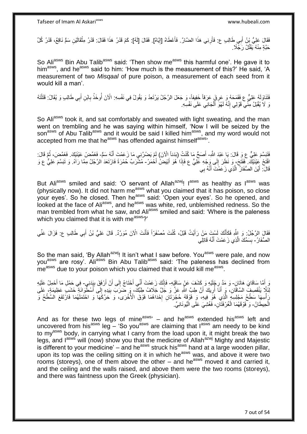فَقَالَ عَلِيُّ بِنُ أَبِي طَالِبٍ ع: فَأَرِنِي هَذَا الضَّارَّ . فَأَعْطَاهُ [إِيَّاهُ]. فَقَالَ [لَهُ]: كَمْ قَدْرُ هَذَا فَقَالَ: قَدْرُ مِثْقَالَيْنِ سَمٍّ نَاقِعٌ، قَدْرُ كُلِّ ֖֧֦֧֦֧֦֧֦֧֦֧֦֧֦֧ׅ֧֦֧ׅ֧֦֧֦֧֦֧֦֧֦֧֦֧֦֧֦֧֦֧֦֧֦֧֦֧֦֧֦֧֦֧֦֧֚֜֓֓֜֓֓֓֞֡<br>֧֜֩֞֘ َ ِ اُ **ٔ** حَبَّةٍ مِنْهُ يَقْتُلُ رَجِّلًا.

So Aliasws Bin Abu Talib<sup>asws</sup> said: 'Then show me<sup>asws</sup> this harmful one'. He gave it to himasws, and heasws said to him: 'How much is the measurement of this?' He said, 'A measurement of two *Misqaal* of pure poison, a measurement of each seed from it would kill a man'.

فَتَذَوَلَهُ عَلِيٌّ ع فَقَمَحَهُ وَ عَرِقٍ عَرَفاً خَفِيفاً، وَ جَعَلَ الرَّجُلُ يَرْتَعِدُ وَ يَقُولُ فِي نَفْسِهِ: الْآنَ أُوخَذُ بِابْنِ أَبِي طَالِبٍ وَ يُقَالُ: قَتَلْتَهُ ِ ْ َ ِ ُ نَ لَا يُقْبَلُ مِنِّي قَوْلِي إِنَّهُ لَهُوَ أَلْجَانِي عَلَى نَفْسِهِ ْ َ ِ

So Ali<sup>asws</sup> took it, and sat comfortably and sweated with light sweating, and the man went on trembling and he was saying within himself, 'Now I will be seized by the son<sup>asws</sup> of Abu Talib<sup>asws</sup> and it would be said I killed him<sup>asws</sup>, and my word would not accepted from me that he<sup>asws</sup> has offended against himself<sup>asws</sup>.

فَثَبَسَّمَ عَلِيٌّ عِ وَ قَالَ: يَا عَبْدَ اللَّهِ- أَصَحُّ مَا كُنْتُ (بَدَناً الْآنَ) لَمْ يَضُرَّنِي مَا زَعَمْتَ أَنَّهُ سَمٍّ- فَغَمِّضْ عَيْنَيْكَ. فَغَمَّضَ، ثُمَّ قَالَ: َ َ ُ َ افْتَحْ عِيْنَيْكَ. فَفَتَحَ، وَ نَظَرَ إِلَى وَجْهِ عَلِيٍّ ع فَإِذَا هُوَ أَبْيَضْ أَخْمَرُ- مُشْرَبٌ حُمْرَةً فَارْتَعَدَ الرَّجُلُ مِمَّا رَآهُ. وَ تَبَسَّمَ عَلِيٌّ ع وَ  $\frac{1}{2}$ َ قَالَ ۖ: أَيْنَ الصُّفَارُ ۖ الَّذِي زَ عَمْتَ أَنَّهُ بِي َ اً َ

But Ali<sup>asws</sup> smiled and said: 'O servant of Allah<sup>azwj</sup>! I<sup>asws</sup> as healthy as l<sup>asws</sup> was (physically now). It did not harm me<sup>asws</sup> what you claimed that it has poison, so close your eyes'. So he closed. Then he<sup>asws</sup> said: 'Open your eyes'. So he opened, and looked at the face of Ali<sup>asws</sup>, and he<sup>asws</sup> was white, red, unblemished redness. So the man trembled from what he saw, and Ali<sup>asws</sup> smiled and said: 'Where is the paleness which you claimed that it is with me<sup>asws</sup>?'

فَقَالَ الرَّجُلُ: وَ اللَّهِ فَكَأَنَّكَ لَسْتَ مَنْ رَأَيْتُ قَبْلُ، كُنْتَ مُصْفَرّاً فَأَنْتَ الْآنَ مُوَرَّدٌ. قَالَ عَلِيُّ بْنُ أَبِي طَالِبِ ع: فَزَالَ عَنِّي َ َ َ َ الصُّفَارُ - بِسَمِّكَ الَّذِي زَ عَمْتَ أَنَّهُ قَاتِلِي َ ه **∣** 

So the man said, 'By Allah<sup>azwj</sup>! It isn't what I saw before. You<sup>asws</sup> were pale, and now you<sup>asws</sup> are rosy<sup>'</sup>. Ali<sup>asws</sup> Bin Abu Talib<sup>asws</sup> said: 'The paleness has declined from me<sup>asws</sup> due to your poison which you claimed that it would kill me<sup>asws</sup>.

وَ أَمَّا سِاقَايَ هَاتَانِ- وَ مَدَّ رِدْخُلُوْ وَ كَشَفَ عَنْ سَاقَيْهِ- فَإِنَّكَ زَعَمْتَ أَنِّي أَحْتَاجُ إِلَى أَنْ أَرْفَقَ بِبَدَنِي- فِي حَمْلِ مَا أَحْمِلُ عَلَيْهِ َ ِ ِ َ َ ِ َ َ ِ َ لِّهَ إِنَّا يَنْقَصِفُ السَّاقَانِ، وَ أَنَا أُرِيكَ أَنَّ طِبَّ اللَّهِ عَنَّ وَ جَلَّ خِلَافُ طِبِّكَ، وَ ضَرَب بِيَدِهِ إِلَى أُسْطُّوَانَةٍ خَشَبٍ عَظِيمَةٍ، عَلَى ِ ُ َ لَ ∣∣<br>∶ ِ رَ أُسِهَا سَطْحُ مَجْلِسِهِ الَّذِي هُوِّ فِيهِ، ۖ وَ فَوْقَهُ حُجْرَتَالِ إِحْدَاهُمَا فَوْقَ الْأُخْرَى، وَ حَرَّكَهَا وَ احْتَمَلَهُمَا فَارْتَفَعَ السَّطْحُ وَ יִי.<br>י ه الْحِيطَانُ- وَ ۖ فَوْ قَهُمَا الْغُرْفَثَانِ، فَغُشِيَ عَلَى الْيُونَانِيِّ. ْ ا<br>ا

And as for these two legs of mine $a_{\text{sws}}$  – and he<sup>asws</sup> extended his<sup>asws</sup> left and uncovered from his<sup>asws</sup> leg – 'So you<sup>asws</sup> are claiming that I<sup>asws</sup> am needy to be kind to my<sup>asws</sup> body, in carrying what I carry from the load upon it, it might break the two legs, and  $I^{asws}$  will (now) show you that the medicine of Allah<sup>azwj</sup> Mighty and Majestic is different to your medicine' – and he<sup>asws</sup> struck his<sup>asws</sup> hand at a large wooden pillar, upon its top was the ceiling sitting on it in which he<sup>asws</sup> was, and above it were two rooms (storeys), one of them above the other – and he<sup>asws</sup> moved it and carried it, and the ceiling and the walls raised, and above them were the two rooms (storeys), and there was faintness upon the Greek (physician).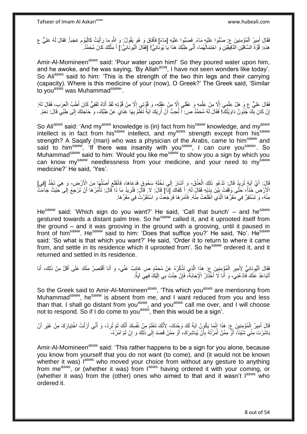فَقَالَ أَمِيرُ الْمُؤْمِنِينَ ع: صُبُّوا عَلَيْهِ مَاءً فِصَبُّوا عَلَيْهِ [مَاءً] فَأَفَاقَ وَ هُوَ يَقُولُ: وَ الثَّهِ مَا رَأَيْتُ كَالْيَوْمِ عَجَباً. فَقَالَ لَهُ عَلِيٌّ ع َ ْ َ ِ ْ َ هَذِهِ: قُوَّةُ السَّاقَيْنِ الدَّقِيَقَيْنِ وَ احْتِمَالُهُمَا، أَنَّى طِبُّكَ هَذَا يَا يُونَّكِيُّ! [فَقَالَ الْيُونَانِيُّ.] أَ مِثْلَكَ كَانَ مُحَمَّدٌ. َ ٔ<br>ا لَ **ٔ** َ ْ

Amir-Al-Momineen<sup>asws</sup> said: 'Pour water upon him!' So they poured water upon him, and he awoke, and he was saying, 'By Allah<sup>azwj</sup>, I have not seen wonders like today'. So Aliasws said to him: 'This is the strength of the two thin legs and their carrying (capacity). Where is this medicine of your (now), O Greek?' The Greek said, 'Similar to you<sup>asws</sup> was Muhammad<sup>saww</sup>.

فَقَالَ عَلِيٌّ عِ وَ هَلْ عِلْمِي إِلَّا مِنْ عِلْمِهِ وَ عَقْلِي إِلَّا مِنْ عَقْلِهِ، وَ قُوَّتِنِي إِلَّا مِنْ قُوَّتِهِ لَقَدْ أَنَاهُ ثَقَفِيٌّ كَانَ أَطَبَّ الْعَرَبِ، فَقَالَ لَهُ: ْ ِ ْ ْ ْ َ َ ا<br>ا  $\frac{1}{2}$ إِنْ كَانَ بِكَ ۖجُنُونٌ دَاوَيْتُكَ! فَقَالَ لَهُ مُحَمَّدٌ ص: أَ تُحِبُّ أَنْ أُرِيَكَ آيَةً تَغْلَمُ بِهَا غِنَايَ عَنْ طِبِّكَ، وَ حَاجَتَكَ إِلَى طِبِّي قَالَ: نَعَمْ. ِ ِ ُ َ َ **!** ا لَ ِ

So Aliasws said: 'And my<sup>asws</sup> knowledge is (in) fact from his<sup>saww</sup> knowledge, and my<sup>asws</sup> intellect is in fact from his<sup>saww</sup> intellect, and my<sup>asws</sup> strength except from his<sup>saww</sup> strength? A Sagafy (man) who was a physician of the Arabs, came to him<sup>saww</sup> and said to him<sup>saww</sup>, 'If there was insanity with you<sup>saww</sup>, I can cure you<sup>saww</sup>'. So Muhammad<sup>saww</sup> said to him: 'Would you like me<sup>saww</sup> to show you a sign by which you can know my<sup>saww</sup> needlessness from your medicine, and your need to my<sup>saww</sup> medicine?' He said, 'Yes'.

قَالَ: أَيَّ آيَةٍ تُرِيدُ قَالَ: تَدْعُو ذَلِكَ الْعَذْقَ- وَ أَشَارَ إِلَى نَخْلَةٍ سَحُوقٍ فَدَعَاهَا، فَانْقَلَعَ أَصْلُهَا مِنَ الْأَرْضِ- وَ هِيَ تَخُدُّ [فِي] **ٔ** ْ ِ  $\overline{a}$ َ  $\frac{1}{2}$ الْإَرْضِ خَدَّاً، خَتًى وَقَفَتْ بَيْنَ يَدَيْهِ فَقَالَ لَهُ: إِّ كَفَاكَ [ذَا] قَالَ: لَا قَالَ: فَتُرِيدُ مَا ذَا قَالَ: تَأْمُرُهَا أَنْ تَرْجِعَ إِلَى خَيْثُ جَاءَتٌ َ ِ َ ْ ِ مِنْهُ، وَ تَسْتَقِرَّ فِي مَقَرٍّ هَا الَّذِي انْقَلَعَتْ مِنْهُ. فَأَمَرَ هَا فَرَجَعَتْ وَ اسْتَقَرَّتْ فِيَ مَقَرٍّ هَا. َ ه

 $He<sup>saww</sup>$  said: 'Which sign do you want?' He said, 'Call that bunch' – and he<sup>saww</sup> gestured towards a distant palm tree. So he<sup>saww</sup> called it, and it uprooted itself from the ground – and it was grooving in the ground with a grooving, until it paused in front of him<sup>saww</sup>. He<sup>saww</sup> said to him: 'Does that suffice you?' He said, 'No'. He<sup>saww</sup> said: 'So what is that which you want?' He said, 'Order it to return to where it came from, and settle in its residence which it uprooted from'. So he<sup>saww</sup> ordered it, and it returned and settled in its residence.

فَقَالَ الْيُونَانِيُّ لِأَمِيرِ الْمُؤْمِنِينَ عِ. هَذَا الَّذِي تَذْكُرُهُ عَنْ مُحَمَّدٍ ص غَائِبٌ عَنِّي، وَ أَنَا أَقْتَصِرُ مِنْكَ عَلَى أَقَلَّ مِنْ ذَلِكَ، أَنَا َ َ **ٔ** ه ْ ِ ֺ֦֖֟֟֓֕֟֟֓֕׆<br>֧֢**֛** َ َ ِ أَتَبَاعَدُ عَنْكَ فَادْعُنِيَ، وَ أَنَا لَا أَخْثَارُ الْإِجَابَةَ، فَإِنْ جِئْتَ بِي إِلَيْكَ فَهِيَ آيَةٌ. ِ َ َ َ ِ لَ

So the Greek said to Amir-Al-Momineen<sup>asws</sup>, 'This which you<sup>asws</sup> are mentioning from Muhammad<sup>saww</sup>, he<sup>saww</sup> is absent from me, and I want reduced from you and less than that. I shall go distant from you<sup>asws</sup>, and you<sup>asws</sup> call me over, and I will choose not to respond. So if I do come to you<sup>asws</sup>, then this would be a sign'.

ِ قَالَ أَمِيرُ الْمُؤْمِنِينَ ع: هَذَا إِنَّمَا يَكُونُ آيَةً لَكَ وَحْدَكَ، لِأَنَّكَ تَعْلَمُ مِنْ نَفْسِكَ أَنَّكَ لَمْ تُرِدْ، وَ أَنِّي أَرَلْتُ اخْتِيَارَكَ مِنْ غَيْرِ أَنْ َ لَ ِ ْ ْ َ َ ِ بَاشَرْتَ مِنِّي شَيْئاً، أَوْ مِمَّنْ أَمَرْتُهُ بِأَنْ يُبَاشِرَكَ، أَوْ مِمَّنْ قَصَدَ إِلَىٰ ذَلِكَ وَ إِنْ لَمْ آمُرْهُ-ِ اُ ۔<br>ا **∶** َ ֺׅ֪֪֪ׅ֪֪ׅ֦֧ׅ֪֪֪֪ׅ֦֚֚֚֚֚֚֚֚֚֚֚֚֚֚֚֚֚֩֘֘֩֓֡֟֓֡֘֝֟֓֡֟֡֟֓֡֟֓֡֟֓֡֟֡֡֟֓֡֟֓֞֡֜֓֞֞֞֟֓֞֟ ِ

Amir-Al-Momineen<sup>asws</sup> said: 'This rather happens to be a sign for you alone, because you know from yourself that you do not want (to come), and (it would not be known whether it was) lasws who moved your choice from without any gesture to anything from me<sup>asws</sup>, or (whether it was) from lasws having ordered it with your coming, or (whether it was) from the (other) ones who aimed to that and it wasn't  $I^{asws}$  who ordered it.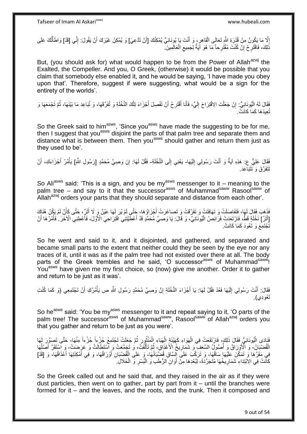إِلَّا مَا يَكُونُ مِنْ قُدْرَةِ اللَّهِ تَعَالَى الْقَاهِرِ ، وَ أَنْتَ يَا يُونَانِيُّ يُمْكِنُكَ [أَنْ تَدَّعِيَ] وَ يُمْكِنُ غَيْرَكَ أَنْ يَقُولَ: إِنِّي [قَدْ] وَاطَأَتُكَ عَلَى أ َ ¦ ْ יי<br>ייב ْ ِ َ ْ ذَلِكَ، فَاقْتَرِحْ إِنْ كُنْتَ مُقْتَرِحاً مَا هُوَ آَيَةٌ لِجَمِيعِ الْعَالَمِينَ. ۖ  $\zeta$ יֲ<br>י **∶** 

But, (you should ask for) what would happen to be from the Power of Allah<sup>azwj</sup> the Exalted, the Compeller. And you, O Greek, (otherwise) it would be possible that you claim that somebody else enabled it, and he would be saying, 'I have made you obey upon that'. Therefore, suggest if were suggesting, what would be a sign for the entirety of the worlds'.

فَقَالَ لَهُ الْيُونَانِيُّ: إِنْ جَعَلْتَ الِاقْتِرَاحَ إِلَيَّ، فَأَنَا أَقْتَرِحُ أَنْ تَفْصِلَ أَجْزَاءَ تِلْكَ النَّخْلَةِ وَ تُفَرِّقَهَا، وَ تُبَاعِدَ مَا بَيْنَهَا، ثُمَّ تَجْمَعَهَا وَ ْ َ َ ِ َ َ لَ  $\frac{1}{2}$ ْ ِ ٔ ا ا پایا<br>ا تُعِيدَهَا كَمَا كَانَتْ.

So the Greek said to him<sup>asws</sup>, 'Since you<sup>asws</sup> have made the suggesting to be for me, then I suggest that you<sup>asws</sup> disjoint the parts of that palm tree and separate them and distance what is between them. Then you<sup>asws</sup> should gather and return them just as they used to be'.

فَقَالَ عَلِيٌّ ع: هَذِهِ آيَةٌ وَ أَنْتَ رَسُولِي إِلَيْهَا- يَعْنِي إِلَى النَّخْلَةِ- فَقُلْ لَهَا: إِنَ وَصِيَّ مُحَمَّدٍ [رَسُولِ اللَّمِ] يَأْمُرُ أَجْزَاءَكِ، أَنْ لَ  $\frac{1}{2}$ اً<br>ا  $\frac{1}{2}$ ِ َ َ تَتَفَرَّقَ وَ تَتَبَاعَدَ.

So Ali<sup>asws</sup> said: 'This is a sign, and you be my<sup>asws</sup> messenger to it – meaning to the palm tree – and say to it that the successor<sup>asws</sup> of Muhammad<sup>saww</sup> Rasool<sup>saww</sup> of Allah<sup>azwj</sup> orders your parts that they should separate and distance from each other'.

فَذَهبَ فَقَالَ لَهَا، فَتَفَاصَلَتْ وَ تَهَافَتَتْ وَ تَفَرَّقَتْ وَ تَصَاغَرَتْ أُجْزَاؤُهَا، حَتَّى لَمْ يُرَ لَهَا عَيْنٌ وَ لَا أَثَرٌ ، حَتَّى كَأَنْ لَمْ يَكُنْ هُذَاكَ َ َ َ َ [أَثَرُ] نَخْلَةٍ قَطُّ، فَارْتَعَدَتْ فَرَائِصُ الْيُونَانِيِّ، وَ قَالَ: يَا وَصِيَّ مُحَمَّدٍ قَدْ أَعْطَّيْتَنِي اقْتِرَاحِيَ الْأَوَّلَ، فَأَعْطِنِي الْآخَرَ فَأَمُرْهَا أَنْ ة<br>أ ا<br>ا ْ َ َ َ تَجْتَمِعَ وَ تَعُودَ كَمَا كَانَتْ.

So he went and said to it, and it disjointed, and gathered, and separated and became small parts to the extent that neither could they be seen by the eye nor any traces of it, until it was as if the palm tree had not existed over there at all. The body parts of the Greek trembles and he said, 'O successor<sup>asws</sup> of Muhammad<sup>saww'</sup>! You<sup>asws</sup> have given me my first choice, so (now) give me another. Order it to gather and return to be just as it was'.

فَقَالَ: أَنْتَ رَسُولِي إِلَيْهَا فَعُدْ فَقُلْ لَهَا: يَا أَجْزَاءَ النَّخْلَةِ إِنَّ وَصِيَّ مُحَمَّدٍ رَسُولِ اللَّهِ ص يَأْمُرُكِ أَنْ تَجْتَمِعِي (وَ كَمَا كُنْتِ ِ َ لَ ِ َ َ ْ تَعُودِي).

So he<sup>asws</sup> said: 'You be my<sup>asws</sup> messenger to it and repeat saying to it, 'O parts of the palm tree! The successor<sup>asws</sup> of Muhammad<sup>saww</sup>, Rasool<sup>saww</sup> of Allah<sup>azwj</sup> orders you that you gather and return to be just as you were'.

فَنَادَى الْيُونَانِيُّ فَقَالَ ذَلِكَ، فَارْتَفَعَتْ فِي الْهَوَاءِ كَهَيْئَةٍ الْهَبَاءِ الْمَنْثُورِ ثُمَّ جَعَلَتْ تَجْتَمِعُ جُزْءاً مِنْهَا– حَتَّى تَصَوَّرَ لَمَهَا ُ ِ روبو - ا ْ ْ ْ :<br>ا الْقُضْبَانُ ۖ وَ الْأَوْرِدَاقُ وَ أُصُولُ السَّعَفِ ۖ وَ شَمَارِيخُ الْأَعْذَاقِ، ثُمَّ تَأَلَّفَتُّ، وَ تَجَمَّعَتْ وَ اسْتَطَالَتْ وَ عَرَضَتْ - وَ اسْتَقَرَّ أَصَلُهَا ه ֖֖֖֡֞֟֓֞֓֞֓֞֓֞֓֡׆ֺ֞ ا دیگا ِ ُ  $\overline{a}$ َ فِي مَقَرٍّهَا وَ تَمَكَّنَ عَلَيْهَا سَاقُهَا، وَ تَرَكَّبَ عَلَى السَّاقِ قُضَيْبَانُهَا، وَ عَلَى الْقُضْبَانِ أَوْرَاقُهَا، وَ فِي أَمْكِنَتِهَا أَعْذَاقُهَا، وَ [قَدْ] َ َ ْ َ كَانَتْ فِي الِابْتِدَاءِ شَمَارِيخُهَا مُتَجَرِّدَةً- لِبُعْدِهَا مِنْ أَوَانِ الرُّطَبِ وَ الْبُسْرِ وَ الْخَلَالِ **∶ ٍ** ْ َ ْ

So the Greek called out and he said that, and they raised in the air as if they were dust particles, then went on to gather, part by part from it – until the branches were formed for it – and the leaves, and the roots, and the trunk. Then it composed and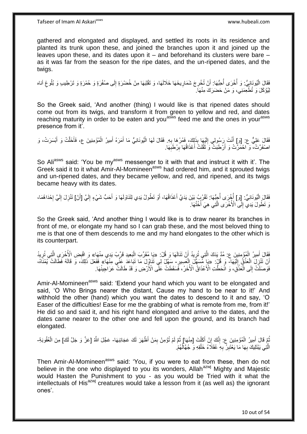gathered and elongated and displayed, and settled its roots in its residence and planted its trunk upon these, and joined the branches upon it and joined up the leaves upon these, and its dates upon it – and beforehand its clusters were bare – as it was far from the season for the ripe dates, and the un-ripened dates, and the twigs.

فَقَالَ الْيُونَانِيُّ: وَ أُخْرَى أُحِبُّهَا: أَنْ تُخْرِجَ شَمَارِيخَهَا خَلَالَهَا، وَ تَقْلِبَهَا مِنْ خُضْرَةٍ إِلَى صُفْرَةٍ وَ هُمْرَةٍ وَ تَرْطِيبِ وَ بُلُوغِ أناه ِ ِ ِ َ ا<br>ا ابل<br>ا :<br>إ ِ لِيُؤْكَلَ وَ تُطْعِّمَنِي، وَ مَنْ حَضَرَكَ مِنْهَا ۖ

So the Greek said, 'And another (thing) I would like is that ripened dates should come out from its twigs, and transform it from green to yellow and red, and dates reaching maturity in order to be eaten and you<sup>asws</sup> feed me and the ones in your<sup>asws</sup> presence from it'.

فَقَالَ عَلِيٌّ عَ: [وَ]ِ أَنْتَ رَسُولِي إِلَيْهَا بِذَلِكَ، فَمُرْ هَا بِهِ. فَقَالَ لَهَا الْيُونَانِيُّ مَا أَمَرَهُ أَمِيرُ الْمُؤْمِنِينَ ع، فَأَخَلَّتْ وَ أَبْسَرَتْ، وَ ِ لَ ∣∣<br>ِ َ َ ْ َ َ ْ اصْفَرَّتْ، وَ احْمَرَّتْ وَ أَرْطَبَتْ وَ تَقُلَتْ أَعْذَاقُهَا بِرُطَبِهَا. ِ **!** َ ة<br>أ

So Ali<sup>asws</sup> said: 'You be my<sup>asws</sup> messenger to it with that and instruct it with it'. The Greek said it to it what Amir-Al-Momineen<sup>asws</sup> had ordered him, and it sprouted twigs and un-ripened dates, and they became yellow, and red, and ripened, and its twigs became heavy with its dates.

فَقَالَ الْيُونَانِيُّ: [وَ] أُخْرَى أُحِبُّهَا: تَقْرُبُ بَيْنَ يَدَيَّ أَعْذَاقُهَا، أَوْ تَطُولُ يَدِي لِتَنَاوَلَهَا وَ أَحَدُّ شَيْءٍ إِلَيَّ [أَنْ] تَنْزِلَ إِلَيَّ إِحْدَاهُمَا، ابل<br>ا ُ َ اُ َ لَ ِ יֲ<br>י لَ ِ **ٍ** وَ تَطُولَ يَدِي إِلَى الْأُخْرَى الَّذِي هِيَ أُخْتُهَا. ابل<br>ا ه ِ

So the Greek said, 'And another thing I would like is to draw nearer its branches in front of me, or elongate my hand so I can grab these, and the most beloved thing to me is that one of them descends to me and my hand elongates to the other which is its counterpart.

فَقَالَ أَمِيرُ الْمُؤْمِنِينَ ع: مُدَّ يَدَكَ الَّتِي تُرِيدُ أَنْ تَتَالَهَا وَ قُلْ: «يَا مُقَرِّبَ الْبَعِيدِ قَرِّبْ يَدِي مِنْهَا» وَ اقْبِضِ الْأُخْرَىِ الَّتِي تُرِيدُ َ ¦ ه ْ َ ْ ِ ه ِ أَنْ تَنْزِلَ الْعَذْقُ إِلَيْهَا- وَ قُلْ: «يَا مِّسَهِّلَ الْعَسِيرِ- سَهِّلْ لِي تَنَاوُلَ مَا تَبَاعَدَ عَنّي مِنْهَا» فَفَعَلَ ذَلِكَ، وَ قَالَهُ فَطَالَتْ يُمْنَاهُ، لَ  $\frac{1}{2}$ **ٔ** ْ ِ اً ِ ْ فَوَصَلَتْ إِلَى الْمَذْقِ، وَ انْحَطَّتِ الْأَعْذَاقُ الْأُخَرُ، فَسَقَطَتْ عَلَّى الْأَرْضِ وَ قَدْ طَالَتْ عَرَاجِينُهَا. **ٔ** ْ ِ

Amir-Al-Momineen<sup>asws</sup> said: 'Extend your hand which you want to be elongated and said, 'O Who Brings nearer the distant, Cause my hand to be near to it!' And withhold the other (hand) which you want the dates to descend to it and say, 'O Easer of the difficulties! Ease for me the grabbing of what is remote from me, from it!' He did so and said it, and his right hand elongated and arrive to the dates, and the dates came nearer to the other one and fell upon the ground, and its branch had elongated.

ُّمَّ قَالَ أَمِيرُ الْمُؤْمِنِينَ عِ: إِنَّكَ إِنْ أَكَلْتَ [مِنْهَا] ثُمَّ لَمْ تُؤْمِنْ بِمَنْ أَظْهَرَ لَكَ عَجَائِبَهَا- عَجَّلَ اللَّهُ [عَزَّ وَ جَلَّ لَكَ] مِنَ الْعُقُوبَةِ-ْ َ ِ ∣l<br>∶ ْ َ ُ ِ الَّذِي يَبْتَلِيكَ بِهَا مَا يَعْتَبِرُ ۖ بِهِ عُقَلَاءُ خَلْقِهِ وَ جُهَّالُهُمْ. ْ ِ **!** ِ ُ

Then Amir-Al-Momineen<sup>asws</sup> said: 'You, if you were to eat from these, then do not believe in the one who displayed to you its wonders, Allah<sup>azwj</sup> Mighty and Majestic would Hasten the Punishment to you - as you would be Tried with it what the intellectuals of His $^{azwj}$  creatures would take a lesson from it (as well as) the ignorant ones'.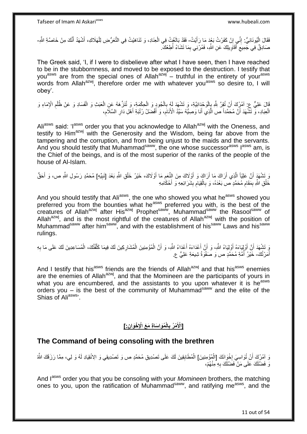فَقَالَ الْيُونَانِيُّ: إِنِّي إِنْ كَفَرْتُ بَعْدَ مَا رَأَيْتُ- فَقَدْ بَالَغْتُ فِي الْعِذَادِ، وَ تَنَاهَيْتُ فِي التَّعَرُّضِ لِلْهَلَاكِ، أَشْهَدُ أَنَّكَ مِنْ خَاصَّةِ اللَّهِ-َ ِ ِ َ َ ْ ْ صَادِقٌ فِي جَْمِيعِ أَقَاوِيلِكَ عَنِ اللَّهِ، فَمُرْنِي بِمَا تَشَاءُ أُطِعْكَ ۖ. ا<br>ا ِ ِ َ ِ

The Greek said, 'I, if I were to disbelieve after what I have seen, then I have reached to be in the stubbornness, and moved to be exposed to the destruction. I testify that you<sup>asws</sup> are from the special ones of Allah<sup>azwj</sup> – truthful in the entirety of your<sup>asws</sup> words from Allah<sup>azwj</sup>, therefore order me with whatever you<sup>asws</sup> so desire to, I will obey'.

قَالَ عَلِيٌّ عِ: آمُرُكَ أَنْ تُقِرَّ لِلَّهِ بِالْوَحْدَانِيَّةِ، وَ تَشْهَدَ لَهُ بِالْجُودِ وَ الْحِكْمَةِ، وَ تُنَزِّهَهُ عَنِ الْعَبَدْ وَ الْفَسَادِ وَ عَنْ ظُلْمِ الْإِمَاءِ وَ<br>أَوْنَ عَلَيُّ عَنْ خَلَفْهِ الْإِمَ ْ ِ َ ِ ْ ْ ْ ْ ْ **∶** الْعِبَادِ، وَّ تَشْهَدَ أَنَّ مُحَمَّداً ص الَّذِي أَنَا وَصِيَّهُ سَيِّدُ الْأَنَامَ، وَ أَفْضَلُ رُتْبَةِ أَهْلِ دَارِ السَّلَاَمِ، **ٍ** َ َ ِ َ ه ِ

Aliasws said: 'I<sup>asws</sup> order you that you acknowledge to Allah<sup>azwj</sup> with the Oneness, and testify to Him<sup>azwj</sup> with the Generosity and the Wisdom, being far above from the tampering and the corruption, and from being unjust to the maids and the servants. And you should testify that Muhammad<sup>saww</sup>, the one whose successor<sup>asws</sup> l<sup>asws</sup> am, is the Chief of the beings, and is of the most superior of the ranks of the people of the house of Al-Islam.

وَ تَشْهَدَ أَنَّ عَلِيّاً الَّذِي أَرَاكَ مَا أَرَاكَ وَ أَوْلَاكَ مِنَ النَّعَمِ مَا أَوْلَاكَ، خَيْرُ خَلْقِ اللَّهِ بَعْدَ [نَبِيّهِ] مُحَمَّدٍ رَسُولِ اللَّهِ ص، وَ أَحَقُّ ْ َ ِ اُ َ اُ ه اً ِ أ خَلْقِ اللَّهِ بِمَقَامِ مُحَمَّدٍ من بَعْدَهُ، وَ بِالْقِيَامِ بِشَرَائِعِهِ وَ أَحْكَامِهِ **∣** ِ ْ **∶** ِ ِ ْ َ

And you should testify that Ali<sup>asws</sup>, the one who showed you what he<sup>asws</sup> showed you preferred you from the bounties what he<sup>asws</sup> preferred you with, is the best of the creatures of Allah<sup>azwj</sup> after His<sup>azwj</sup> Prophet<sup>saww</sup>, Muhammad<sup>saww</sup> the Rasool<sup>saww</sup> of Allah $a^{2x}$ , and is the most rightful of the creatures of Allah $a^{2x}$  with the position of Muhammad<sup>saww</sup> after him<sup>saww</sup>, and with the establishment of his<sup>saww</sup> Laws and his<sup>saww</sup> Muhammad<sup>saww</sup> after him<sup>saww</sup>, and with the establishment of his<sup>saww</sup> Laws and his<sup>saww</sup> rulings.

يَ تَشْهَدَ أَنَّ أَوْلِيَاءَهُ أَوْلِيَاءُ اللَّهِ، وَ أَنَّ أَعْدَاءَهُ أَعْدَاءُ اللَّهِ، وَ أَنَّ الْمُؤْمِنِينَ الْمُشَارِكِينَ لَكَ فِيمَا كَلَّفْتُكَ، الْمُسَاعِدِينَ لَكَ عَلَى مَا بِهِ َ َ َ َ ِ ْ ه **ٍ** ْ ْ َ َ أَمَرْ ثُكَ- خَيْرُ ۖ أُمَّةٍ مُحَمَّدٍ ص وَ صَفْوَةُ شِيعَةٍ عَلِيٍّ ع َ ِ<br>ا

And I testify that his<sup>asws</sup> friends are the friends of Allah<sup>azwj</sup> and that his<sup>asws</sup> enemies are the enemies of Allah $a^{z}$ wj, and that the Momineen are the participants of yours in what you are encumbered, and the assistants to you upon whatever it is he<sup>asws</sup> orders you – is the best of the community of Muhammad<sup>saww</sup> and the elite of the Shias of Aliasws<sup>,</sup>

#### **ِن:[ ْخَوا ُمَوا َسا ِة َم َع اْإلِ الْ ْم ُر ب ]اْْلَ ِ**

# **The Command of being consoling with the brethren**

نَ لِمُرُكَ أَنْ تُوَاسِيَ إِخْوَانَكَ [الْمُؤْمِنِينَ] الْمُطَابِقِينَ لَكَ عَلَى تَصْدِيقِ مُحَمَّدٍ ص وَ تَصْدِيقِي وَ الِانْقِيَادِ لَهُ وَ لِي، مِمَّا رَزَقَكَ اللَّهُ ْ ·<br>∶ **∣** ْ وَ فَضَّلَكَ عَلَى مَنْ فَضَّلَكَ بِهِ مِنْهُمْ، **∶** 

And I<sup>asws</sup> order you that you be consoling with your *Momineen* brothers, the matching ones to you, upon the ratification of Muhammad<sup>saww</sup>, and ratifying me<sup>asws</sup>, and the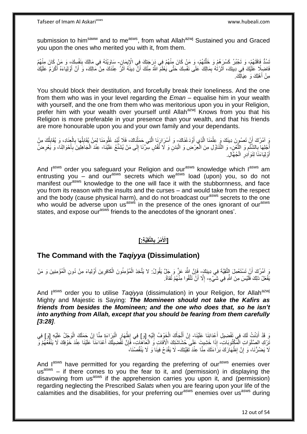submission to him<sup>saww</sup> and to me<sup>asws</sup>, from what Allah<sup>azwj</sup> Sustained you and Graced you upon the ones who merited you with it, from them.

ِّسُدُّ فَاقَتَهُمْ، وَ تَجْبُرُ كَسْرَهُمْ وَ خَلَّتَهُمْ، وَ مَنْ كَانَ مِنْهُمْ فِي دَرَجَتِكَ فِي الْإِيمَانِ- سَاوَيْتَهُ فِي مَالِكَ بِنَفْسِكَ، وَ مَنْ كَانَ مِنْهُمْ<br>مَسْدُّ فَاقَتَهُمْ، وَ تَجْبُرُ نِسْمَةٍ، مَنْ ه ِ فَاضِلِا عَلَيْكَ فِي دِينِكَ، آثَرْتُهُ بِمَالِكَ ٰعَلَى نَفْسِكَ حَتَّى يَعْلَمَ اللَّهُ مِنْكَ أَنَّ دِينََهُ آثَرُ عِنْدَكَ مِنْ مَالِكَ، وَ أَنَّ أَوْلِيَاءَهُ أَكْرَمُ عَلَيْكَ َ َ ِ َ َ َ َ مِنْ أَهْلِكَ وَ عِيَالِكَ.

You should block their destitution, and forcefully break their loneliness. And the one from them who was in your level regarding the *Eman* – equalise him in your wealth with yourself, and the one from them who was meritorious upon you in your Religion, prefer him with your wealth over yourself until Allah<sup>azwj</sup> Knows from you that his Religion is more preferable in your presence than your wealth, and that his friends are more honourable upon you and your own family and your dependants.

وَ آمُرُكَ أَنْ تَصُوِنَ دِينَكَ وَ عِلْمَنَا الَّذِي أَوْدَعْنَاكَ- وَ أَسْرَارَنَا الَّتِي حَمَلْنَاكَ، فَلَا تُبْدِ عُلُومَنَا لِمَنْ يُقَابِلُهَا بِالْعِنَادِ، وَ يُقَابِلُكَ مِنْ َ ه ْ اُ ِ ْ ِ ُ ِ ْ ه َ ْ أَجْلِهَا بِالشَّنْعِ وَ اللَّغْنِ- وَ النَّتَاوُلِ مِنَ الْعِرْضِ وَ الْبَدَنِ وَ لَا تُفْشِ سِرَّنَا إِلَى مَنْ يُشَنِّعُ عَلَيْنَا- عِنْدَ الْجَاهِلِينَ بِأَحْوَالِنَا، وَ يَعْرِضُ ه ِ **∶** ا<br>ا ْ ْ ِ ِ َ ِ ْ أَوْلِيَاءَنَا لِنَوَادِرِ الْجُهَّالِ. ْ ِ َ

And lasws order you safeguard your Religion and our<sup>asws</sup> knowledge which lasws am entrusting you – and our<sup>asws</sup> secrets which we<sup>asws</sup> load (upon) you, so do not manifest our<sup>asws</sup> knowledge to the one will face it with the stubbornness, and face you from its reason with the insults and the curses – and would take from the respect and the body (cause physical harm), and do not broadcast our<sup>asws</sup> secrets to the one who would be adverse upon us<sup>asws</sup> in the presence of the ones ignorant of our<sup>asws</sup> states, and expose our<sup>asws</sup> friends to the anecdotes of the ignorant ones'.

#### **الَّتقَِّي ِة:[ ْم ُر ب ]اْْلَ ِ**

## **The Command with the** *Taqiyya* **(Dissimulation)**

َو آمُرُكَ أَنْ تَسْتَعْمِلَ إِلتَّقِيَّةَ فِي دِينِكَ- فَإِنَّ اللَّهَ عَزَّ وَ جَلٍّ يَقُولُ: لا يَتَّخِذِ الْمُؤْمِنُونَ الْكافِرِينَ أَوْلِياءَ مِنْ دُونِ الْمُؤْمِنِينَ وَ مَنْ ْ َ ِ ْ ْ ِ يَفْعَلْ ذلِكَ فَلَيْسَ مِنَ اللَّهِ فِي شَيِّيْءٍ- إِلَّا أَنَّ تَتَّقُوا مِنْهُمْ تُقاةً. َ ِ

And lasws order you to utilise *Taqiyya* (dissimulation) in your Religion, for Allah<sup>azwj</sup> Mighty and Majestic is Saying: *The Momineen should not take the Kafirs as friends from besides the Momineen; and the one who does that, so he isn't into anything from Allah, except that you should be fearing from them carefully [3:28]*.

رَ قَدْ أَذِنْتُ لَكَ فِي تَفْضِيلِ أَعْدَائِنَا عَلَيْنَا- إِنْ أَلْجَأَكَ الْخَوْفُ إِلَيْهِ [وَ] فِي إِظْهَارِ الْبَرَاءَةِ مِنَّا إِنْ حَمَلَكَ الْوَجَلُ عَلَيْهِ [وَ] فِي اً<br>ا َ لَ ِ ْ َ ْ َ ِ ْ ِ ْ ِ ∣<br>∶ َنِّرْكِ الصَّلَوَاتِ الْمَكْتُوبَاتِ- إِذَا خَشِيتَ عَلَىَ حُشَاشَنِكَ الْأَفَاتِ وَ الْعَاهَاتِ، فَإِنَّ تَفْضِيلَكَ أَعْدَاءَنَا عَلَيْنَا عِنْدَ خَوْفِكَ لَا يَنْفَعُهُمْ وَ ْ َ ِ ْ لَا يَضُرُّنَا، ۚ وَ إِنَّ إِظْهَارَكَ بَرَٰاءَتَكَ مِنَّا عِنْدَ تَقِيَّتِكَ- لَا يَقْدَحُ فِينَا وَ لَا يَنْقُصُنَا، ۖ ِ ِ

And lasws have permitted for you regarding the preferring of our<sup>asws</sup> enemies over us<sup>asws</sup> – if there comes to you the fear to it, and (permission) in displaying the disavowing from us<sup>asws</sup> if the apprehension carries you upon it, and (permission) regarding neglecting the Prescribed *Salats* when you are fearing upon your life of the calamities and the disabilities, for your preferring our<sup>asws</sup> enemies over us<sup>asws</sup> during

12 out of 54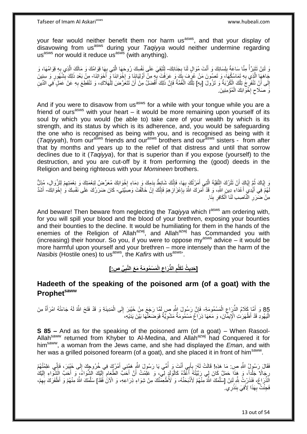your fear would neither benefit them nor harm us<sup>asws</sup>, and that your display of disavowing from us<sup>asws</sup> during your *Taqiyya* would neither undermine regarding us<sup>asws</sup> nor would it reduce us<sup>asws</sup> (with anything).

وَ لَئِنْ تَتَبَرَّأُ مِنَّا سَاعَةً بِلِسَانِكَ وَ أَنْتَ مُوَالٍ لَنَا بِجَذَانِكَ- لِتُبْقِيَ عَلَى نِفْسِكَ رُوحَهَا الَّذِي بِهِها قِوَامُكَ وَ مَالَكَ الَّذِي بِهِ قِوَامُهَا، وَ **∶** َ ِ ال<br>أحداث السياسية<br>محمد السياسية ِ ه ِ ه جَاهَهَا الَّذِي بِهِ تَمَاسُكُهَا)، وَ تَصُونَ مَنْ عُرُفَ بِكَ وَ عَرَفْتَ بِهِ مِنْ أُوْلِيَائِنَا وَ اِخْوَاتِنَا وَ أَنَّفَ النَّالَ عِنْ أَوْلِيَائِذَا وَ أَنْفُلُوا بَعْدَ ذَلِكَ بِشُهُورٍ وَ سِنِينَ<br>مَعْ الْجَامِع **׀** ِ **∶** ه َ **∶** اُ ¦ ِ إِلَى أَنِّ تَنْفَرِجَ تِلْكَ الْكُرْبَةُ وَ تَزُولَ [بِهِ] تِلْكَ الْغُمَّةُ فَإِنَّ ذَلِكَ أَفْضَلُ مِنْ أَنْ تَتَعَرَّضَ لِلْهَلَاكِ، وَ تَنْقَطِعَ بِهِ عَنْ عَمَلٍ فِي الدِّينِ **∶** ْ ِ اً ِ ِ ْ اُ َ ِ ْ ْ وَ صَلَاحٍ إِخْوَانِكَ الْمُؤْمِنِينَ. ْ ·<br>∶  $\zeta$ 

And if you were to disavow from us<sup>asws</sup> for a while with your tongue while you are a friend of ours<sup>asws</sup> with your heart  $-$  it would be more remaining upon yourself of its soul by which you would (be able to) take care of your wealth by which is its strength, and its status by which is its adherence, and, you would be safeguarding the one who is recognised as being with you, and is recognised as being with it (*Taqiyya*h), from our<sup>asws</sup> friends and our<sup>asws</sup> brothers and our<sup>asws</sup> sisters - from after that by months and years up to the relief of that distress and until that sorrow declines due to it (*Taqiyya*), for that is superior than if you expose (yourself) to the destruction, and you are cut-off by it from performing the (good) deeds in the Religion and being righteous with your *Momineen* brothers.

وَ إِيَّاكَ ثُمَّ إِيَّاكَ أَنْ تَتْرُكَ النَّقِيَّةَ الَّذِي أَمَرْتُكَ بِهَا، فَإِنَّكَ شَائِطٌ بِدَمِكَ وَ دِمَاءِ إِخْوَانِكَ مُعَرِّضٌ لِنِعْمَتِكَ وَ نِعْمَتِهِمْ لِلزَّوَالِ، مُزِلٍّ ·<br>∶ ِ ∣اٍ<br>∶ **∶** َ ه َ **ְן** ا ماہ<br>سال ِ لَّهُمّْ فِي أَيْدِيَ أَعْدَاءِ دِينٍ اللَّهِ، وَ قَدْ أَمَرَكَ اللَّهُ بِإِعْزَاَزِهِمْ فَإِنَّكَ إِنْ خَالَّفْتَ وَصَبَّتِي- كَانَ ضَرَرُكَ عَلَى نَفْسِكَ وَ إِخْوَانِكَ- أَشَدَّ ِ ِ ِ ِ ِ َ َ **∶** َ **∣** مِنْ ضَرَرِ الْنَّاصِي لَنَا الْكَافِرِ بِنَا. ِ ْ ِ

And beware! Then beware from neglecting the *Tagivya* which l<sup>asws</sup> am ordering with, for you will spill your blood and the blood of your brethren, exposing your bounties and their bounties to the decline. It would be humiliating for them in the hands of the enemies of the Religion of Allah<sup>azwj</sup>, and Allah<sup>azwj</sup> has Commanded you with (increasing) their honour. So you, if you were to oppose my<sup>asws</sup> advice – it would be more harmful upon yourself and your brethren – more intensely than the harm of the *Nasibis* (Hostile ones) to us<sup>asws</sup>, the *Kafirs* with us<sup>asws</sup>.

> **ِّي ص:[ َم ْس ُمو َم ِة َم َع الَّنب الْ َراع الذِّ ] َحِدي ُث َتَكلُّم ِ ِ ِ**

# **Hadeeth of the speaking of the poisoned arm (of a goat) with the Prophetsaww**

85 وَ أَهَّا كَلَامُ الذِّرَاعِ الْمَسْمُومَةِ- فَإِنَّ رَسُولَ اللَّهِ صِ لَمَّا رَجَعَ مِنْ خَيْبَرَ إِلَى الْمَدِينَةِ وَ قَدْ فَتَحَ اللَّهُ لَهُ جَاءَتْهُ امْرَأَةٌ مِنَ<br>أَيُّهُ مَعَ أَوْجَعَ أَوْجَعَ النَّذِي رَجَعَ ْ ْ ِ ِ َ الْيَهُودِ قَدْ أَظْهَرَاتِ الْإِيمَانَ، وَ مَعَهَا ذِرَاعٌ مَسْمُومَةٌ مَشْوِيَّةٌ فَوَضَعَتْهَا بَيْنَ يَدَيْهِ، ِ ا<br>ا

**S 85 –** And as for the speaking of the poisoned arm (of a goat) – When Rasool-Allah<sup>saww</sup> returned from Khyber to Al-Medina, and Allah<sup>azwj</sup> had Conquered it for himsaww, a woman from the Jews came, and she had displayed the *Eman*, and with her was a grilled poisoned forearm (of a goat), and she placed it in front of him<sup>saww</sup>.

فَقَالَ رَسُولُ اللَّهِ صِ: مَا هَذِهِ! قَالَتْ لَهُ: بِأَبِي أَنْتَ وَ أُمِّي يَا رَسُولَ اللَّهِ هَمَّنِي أَمْرُكَ فِي خُرُوجِكَ إِلَى خَيْبَرَ، فَإِنِّي عَلِمْتُهُمْ ِ َ ا<br>ا َ َ **∶**  $\frac{1}{2}$ َ رِجَالًا جَلْداً، وَ هَذَا حَمَلٌ كَانَ لِي رَبَّيْتُهُ أَعْدُهُ كَالْوَلَدٍ لِيٍّ، وَ عَلِمْتُ أَنَّ أَحَبَّ الظَّعَامِ إِلَيْكَ الشِّوَاءُ، وَ أَحَبَّ الشَّوَاءِ إِلَيْكَ َ ْ َ ْ ¦ لَ ِ َ لَ ِ ِ الَّذُّرَاغِ، فَنَذَرْتُ شِّهِ لَئِنْ [سَلَّمَكَ اللَّهُ مِنْهُمْ لَأَنْبَحَنَّهُ- وَ لَأُطْعِمَّنَّكَ مِنْ شِوَاءِ ذِرَاعِهِ، وَ الْآنَ فَقَدْ] سَلَّمَكَ اللَّهُ مِنْهُمْ وَ اَظْفَرَكَ بِهِمْ، **ٔ** ه ِّ ِ ه ِ فَجِئْتُ بِهَذَا لِأَفِيَ بِنَذْرِي ۖ **ٔ ∣ ∶** 

13 out of 54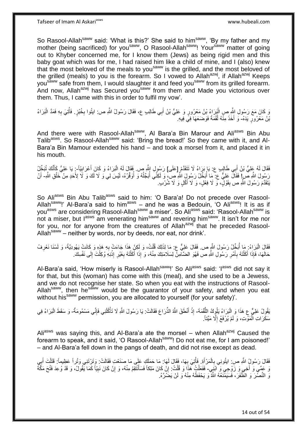Tafseer of Imam Al Askariasws www.hubeali.com

So Rasool-Allah<sup>saww</sup> said: 'What is this?' She said to him<sup>saww</sup>, 'By my father and my mother (being sacrificed) for you<sup>saww</sup>, O Rasool-Allah<sup>saww</sup>! Your<sup>saww</sup> matter of going out to Khyber concerned me, for I know them (Jews) as being rigid men and this baby goat which was for me, I had raised him like a child of mine, and I (also) knew that the most beloved of the meals to you<sup>saww</sup> is the grilled, and the most beloved of the grilled (meals) to you is the forearm. So I vowed to Allah<sup>azwj</sup>, if Allah<sup>azwj</sup> Keeps you<sup>saww</sup> safe from them, I would slaughter it and feed you<sup>saww</sup> from its grilled forearm. And now, Allah<sup>azwj</sup> has Secured you<sup>saww</sup> from them and Made you victorious over them. Thus, I came with this in order to fulfil my vow'.

يْ كَانَ مَعَ رَسُولِ النَّهِ صِ الْبَرَاءُ بْنُ مَعْرُورٍ وَ عَلِيٌّ بْنُ أَبِي طَالِبٍ ع، فَقَالَ رَسُولُ اللَّهِ ص اليُوا بِخُبْزٍ فَأُتِيَ بِهِ فَمَدَّ الْبَرَاءُ َ ْ ْ ِ ُ ِ بْنُ مَعْرُورٍ يَدَهُ- وَ أَخَذَ مِنْهُ لُقْمَةً فَوَضَعَهَا فِي فِيهِ. ا:<br>ا

And there were with Rasool-Allah<sup>saww</sup>, Al Bara'a Bin Marour and Ali<sup>asws</sup> Bin Abu Talib<sup>asws</sup>. So Rasool-Allah<sup>saww</sup> said: 'Bring the bread!' So they came with it, and Al-Bara'a Bin Mamour extended his hand – and took a morsel from it, and placed it in his mouth.

فَقَالَ لَهُ عَلِيُّ بْنُ أَبِي طَالِبٍ ع: يَا بَرَاءُ لَا تَتَقَدَّمْ [عَلَى] رَسُولِ اللَّهِ ص. فَقَالَ لَهُ الْبَرَاءُ وَ كَانَ أَعْرَابِيّاً- ٍ يَا عَلِيُّ كَأَنَّكَ تُنَجِّلُ َ ِ َ ْ َ ُ رَسُولَ اللَّهِ صَرٍ! فَقَالَ عَلِيٌّ عَ. مَا أُبَخِّلُ رَسُولٍ اللَّهِ صِّ، وَ لَكِنِّيَ أُبَحِّلُهُ وَ أُوَقِّرُهُ، لَيْسَ لِي وَ لَا لَكَ وَ لَا لِأَحَدِ مِنْ خَلْقِ اللَّهِ- أَنْ ر<br>ا ْ ُ َ يَتَقَدَّمَ رَسُولَ اللَّهِ ص بِقَوْلٍۗ، ۖ وَ لَا فِعْلٍ، وَ لَا أَكْلٍ وَ لَا شُرْبٍ ِ َ **∣** 

So Aliasws Bin Abu Talibasws said to him: 'O Bara'a! Do not precede over Rasool-Allah<sup>saww</sup>!' Al-Bara'a said to him<sup>asws</sup> – and he was a Bedouin, 'O Ali<sup>asws</sup>! It is as if you<sup>asws</sup> are considering Rasool-Allah<sup>saww</sup> a miser'. So Ali<sup>asws</sup> said: 'Rasool-Allah<sup>saww</sup> is not a miser, but  $1^{35}$  am venerating him<sup>saww</sup> and revering him<sup>saww</sup>. It isn't for me nor for you, nor for anyone from the creatures of Allah $a$ <sup>2wij</sup> that he preceded Rasool-Allah<sup>saww</sup> – neither by words, nor by deeds, nor eat, nor drink'.

فَقَالَ الْبَرَاءُ بِمَا أُبَخِّلُ رَسُولَ اللَّهِ ص. فَقَالَ عَلِيٌّ ع. مَا لِذَلِكَ قُلْتُ، وَ لَكِنْ هَذَا جَاءَتْ بِهِ هَذِهِ وَ كَانَتْ يَهُودِيَّةً، وَ لَسْنَا نَعْرِفُ ُ ِ **∶** ْ حَالَهَا، فَإِذَا أَكَلْتَهُ بِأَمْرِ رَسُولِ اللَّهِ ص فَهُوَ الضَّأْمِنُ لِسَلَامَنِكَ مِنْهُ، وَ إِذَا أَكَلْتَهُ بِغَيْرِ إِذْنِهِ وُكِلْتَ إِلَى نَفْسِكَ. **∶** َ ِ ֦֖֖֖֦֦֖֦֧֦֦֖֧֦֦֧֦֧֦֧֦֪֪֦֧֦֧֦֪֪֦֧֦֧֦֧֦֧֦֧֦֧֦֧֪֪֧֧֪֧֧֝֟֟֟֟֟֟֟֟֟֟֟֟֟֟֟֟֟֟֟֟֟֟֟֟֟֟֟֩֕֞֟֟֓֞֟֟֟֓֞֟֟֩֓֞֟֓֞֟֟֩֓֞֟֟֞֟֝֟֝ َ ْ **ٔ** ِ **∶** ْ َ ِ

Al-Bara'a said, 'How miserly is Rasool-Allah<sup>saww</sup>!' So Ali<sup>asws</sup> said: 'I<sup>asws</sup> did not say it for that, but this (woman) has come with this (meal), and she used to be a Jewess, and we do not recognise her state. So when you eat with the instructions of Rasool-Allah<sup>saww</sup>, then he<sup>saww</sup> would be the quarantor of your safety, and when you eat without his<sup>saww</sup> permission, you are allocated to yourself (for your safety)'.

يَقُولُ عَلِيٌّ عِ هَذَا وَ اِلْبَرَاءُ يَلُوكُ اللُّقْمَةَ- إِذْ أَنْطَقَ اللَّهُ الذِّرَاعَ فَقَالَتْ: يَا رَسُولَ اللَّهِ لَا تَأْكُلْنِي فَإِنِّي مَسْمُومَةٌ- وَ سَقَطَ الْبَرَاءُ فِي ُّ ْ ا∣<br>ِ∘ِ ْ ْ َ **ٔ** ْ سَكَرَاتِ الْمَوَّتِ، وَ لَمْ يُرْفَعْ إِلَّا مَيِّتَأَ ِ ْ

Ali<sup>asws</sup> was saying this, and Al-Bara'a ate the morsel – when Allah<sup>azwj</sup> Caused the forearm to speak, and it said, 'O Rasool-Allah<sup>saww</sup>! Do not eat me, for I am poisoned!' – and Al-Bara'a fell down in the pangs of death, and did not rise except as dead.

فَقَالَ رَسُولُ اللَّهِ ص: ايتُونِي بِالْمَرْأَةِ. فَأُتِيَ بِهَا، فَقَالَ لَمَا: مَا حَمَلَكِ عَلَى مَا صَنَعْتِ فَقَالَتْ: وَتَرْتَنِي وَتْراً عَظِيماً: قَتَلْتَ أَبِي ِ ْ **∶** ُ َ ِ َ نَ عَمِّي وَ أَخِي وَ زَوْجِي وَ ۗابْنِِي- فَفَعَلْتُ هَذَا وَ قُلْتُ: إِنْ كَانَ مَلِكاً فَسَأَنْتَقِمُ مِنْهُ، وَ إِنْ كَانَ نَبِيّاً كَمَا يَّقُولُ، وَ قَدْ وُعِدَ فَتْحَ مَكَّةً ِ َ ِ ْ ْ ِ وَ النَّصَّرَ وَ الظَّفَرَ ، فَسَيَمّْنَعُهُ اللَّهُ ۖ وَ يَحْفَظُهُ مِنْهُ وَ لَنْ يَضُرِّهُ.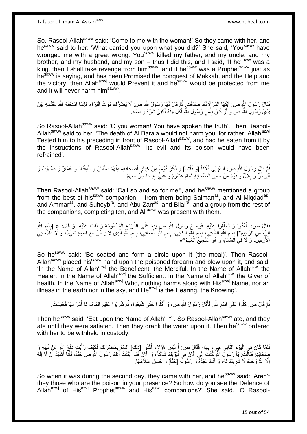Tafseer of Imam Al Askariasws www.hubeali.com

So, Rasool-Allah<sup>saww</sup> said: 'Come to me with the woman!' So they came with her, and hesaww said to her: 'What carried you upon what you did?' She said, 'Yousaww have wronged me with a great wrong. You<sup>saww</sup> killed my father, and my uncle, and my brother, and my husband, and my son - thus I did this, and I said, 'If he<sup>saww</sup> was a king, then I shall take revenge from him<sup>saww</sup>, and if he<sup>saww</sup> was a Prophet<sup>saww</sup> just as he<sup>saww</sup> is saying, and has been Promised the conquest of Makkah, and the Help and the victory, then Allah<sup>azwj</sup> would Prevent it and he<sup>saww</sup> would be protected from me and it will never harm him<sup>saww</sup>.

فَقَالَ رَسُولُ النَّهِ ص: أَيَّتُهَا الْمَرْأَةُ لَقَدْ صَدَقْتِ ۚ ثُمَّ قَالَ لَهَا رَسُولُ اللَّهِ ص: لَا يَضُرُّكِ مَوْتُ الْبَرَاءِ فَإِنَّمَا امْتَحَذَهُ اللَّهُ لِتَقَدُّمِهِ بَيْنَ ا د َ ْ َ ׀ו<br>ְי ْ بَدَيْ رَسُولِ اللَّهِ ص وَ لَوْ كَانَ بِأَمْرِ رَسُولِ اللَّهِ أَكَٰلَ مِنْهُ لَكُفِيَ شَرَّهُ وَ سَمَّهُ. َ **∶** َ ِ

So Rasool-Allah<sup>saww</sup> said: 'O you woman! You have spoken the truth'. Then Rasool-Allah<sup>saww</sup> said to her: 'The death of Al Bara'a would not harm you, for rather, Allah<sup>azwj</sup> Tested him to his preceding in front of Rasool-Allah<sup>saww</sup>, and had he eaten from it by the instructions of Rasool-Allah<sup>saww</sup>, its evil and its poison would have been refrained'.

نْعَ قَالَ رَسُولُ اللَّهِ ص: ادْعُ لِي فُلَاناً [وَ فُلَاناً] وَ ذَكَرَ قَوْماً مِنْ خِيَارِ أَصْحَابِهِ- مِنْهُمْ سَلْمَانُ وَ الْمِقْدَادُ وَ عَمَّارٌ وَ صُهَيْبٌ وَ **∶** َ ِ ْ ْ أَبُو ذَرٍّ وَ بِلَالٌ وَ قَوْمٌ مِنْ سَائِرِ الصَّحَابَةِ ثَمَامُ عَشَرَةٍ وَ عَلِيٌّ ع حَاضِرٌ مَعَهُمْ. ِ **∶** َ

Then Rasool-Allah<sup>saww</sup> said: 'Call so and so for me!', and he<sup>saww</sup> mentioned a group from the best of his<sup>saww</sup> companion – from them being Salman<sup>as</sup>, and Al-Miqdad<sup>as</sup>, and Ammar<sup>as</sup>, and Suheyb<sup>ra</sup>, and Abu Zarr<sup>as</sup>, and Bilal<sup>ra</sup>, and a group from the rest of the companions, completing ten, and Ali<sup>asws</sup> was present with them.

فَقَالَ ص: اقْعُدُوا وَ تَحَلَّقُوا عَلَيْهِ. فَوَضَعَ رَسُولُ اللَّهِ صِ يَدَهُ عَلَى الذِّرَاعِ الْمَسْمُومَةِ وَ نَفَثَ عَلَيْهِ، وَ قَالَ: « [بِسْمِ اللَّهِ ه ْ ِ ِ ِ الزِّحْمنِ الرَّحِيمِ\*] بِسْمِ اللَّهِ الشَّافِي، بِسْمِ اللَّهِ الْكَافِي، بِسْمِ اللَّهِ الْمُعَافِي، بِسْمِ اللَّهِ الَّذِي لَا يَضُنُّ مَعَ اسْمِهِ شَيْءٌ، وَ لَا دَاءٌ- فِي ِ ه ِ ِ ْ ِ **!** ْ ِ **!** ِ ¦ الْأَرْضِّ، وَ لَا َفِي الَسَّمَاءِ وَ هُوَ الْسَّمِيعُ الْعَلِيمُ\*». ْ

So he<sup>saww</sup> said: 'Be seated and form a circle upon it (the meal)'. Then Rasool-Allah<sup>saww</sup> placed his<sup>saww</sup> hand upon the poisoned forearm and blew upon it, and said: 'In the Name of Allah<sup>azwj</sup> the Beneficent, the Merciful. In the Name of Allah<sup>azwj</sup> the Healer. In the Name of Allah<sup>azwj</sup> the Sufficient. In the Name of Allah<sup>azwj</sup> the Giver of health. In the Name of Allah<sup>azwj</sup> Who, nothing harms along with His<sup>azwj</sup> Name, nor an illness in the earth nor in the sky, and He $^{a}$ zwj is the Hearing, the Knowing'.

ُمَّ قَالَ ص: كُلُوا عَلَى اسْمِ اللَّهِ. فَأَكَلَ رَسُولُ اللَّهِ ص، وَ أَكَلُوا حَتَّى شَبِعُوا، ثُمَ شَرِبُوا عَلَيْهِ الْمَاءَ، ثُمَّ أَمَرَ بِهَا فَحُبِسَتْ. ُ ِ َ َ ِ ُ ِ ِ َ ُ ْ ِ

Then he<sup>saww</sup> said: 'Eat upon the Name of Allah<sup>azwj</sup>'. So Rasool-Allah<sup>saww</sup> ate, and they ate until they were satiated. Then they drank the water upon it. Then he<sup>saww</sup> ordered with her to be withheld in custody.

فَلَمَّا كَانَ فِي الْيَوْمِ الثَّانِي جِيءَ بِهَا- فَقَالٍَ ص: أَ لَيْسَ هَؤُلَاءِ أَكَلُوا [ذَلِكِ] السَّمَّ بِحَضْرَتِكِ فَكَيْفَ رَأَيْتٍ دَفْعَ اللَّهِ عَنْ نَبِيِّهِ وَ ه ِ ْ **∶** َ لَ َ َ **∶** ِ صِحَابَتِهِ فَقَالَتْ: يَا رَسُولَ اللَّهِ كُنْتُ إِلَى الْارَ فِي نُبُوَّتِكَ شَاكَةً، وَ الْاَنَ فَقَدْ أَيْقَنْتُ أَنَّكَ رَسُولُ اللَّهِ ص حَقّاً، فَأَنَا أَشْهَدُ أَنْ لَا إِلَهَ َ َ ∣∣<br>∶ لَ ِ َ َ َ إِلَّا اللَّهُ وَحْدَهُ لَا شَرِيكَ لَهُ، وَ أَنَّكَ عَبْدُهُ وَ رَسُولُهُ [حَقّاً] وَ حَسُنَ إِسْلَامُهَا. ِ ِ ِ י<br>ו َ لَ

So when it was during the second day, they came with her, and he<sup>saww</sup> said: 'Aren't they those who are the poison in your presence? So how do you see the Defence of Allah<sup>azwj</sup> of His<sup>azwj</sup> Prophet<sup>saww</sup> and His<sup>azwj</sup> companions?' She said, 'O Rasool-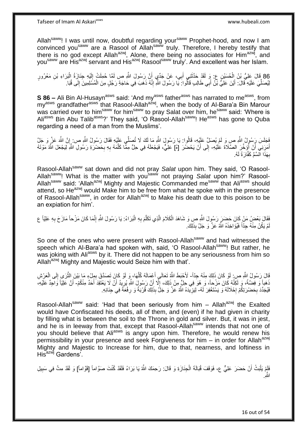Allah<sup>saww</sup>! I was until now, doubtful regarding your<sup>saww</sup> Prophet-hood, and now I am convinced you<sup>saww</sup> are a Rasool of Allah<sup>saww</sup> truly. Therefore, I hereby testify that there is no god except Allah<sup>azwj</sup>, Alone, there being no associates for Him<sup>azwj</sup>, and you<sup>saww</sup> are His<sup>azwj</sup> servant and His<sup>azwj</sup> Rasool<sup>saww</sup> truly'. And excellent was her Islam.

86 قَالَ عَلِيُّ بْنُ الْحُسَيْنِ عِ. وَ لَقَدْ حَذَّثَنِي أَبِي، عَنْ جَدِّي أَنَّ رَسُولَ اللَّهِ ص لَمَّا حُمِلَتْ إِلَيْهِ جِنَازَةُ الْبَرَاءِ بْنِ مَعْرُورٍ ْ لَ ِ اُ ِ َ ْ ِ لِيُصَلِّيَ عَلَيْهِ قَالَ: أَيْنَ عَلِيُّ بِّنْ أَبِي طَالِبٍ قَالُوا: يَا رَسُولَ اللَّهِ إِنَّهُ ذَهَبَ فِي حَاجَةِ رَجُلٍ مِنَ الْمُسَلِمِينَ إِلَى قُبَا. َ َ ِ ْ

**S 86 –** Ali Bin Al-Husayn<sup>asws</sup> said: 'And my<sup>asws</sup> father<sup>asws</sup> has narrated to me<sup>asws</sup>, from my<sup>asws</sup> grandfather<sup>asws</sup> that Rasool-Allah<sup>azwj</sup>, when the body of Al-Bara'a Bin Marour was carried over to him<sup>saww</sup> for him<sup>saww</sup> to pray Salat over him, he<sup>saww</sup> said: 'Where is Aliasws Bin Abu Talib<sup>asws</sup>?' They said, 'O Rasool-Allah<sup>saww</sup>! He<sup>asws</sup> has gone to Quba regarding a need of a man from the Muslims'.

فَجَلَسَ رَسُولُ اللَّهِ صِ وَ لَمْ يُصَلِّ عَلَيْهِ، قَالُوا: يَا رَسُولَ اللَّهِ مَا لَكَ لَا تُصَلِّي عَلَيْهِ فَقَالَ رَسُولُ اللَّهِ ص إِنَّ اللَّهَ عَزَّ وَ جَلَّ ِ أَمَرَنِي أَنْ أُؤَخِّرَ الصَّلَاةَ عَلَيْهِ- إِلَى أَنْ يَحْضُرَ [هُ] عَلِيٌّ، فَيَجْعَلَهُ فِي حِلٍّ مِمَّا كَلَّمَهُ بِهِ بِحَضْرَةِ رَسُولِ اللَّهِ لِيَجْعَلَ اللَّهُ مَوْتَهُ ِ<br>ا ۔<br>ا َ اً  $\frac{1}{2}$ ِ ِ ه بِهَذَا الْسَّمِّ كَفَّارَةً لَهُ. **∶** 

Rasool-Allah<sup>saww</sup> sat down and did not pray Salat upon him. They said, 'O Rasool-Allah<sup>saww</sup>! What is the matter with you<sup>saww</sup> not praying Salat upon him?' Rasool-Allah<sup>saww</sup> said: 'Allah<sup>azwj</sup> Mighty and Majestic Commanded me<sup>saww</sup> that Ali<sup>asws</sup> should attend, so He<sup>azwj</sup> would Make him to be free from what he spoke with in the presence of Rasool-Allah<sup>saww</sup>, in order for Allah<sup>azwj</sup> to Make his death due to this poison to be an expiation for him'.

فَقَالَ بَعْضُ مَنْ كَانَ حَضِبَرٍ رَسُولَ اللَّهِ صِ وَ شَاهَدَ الْكَلَامَ الَّذِي تَكَلَّمَ بِهِ الْبَرَاءُ: يَا رَسُولَ اللَّهِ إِنَّمَا كَانَ مَزْحاً مَازَحَ بِهِ عَلِيّاً ع ِ ْ ِ ه ه ْ ِ مْ يَكُنْ مِنْهُ جِدّاً فَيُؤَاخِذَهُ اللَّهُ عَزَّ وَ جَلَّ بِذَلِكَ. لَ

So one of the ones who were present with Rasool-Allahsaww and had witnessed the speech which Al-Bara'a had spoken with, said, 'O Rasool-Allah<sup>saww</sup>! But rather, he was joking with Ali<sup>asws</sup> by it. There did not happen to be any seriousness from him so Allah<sup>azwj</sup> Mighty and Majestic would Seize him with that'.

قَالَ رَسُولُ إِللَّهِ صِ ۚ لَوْ كَانَ ذَلِكَ مِنْهُ جِدّاً- لَأَحْبَطَ اللَّهُ تَعَالَى أَعْمَالَهُ كُلَّهَا، وَ لَوْ كَانَ تَصنَّقَ بِمِلْءٍ مَا بَيْنَ الثَّرَى إِلَى الْعَرْشِ ِ ه َ ْ ِ ه دَهباً وَ فِضَّةً، وَ لَكِنَّهُ كَانَ مَزْحاً، وَ هُوَ فِي حِلٍّ مِنْ ذَلِكَ، إِلَّا أَنَّ رَسُولٍ اللَّهِ يُرِيدُ أَنْ لَا يَعْتَقِدَ أَحَدٌ مِنْكُمْ- أَنَّ عَلِيّاً وَاجِدٌ عَلَيْهِ، َ ِ اُ ِ َ فَيُجَدِّدَ بِحَضْرَتِكُمْ إِحْلَالَهُ وَ يَسْتَغْفِرَ لَهُ- لِيَزِيِّدَهُ اللَّهُ عَزَّ وَ جَلَّ بِذَلِكَ قُرْبَةً وَ رِفْعَةً فِي جِذَانِهِ.  $\cdot$ ِ **ٍ** ِ

Rasool-Allah<sup>saww</sup> said: 'Had that been seriously from him – Allah<sup>azwj</sup> the Exalted would have Confiscated his deeds, all of them, and (even) if he had given in charity by filling what is between the soil to the Throne in gold and silver. But, it was in jest, and he is in leeway from that, except that Rasool-Allah<sup>saww</sup> intends that not one of you should believe that Ali<sup>asws</sup> is angry upon him. Therefore, he would renew his permissibility in your presence and seek Forgiveness for him  $-$  in order for Allah<sup>azwj</sup> Mighty and Majestic to Increase for him, due to that, nearness, and loftiness in  $His<sup>azwj</sup>$  Gardens'.

فَلَمْ يَلْبَثْ أَنْ حَضَرَ عَلِيٌّ ع، فَوَقَفَ قُبَالَةَ الْجِنَازَةِ وَ قَالَ: رَحِمَكَ اللَّهُ يَا بَرَاءُ فَلَقَدْ كُنْتَ صَوَّاماً [قَوَّاماً] وَ لَقَدْ مِتَّ فِي سَبِيلِ ْ اً :<br>ا ِ اللَّهِ.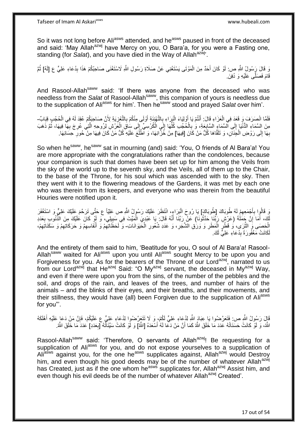So it was not long before Ali<sup>asws</sup> attended, and he<sup>asws</sup> paused in front of the deceased and said: 'May Allah<sup>azwj</sup> have Mercy on you, O Bara'a, for you were a Fasting one, standing (for *Salat*), and you have died in the Way of Allah<sup>azwj</sup>.

وَ قَالَ رَسُولُ اللَّهِ ص: لَوْ كَانَ أَحَدٌ مِنَ الْمَوْتَى يَسْتَغْنِي عَنْ صَلَاةِ رَسُولِ اللَّهِ لَاسْتَغْنَى صَاحِبُكُمْ هَذَا بِدُعَاءِ عَلِيٍّ ع [لَهُ] ثُمَّ ْ َ ِ ر<br>: قَامَ فَصَلَّـى عَلَيْهِ وَ دُفِنَ.

And Rasool-Allah<sup>saww</sup> said: 'If there was anyone from the deceased who was needless from the *Salat* of Rasool-Allah<sup>saww</sup>, this companion of yours is needless due to the supplication of Ali<sup>asws</sup> for him'. Then he<sup>saww</sup> stood and prayed *Salat* over him'.

فَلَمَّا انْصَرَفَ وَ قَعَدَ فِي الْعَزَاءِ قَالَ: أَنْتُمْ يَا أَوْلِيَاءَ الْبَرَاءِ بِالتَّهْذِئَةِ أَوْلَى مِنْكُمْ بِالتَّعْزِيَةِ لِأَنَّ صَاحِبَكُمْ عُقِدَ لَهُ فِي الْحُجُبِ قِبَابٌ َ ْ ْ ِ ِ َ ِ :<br>ا َ مِنَ السَّمَاءِ الدُّنْيَا إِلَى السَّمَاءِ السَّابِعَةِ، وَ بِالْحُجُبِ كُلِّهَا إِلَى الْكُرْسِيِّ إِلَى سَاقَ الْعَرْشِ لِرُوحِهِ الَّتِي عُرِجَ بِهَا فِيهَا، ثُمَّ ذَهَبَ ْ ِ ِ ِّ ْ **∶ ∶** ِ ُ ِ ِ ه بِهَا إِلَى رَوْضِ الْجَنَآنِ، وَ تَلَقَّاهَا كُلُّ مَنْ كَانَ [فِيهَا] مِنْ خُزَّانِهَا، وَ الْطَّلَعَ عَلَيْهِ كُلُّ مَنْ كَانَ فِيهَا مِنْ حُورِ حِسَانِهَا. ْ  $\frac{1}{2}$ ِ ِ

So when he<sup>saww</sup>, he<sup>saww</sup> sat in mourning (and) said: 'You, O friends of Al Bara'a! You are more appropriate with the congratulations rather than the condolences, because your companion is such that domes have been set up for him among the Veils from the sky of the world up to the seventh sky, and the Veils, all of them up to the Chair, to the base of the Throne, for his soul which was ascended with to the sky. Then they went with it to the flowering meadows of the Gardens, it was met by each one who was therein from its keepers, and everyone who was therein from the beautiful Houries were notified upon it.

نِ قَالُوِا بِأَجْمَعِهِمْ لَهُ طُوبَاكَ [طُوبَاكِ] يَا رُوحَ الْبَرَاءِ، انْتَظَرَ عَلَيْكَ رَسُولُ اللَّهِ ص عَلِيّاً ع حَتّى تَرَحَّمَ عَلَيْكَ عَلِيٍّ وَ اسْتَغْفَرَ ِ َ ِ :<br>ا لَكَ، أَمَا َإِنَّ جَمَلَٰةَ (عَرْشٍ رَبِّنَا حَدَّثُونَا) عَنْ رَبِّنَا أَنَّهُ قَالَ: يَا عَبْدِيَ الْمَيِّتَ فِي سَبِيلِي، ۖ وَ لَوْ كَانَ عَلَيْكَ مِنَ الْنَّنُوبِ بِعَدَدِ ِ َ ِ ْ َ ان الأ ِ الْحَصَمَى وَۗ الثَّرَى، وُ قَطْرٍ الْمَطَرِ وَ وَرَقِ الشَّجَرِ، وَ عَدَدِ شُعُورِ الْخَيَوَانَاتِ- وَ لَحَظَّاتِهِمْ وَ أَنْفَاسِهِمْ وَ حَرَكَاتِهِمْ وَ سَكَنَاتِهِمْ، ْ ِ ِ ِ ْ ِ ه ِ ِ ِ ِ َ لَكَانَتْ مَغْفُورَةً بِدُعَاءِ عَلِيٍّ لَكَ. ِ

And the entirety of them said to him, 'Beatitude for you, O soul of Al Bara'a! Rasool-Allahsaww waited for Aliasws upon you until Aliasws sought Mercy to be upon you and Forgiveness for you. As for the bearers of the Throne of our Lord<sup>azwj</sup>, narrated to us from our Lord<sup>azwj</sup> that He<sup>azwj</sup> Said: "O My<sup>azwj</sup> servant, the deceased in My<sup>azwj</sup> Way, and even if there were upon you from the sins, of the number of the pebbles and the soil, and drops of the rain, and leaves of the trees, and number of hairs of the animals – and the blinks of their eyes, and their breaths, and their movements, and their stillness, they would have (all) been Forgiven due to the supplication of Aliasws for you"'.

قَالَ رَسُولُ اللَّهِ ص: فَتَعَرَّضُوا يَا عِبَادَ اللَّهِ لِدُعَاءِ عَلِيٍّ لَكُمْ، وَ لَا نَتَعَرَّضُوا لِدُعَاءِ عَلِيٍّ عَ عَلَيْكُمْ، فَإِنَّ مَنْ دَعَا عَلَيْهِ أَهْلَكَهُ َ ِ اللَّهُ، وَ لَوْ كَانَتْ حَسَنَاتُهُ عَدَدَ مَا خَلَقَ اللَّهُ كَمَا أَنَّ مَنْ دَعَا لَهُ أَسْعَدَهُ [اللَّهُ] وَ لَوْ كَانَتْ سَيِّئَاتَّهُ [بِعَدَدِ] عَدَدَ مَا خَلَقَ اللَّهُ. َ ِ

Rasool-Allah<sup>saww</sup> said: 'Therefore, O servants of Allah<sup>azwj</sup>! Be requesting for a supplication of Ali<sup>asws</sup> for you, and do not expose yourselves to a supplication of Ali<sup>asws</sup> against you, for the one he<sup>asws</sup> supplicates against, Allah<sup>azwj</sup> would Destroy him, and even though his good deeds may be of the number of whatever Allah<sup>azwj</sup> has Created, just as if the one whom he<sup>asws</sup> supplicates for, Allah<sup>azwj</sup> Assist him, and even though his evil deeds be of the number of whatever Allah<sup>azwj</sup> Created'.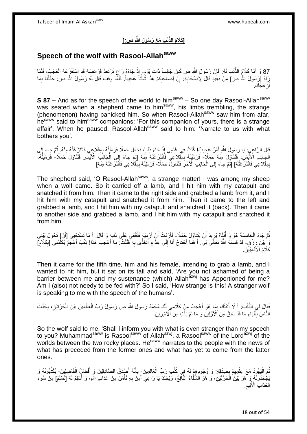# **ْئ ِب َم َع َر ُسو ِل ََّّللاِ ص:[ ]َكَال ُم الذِّ**

## **Speech of the wolf with Rasool-Allahsaww**

87 وَ أَمَّا كَلاَمُ الذِّنْبِ لَهُ: فَإِنَّ رَسُولَ اللَّهِ ص كَانَ جَالِساً ذَاتَ يَوْمٍ إِذْ جَاءَهُ رَاعٍ تَرْتَعِدُ فَرَائِصُهُ قَدِ الشَّفْزَعَهُ الْعَجَبُ، فَلَمَّا<br>87 وَ أَمَّا كَلاَمُ الذِّنْبِ لَهُ: ِ ْ ٍ **ٔ** رَاهُ [رَسُولُ اللَّهِ ص] مِنْ بَعِيدٍ قَالَ لِأَصْحَابِهِ: إِنَّ لِصَاحِبِكُمْ هَذَا شَّأْنَأُ عَجِيباً. فَلَمَّا وَقَفَ قَالَ لَهُ رَسُولُ اللَّهِ ص: حَدَّثْنَا بِمَا ِ ِ ْ ْ ِ ِ أَرْ عَجَّكَ. َ

**S 87 –** And as for the speech of the world to him<sup>saww</sup> – So one day Rasool-Allah<sup>saww</sup> was seated when a shepherd came to him<sup>saww</sup>, his limbs trembling, the strange (phenomenon) having panicked him. So when Rasool-Allah<sup>saww</sup> saw him from afar, he<sup>saww</sup> said to him<sup>saww</sup> companions: 'For this companion of yours, there is a strange affair'. When he paused, Rasool-Allahsaww said to him: 'Narrate to us with what bothers you'.

قَالَ الرَّاعِيِ: يَا رَسُولَ اللَّهِ أَمْرٌ عَجِيبٌ! كُنْتُ فِي غَنَمِي إِذْ جَاءَ ذِئْبٌ فَحَمَلَ حَمَلًا فَرَمَنْتُهُ لِمِقْلَاعِي فَانْتَزَعْتُهُ مِنْهُ. ثُمَّ جَاءَ إِلَى ِ **ٔ** َ ِ ُ الْجَانِبِ الْأَيْمَنِ، فَتَنَاوَلَ مِنْهُ حَمَلاً- فَرَمَيْتُهُ بِمِثّْلَاعِي ۖ فَانْتَزَعْتُهُ مِنْهُ [ثُمَّ جَاءَ إِلَى الْجَانِبِ الْأَيْسَرِ فَتَنَاوَلَ حَمَلَا- فَرَمَيْتُهُ، ْ ِ ِ ْ ِ ُ بِمِقْلَاعِي فَانْتَزَعْتُهُ] [ثُمَّ جَاءَ إِلَى الْجَانِبِ الْآخَرِ ۖ فَتَنَاوَلَّ حَمَلًا- فَرَمَيْتُهُ بِمِقْلَاعِي فَاَنْتَزَعْتُهُ مِنْهُ] ِ ِ ْ ِ ِ

The shepherd said, 'O Rasool-Allah<sup>saww</sup>, a strange matter! I was among my sheep when a wolf came. So it carried off a lamb, and I hit him with my catapult and snatched it from him. Then it came to the right side and grabbed a lamb from it, and I hit him with my catapult and snatched it from him. Then it came to the left and grabbed a lamb, and I hit him with my catapult and snatched it (back). Then it came to another side and grabbed a lamb, and I hit him with my catapult and snatched it from him.

تُمَّ جَاءَ الْخَامِسَةَ هُوَ وَ أُنْثَاهُ يُرِيدُ أَنْ يَتَنَاوَلَ حَمَلًا- فَأَرَدْتُ أَنْ أَرْمِِيَهُ فَأَقْعَى عَلَى ذَنبِهِ وَ قَالَ. أَ مَا تَسْتَحْيِي [أَنْ] تَحُولَ بَيْنِي ِ  $\ddot{\phantom{0}}$ ا<br>ا ْ ُ ِ َ اُ َ َ وَ بَيْنَ رِزْقٍ- قَدْ قَسَمَهُ اللَّهُ تَعَالَى لِي. أَ فَمَا أَحْتَاجُ أَنَا إِلَى غِذَاءٍ أَتَغَذَّى بِهِ فَقُلْتُ: مَا أَعْجَبَ هَذَا! ذِئْبٌ أَعَجَمُ يُكَلِّمُنِي [بِكَلامِ] ِ َ َ ِ **∶** ِّ َ َ ْ ِ َ ِ َ كَلَامَ الْأَدَمِيِّيْنَ

Then it came for the fifth time, him and his female, intending to grab a lamb, and I wanted to hit him, but it sat on its tail and said, 'Are you not ashamed of being a barrier between me and my sustenance (which) Allah<sup>azwj</sup> has Apportioned for me? Am I (also) not needy to be fed with?' So I said, 'How strange is this! A stranger wolf is speaking to me with the speech of the humans'.

فَقَالَ لِيَ الذِّنْبُ: أَ لَا أُنَّبِئُكَ بِمَا هُوَ أَعْجَبُ مِنْ كَلَامِي لَكَ مُحَمَّدٌ رَسُولُ اللَّهِ ص رَسُولُ رَبِّ الْعَالَمِينَ بَيْنَ الْحَرَّتَيْنِ، يُحَدِّثُ َ ِ ُ َ ْ ْ النَّاسَ بِٱنْبَاءِ مَا قَدْ سَبَقَ مِنَ الْأَوَّلِينَ وَ مَا لَمْ يَأْتِ مِنَ الْآخِرِينَ. َ ِ **ٔ** ِ

So the wolf said to me, 'Shall I inform you with what is even stranger than my speech to you? Muhammad<sup>saww</sup> is Rasool<sup>saww</sup> of Allah<sup>azwj</sup>, a Rasool<sup>saww</sup> of the Lord<sup>azwj</sup> of the worlds between the two rocky places. He<sup>saww</sup> narrates to the people with the news of what has preceded from the former ones and what has yet to come from the latter ones.

نُّمَ الْيَهُودُ مَعَ عِلْمِهِمْ بِصِدْقِهِ: وَ وُجُودِهِمْ لَهُ فِي كُتُبِ رَبِّ الْعَالَمِينَ- بِأَنَّهُ أَصْدَقُ الصَّادِقِينَ وَ أَفْضَلُِ الْفَاضِلِينَ- يُكَذِّبُونَهُ وَ ِ ِ ْ :<br>ا ْ ْ َ َ َ ِ يَجْحِدُونَهُ وَ هُوَ بَيْنَ الْحَرَّتَيْنِ، وَ هُوَ الشَّفَاءُ الذَّافِعُ، وَيْحَكَ يَا رَاعِي آمِنَّ بِهِ تَأْمَنْ مِنْ عَذَابِ اللَّهِ، وَ أَسْلِمْ لَهُ [تَسْلَمْ] مِنْ سُوءِ ْ ِ ْ َ الْعَذَابِ الْأَلِيمِ ِ ْ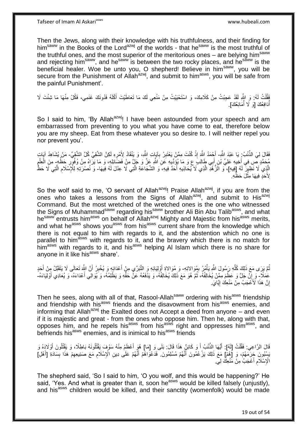Then the Jews, along with their knowledge with his truthfulness, and their finding for him<sup>saww</sup> in the Books of the Lord<sup>azwj</sup> of the worlds - that he<sup>saww</sup> is the most truthful of the truthful ones, and the most superior of the meritorious ones - are belying him<sup>saww</sup> and rejecting him<sup>saww</sup>, and he<sup>saww</sup> is between the two rocky places, and he<sup>saww</sup> is the beneficial healer. Woe be unto you, O shepherd! Believe in him<sup>saww</sup>, you will be secure from the Punishment of Allah<sup>azwj</sup>, and submit to him<sup>asws</sup>, you will be safe from the painful Punishment'.

فُقُلْتُ لَهُ: وَ اللَّهِ لَقَدْ عَجِبْتُ مِنْ كَلَامِكَ، وَ اسْتَحْبَيْتُ مِنْ مَنْعِي لَكَ مَا تَعَاطَيْتَ أَكْلَهُ فَدُونَكَ غَنَمِي، فَكُلْ مِنْهَا مَا شِئْتَ لَا َ .<br>ا أَدَافِعُكَ [وَ لَا أَمَانِعُكَ]. ا<br>ا ُ

So I said to him, 'By Allah<sup>azwj</sup>! I have been astounded from your speech and am embarrassed from preventing to you what you have come to eat, therefore below you are my sheep. Eat from these whatever you so desire to. I will neither repel you nor prevent you'.

فَقَالَ لِيَ الذِّنْبُ بِ يَا عَبْدَ اللَّهِ- أَجْمَدُ اللَّهَ إِذْ كُنْتَ مِمَّنْ يَعْتَبِرُ بِآيَإٍتِ الثَّهِ، وَ يَنْقَادُ لِأَمْرِهِ لَكِنَّ الشَّقِيَّ كُلَّ الشَّقِيِّ- مَنْ يُشَاهِدُ آيَاتٍ ِّ ِ ِ ِ ْ مُحَمَّدٍ صِّ فِي أَخِيهِ عَلِيٍّ بْنِ أَبِي طَالِبَ عِ وَ مَا يُؤِدِّيهِ عَنِ اللَّهِ عَنَّ وَ جَلٍّ مِنْ فَضَائِلِهِ، وَ مَا يَرَاهُ مِنْ وُفُوِّرِ حَظُهِ مِنَ الْعِلْمِ َ ِ ِ ْ ْ الَّذِي لَا نَظِينٍّ لَهُ [فِيهِ]، ۚ وَ الَزُّهُدِّ الَّذِي لَا يُحَاذِيهِ أَحَدٌ فِيهِ، وَ الشَّجَاعَةِ الَّتِي لَا عِدْلَ لَهُ فِيهَا- وَ نُصْرَتِهِ لِلْإِسْلَامِ الَّتِي لَا حَظَّ ه ه َ ه ه ِ **ٔ** لِأَحَدٍ فِيهَا مِثْلَ حَظِّهِ َ

So the wolf said to me, 'O servant of Allah $a^{2}$ <sup>wj</sup>! Praise Allah $a^{2}$ <sup>wj</sup>, if you are from the ones who takes a lessons from the Signs of Allah<sup>azwj</sup>, and submit to His<sup>azwj</sup> Command. But the most wretched of the wretched ones is the one who witnessed the Signs of Muhammad<sup>saww</sup> regarding his<sup>saww</sup> brother Ali Bin Abu Talib<sup>asws</sup>, and what hesaww entrusts him<sup>asws</sup> on behalf of Allah<sup>azwj</sup> Mighty and Majestic from his<sup>asws</sup> merits, and what he<sup>asws</sup> shows you<sup>asws</sup> from his<sup>asws</sup> current share from the knowledge which there is not equal to him with regards to it, and the abstention which no one is parallel to him<sup>asws</sup> with regards to it, and the bravery which there is no match for him<sup>asws</sup> with regards to it, and his<sup>asws</sup> helping Al Islam which there is no share for anyone in it like his<sup>asws</sup> share'.

ُمَّ يَرَى مَعَ ذَلِكَ كُلُّهِ رَسُولَ اللَّهِ يَأْمُرُ بِمُوَالاتِهِ- وَ مُوَالاةٍ أَوْلِيَائِهِ وَ التَّبَرِّي مِنْ أَحَذَائِهِ وَ يُخْبِرُ أَنَّ اللَّهِ تَعَالَى لَا يَتَقَبَّلُ مِنْ أَحَدٍ ِ ْ ِّ َ َ ِ َ اُ عَمَلَاً ِ وَ إِنْ جَلَّ وَ عَظُمَ مِمَّنْ يُخَالِفُهُ، ثُمَّ هُوَ مَعَ ذَلِكَ يُخَالِفُهُ، وَ يَذْفَعُهُ عَنْ حَقَّهِ وَ يَظْلِمُهُ، وَ يُوَالِي أَعْدَاءَهُ، وَ يُعَادِي أَوْلِيَاءَهُ-ِ ان<br>المقامات َ َ إِنَّ هَذَا لَأَعْجَبُ مِنْ مَنْعِكَ إِيَّايَ <u>֖֖֚֚֚֚֓</u>֦֧֦֧֦֧֦֦֦֓֡֡֘ اٍ

Then he sees, along with all of that, Rasool-Allah<sup>saww</sup> ordering with his<sup>asws</sup> friendship and friendship with his<sup>asws</sup> friends and the disavowment from his<sup>asws</sup> enemies, and informing that Allah<sup>azwj</sup> the Exalted does not Accept a deed from anyone  $-$  and even if it is majestic and great - from the ones who oppose him. Then he, along with that, opposes him, and he repels his<sup>asws</sup> from his<sup>asws</sup> right and oppresses him<sup>asws</sup>, and befriends his<sup>asws</sup> enemies, and is inimical to his<sup>asws</sup> friends

قَالَ الرَّاعِي: فَقُلْتُ [لَهُ]: أَيُّهَا اِلْذُّنْبُ أَ وَ كَائِنٌ هَذَا قَالَ: بَلَى وَ [مَا] هُوَ أَعْظَمُ مِنْهُ سَوْفَ يَقْتُلُونَهُ بَاطِلًا، وَ يَقْتُلُونَ أَوْلَادِهُ وَ ْ َ َ َ يَسْبُونَ جَرَمَهُمْ، وَ [هُمْ] مَعَ ذَلِكَ يَزْعُمُونَ أَنَّهُمْ مُسْلِمُونَ فَدَعْوَاهُمْ أَنَّهُمْ عَلَى دِينِ الْإِسْلَامِ مَعَ صَنِيعِهِمْ هَذَا بِسَادَةِ [أَهْلِ] َ ِ ِ ِ َ الْإِسْلَامِ أَعْجَبُ مِنْ مَنْعِكَ لِيِّ. َ **ُ** 

The shepherd said, 'So I said to him, 'O you wolf, and this would be happening?' He said, 'Yes. And what is greater than it, soon he<sup>asws</sup> would be killed falsely (unjustly), and his<sup>asws</sup> children would be killed, and their sanctity (womenfolk) would be made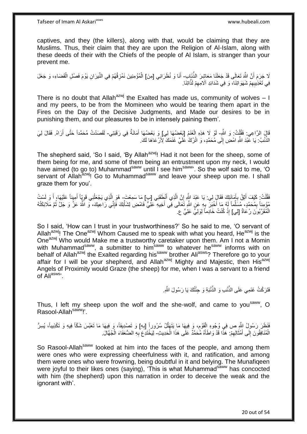captives, and they (the killers), along with that, would be claiming that they are Muslims. Thus, their claim that they are upon the Religion of Al-Islam, along with these deeds of their with the Chiefs of the people of Al Islam, is stranger than your prevent me.

لَا جَرَمَ أَنَّ اللَّهَ تَعَالَى قَدْ جَعَلَنَا مَعَاشِرَ الذِّيَابِ ۖ أَنَا وَ نُظَرَائِي [مِنَ] الْمُؤْمِنِينَ نَمْزِقُهُمْ فِي النَّبِرَانِ يَوْمَ فَصْلِ الْقَضَاءِ، وَ جَعَلَ اً ْ ِ ْ فِي تَعْذِيبِهِمْ شَهَوَ اتِنَا، ۖ وَ فِي شَدَائِدِ آلَامِهِمْ لَذَّاتِنَا. ِ ِ

There is no doubt that Allah<sup>azwj</sup> the Exalted has made us, community of wolves  $-1$ and my peers, to be from the Momineen who would be tearing them apart in the Fires on the Day of the Decisive Judgments, and Made our desires to be in punishing them, and our pleasures to be in intensely paining them'.

قَالَ الرَّاعِي: فَقُلْتُ: وَ اللَّهِ- لَوْ لَا هَذِهِ الْغَذَمُ [بَعْضُهَا لِي] وَ بَعْضُهَا أَمَانَةٌ فِي رَقَبَتِي- لَقَصَدْتُ مُحَمَّداً حَتَّى أَرَاهُ. فَقَالَ لِيَ ْ ْ َ َ الذَّنْبُ ۚ يَا عَّبْدَ اللَّهِ امْضِ إِلَى مُحَمَّدٍ، وَ اتْرُكْ عَلَيَّ غَنَمَكَ لِأَرْعَاهَا لَكَ.  $\frac{1}{2}$ ِّ

The shepherd said, 'So I said, 'By Allah<sup>azwj</sup>! Had it not been for the sheep, some of them being for me, and some of them being an entrustment upon my neck, I would have aimed (to go to) Muhammad<sup>saww</sup> until I see him<sup>saww</sup>. So the wolf said to me, 'O servant of Allah<sup>azwj</sup>! Go to Muhammad<sup>saww</sup> and leave your sheep upon me. I shall graze them for you'.

فَقُلْتُ: كَيْفَ أَثِقُ بِأَمَانَتِكَ فَقَالَ لِي. يَا عَبْدَ اشِّهِ إِنَّ الَّذِي أَنْطَقَنِي [ب] مَا سَمِعْتَ- هُوَ الَّذِي يَجْعَلُنِي قَوِيّاً أَمِيناً عَلَيْهَا، أَ وَ لَسْتُ َ ه ِ َ **∶** َ .<br>ا ِ ُ ه َ َ مُؤْمِناً بِمُحَمَّدٍ، مُسَلِّماً لَهُ مَا أَخْبَرَ بِهِ عَنِ اللَّهِ تَعَالَى فِي أَخِيهِ عَلِّيٍّ فَامْضِ لِشَأْنِكَ فَإِنِّي رَاعِيكَ، وَ اللَّهُ عَنَّ وَ جَلَّ ثُمَّ مَلَائِكَتُهُ ِ ْ َ ِ َ لَ ِّ ِ ُ الْمُقَرَّبُونَ رُعَاةٌ [لِي] إِذْ كُنْتُ خَادِماً لِوَلِيٍّ عَلِيٍّ عِ. ْ **ٔ** 

So I said, 'How can I trust in your trustworthiness?' So he said to me, 'O servant of Allah<sup>azwj</sup>! The One<sup>azwj</sup> Whom Caused me to speak with what you heard, He<sup>azwj</sup> is the One<sup>azwj</sup> Who would Make me a trustworthy caretaker upon them. Am I not a Momin with Muhammad<sup>saww</sup>, a submitter to him<sup>saww</sup> to whatever he<sup>saww</sup> informs with on behalf of Allah<sup>azwj</sup> the Exalted regarding his<sup>saww</sup> brother Ali<sup>asws</sup>? Therefore go to your affair for I will be your shepherd, and Allah<sup>azwj</sup> Mighty and Majestic, then His<sup>azwj</sup> Angels of Proximity would Graze (the sheep) for me, when I was a servant to a friend of Aliasws'.

فَتَرَكْتُ غَنَمِي عَلَى الذِّنْبِ وَ الذِّنْبَةِ وَ حِنْتُكَ يَا رَسُولَ اللَّهِ.

Thus, I left my sheep upon the wolf and the she-wolf, and came to you<sup>saww</sup>, O Rasool-Allah<sup>saww</sup>!'.

فَنَظَرَ رَسُولُ اللَّهِ ص فِي وُجُوهِ الْقَوْم، وَ فِيهَا مَا يَتَهَلَّلُ سُرُوراً [بِهِ] وَ تَصْدِيقاً، وَ فِيهَا مَا تَعَبَّسَ شَكَّاً فِيهِ وَ تَكْذِيباً، يُسِرُّ ه ِ ْ ِ الْمُنَافِقُونَ إِلَى أَمْثَالِهِمْ: هَذَا قَدْ وَاطَأَهُ مُحَمَّدٌ عَلَى هَذَا الْحَدِيثِ- لِيَخْتَدِعَ بِهِ الضُّعَفَاءَ الْجُهَّالَ. ْ َ ِ َ َ  $\frac{1}{2}$ ْ ِ

So Rasool-Allah<sup>saww</sup> looked at him into the faces of the people, and among them were ones who were expressing cheerfulness with it, and ratification, and among them were ones who were frowning, being doubtful in it and belying. The Munafiqeen were joyful to their likes ones (saying), 'This is what Muhammad<sup>saww</sup> has concocted with him (the shepherd) upon this narration in order to deceive the weak and the ignorant with'.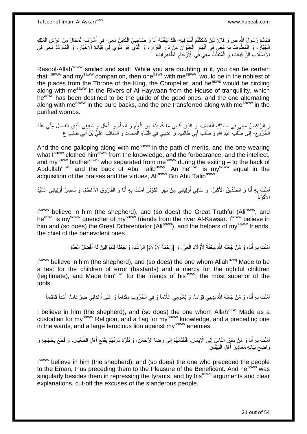فَتَبَسَّمَ رَسُولُ اللَّهِ ص وَ قَالَ: لَئِنْ شَكَكْتُمْ أَنْتُمْ فِيهِ- فَقَدْ تَيَقَّنْتُهُ أَنَا وَ صَاحِبِيَ الْكَائِنُ مَعِي- فِي أَشْرَفٍ الْمَحَالِّ مِنْ عَرْشِ الْمَلِكِ َ ْ ِ َ ْ ْ **∶** الْجِنَّالِ، وَ الْمَطُوفُ بِهِ مَعِي فِي أَنْهَارِ الْجَنِّوَانِ مِنْ دَارِ الْقَرَارِ، وَ الَّذِي ۖ هُوَ تَلْوِي فِّي قِيَّادَةِ الْأَخْيَارِ، وَ الْمُثَّرَدِّدُ مَعِي فِي **∶** ْ ِ ْ ِ ْ ِ ه **∶** ْ الْأَصْلَابِ الزَّاكِيَاتِ، وَ الْمُتَقَلَّبُ مَعِي فِي الْأَرْحَامِ الطَّاهِرَاتِ، ِ ِّ ْ

Rasool-Allah<sup>saww</sup> smiled and said: 'While you are doubting in it, you can be certain that Isaww and mysaww companion, then one<sup>asws</sup> with me<sup>saww</sup>, would be in the noblest of the places from the Throne of the King, the Compeller, and he<sup>asws</sup> would be circling along with me<sup>saww</sup> in the Rivers of Al-Haywaan from the House of tranquillity, which he<sup>asws</sup> has been destined to be the guide of the good ones, and the one alternating along with me<sup>saww</sup> in the pure backs, and the one transferred along with me<sup>saww</sup> in the purified wombs.

يَ الرَّاكِضُ مَعِي فِي مَسَالِكٍ الْفَضْلِ، وَ الَّذِي كُسِيَ مَا كُسِيتُهُ مِنَ الْعِلْمِ وَ الْحِلْمِ وَ الْعَقْلِ وَ شَقِيقِيَ الَّذِي انْفَصَلَ مِنِّي عِنْدَ ه ه ْ  $\ddot{\phantom{a}}$ ْ ْ ِ ْ ْ ِ الْخُرُوجِ- إِلَى صُلْبٌ عَبْدِ اللَّهِ وَ صُلْبُ أَبِي طَالِبٍ، وَ عَدِيلِي فِي اقْتِنَاءِ الْمََحَامِدِ وَ الْمَنَاقِبِ عَلِيُّ بْنُ أَبِي طَالِبٍ ع َ ْ ْ َ ْ ْ

And the one galloping along with me<sup>saww</sup> in the path of merits, and the one wearing what Isaww clothed him<sup>asws</sup> from the knowledge, and the forbearance, and the intellect, and my<sup>saww</sup> brother<sup>asws</sup> who separated from me<sup>saww</sup> during the exiting – to the back of Abdullah<sup>asws</sup> and the back of Abu Talib<sup>asws</sup>. An he<sup>asws</sup> is my<sup>saww</sup> equal in the acquisition of the praises and the virtues, Ali<sup>asws</sup> Bin Abu Talib<sup>asws</sup>.

اْمَنْتُ بِهِ أَنَا وَ الصِّدِّيقُ الْأَكْبَرُ، وَ سَاقِي أَوْلِيَائِي مِنْ نَهَرِ الْكَوْثَرِ آمَنْتُ بِهِ أَنَا وَ الْفَارُوقُ الْأَعْظَمُ، وَ نَاصِرُ أَوْلِيَائِي السَّيِّدُ َ **∶** َ ْ َ **∶** ِ ْ ِ اُ الْأَكْرَمُ

I<sup>saww</sup> believe in him (the shepherd), and (so does) the Great Truthful (Ali<sup>asws</sup>, and he<sup>asws</sup> is my<sup>saww</sup> quencher of my<sup>saww</sup> friends from the river Al-Kawsar. I<sup>saww</sup> believe in him and (so does) the Great Differentiator (Ali<sup>asws</sup>), and the helpers of my<sup>saww</sup> friends, the chief of the benevolent ones.

> اَمَنْتُ بِهِ أَنَا، وَ مَنْ جَعَلَهُ اللَّهُ مِحْنَةً لِأَوْلَادِ الْغَيِّ- وَ [رَحْمَةً لِأَوْلَادِ] الرُّشْدِ، وَ جَعَلَهُ لِلْمُوَالِينَ لَهُ أَفْضَلَ الْعُدَّةِ ْ َ **∶** ْ َ ْ

I<sup>saww</sup> believe in him (the shepherd), and (so does) the one whom Allah<sup>azwj</sup> Made to be a test for the children of error (bastards) and a mercy for the rightful children (legitimate), and Made him<sup>asws</sup> for the friends of his<sup>asws</sup>, the most superior of the tools.

اَمَنْتُ بِهِ أَنَا، وَ مَنْ جَعَلَهُ اللَّهُ لِدِينِي قِوَاماً، وَ لِعُلُومِي عَلَّاماً وَ فِي الْحُرُوبِ مِقْدَاماً وَ عَلَى أَعْدَائِي ضِرْغَاماً، أَسَداً قَمْقَاماً ْ َ **∶** َ َ

I believe in him (the shepherd), and (so does) the one whom Allah<sup>azwj</sup> Made as a custodian for my<sup>saww</sup> Religion, and a flag for my<sup>saww</sup> knowledge, and a preceding one in the wards, and a large ferocious lion against my<sup>saww</sup> enemies.

اَمَنْتُ بِهِ أَنَا وَ مَنْ سَبَقَ النَّاسَ إِلَى الْإِيمَانِ، فَتَقَدَّمَهُمْ إِلَى رِضَا الرَّحْمَنِ، وَ تَفَرَّدَ دُونَهُمْ بِقَمْعِ أَهْلِ الطَّغْيَانِ، وَ قَطَعَ بِحُجَجِهِ وَ َ **∶** َ ِ ِ ِ ِ ِ ِ وَاضِحِ بَيَانِهِ مَعَاذِيرَ أَهْلِ الْبُهْتَانِ ْ َ ِ

Isaww believe in him (the shepherd), and (so does) the one who preceded the people to the Eman, thus preceding them to the Pleasure of the Beneficent. And he<sup>asws</sup> was singularly besides them in repressing the tyrants, and by his<sup>asws</sup> arguments and clear explanations, cut-off the excuses of the slanderous people.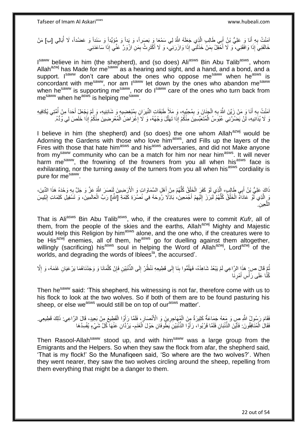اَمَنْتُ بِهِ أَنَا وَ عَلِيُّ بْنُ أَبِي طَالِبٍ الَّذِي جَعَلَهُ اللَّهُ لِي سَمْعَا وَ بَصَراً، وَ يَداً وَ مُؤَيِّداً وَ سَنَداً وَ عَضُداً، لَا أُبَالِي [ب] مَنْ اً َ **∶** خَالَفَنِيَ إِذَا وَافَقَنِي، ۚ وَ لَا أَخْفِلُ بِمَنْ خَذَلَنِّي إِذَا وَازَرَنِيْ، وَ لَا أَكْثَرِثُ بِمَنِ ازْوَرَّ عَنِّي إِذَا سَاعَدَنِي. َ َ لَ ِ ِ ِ

I<sup>saww</sup> believe in him (the shepherd), and (so does) Ali<sup>asws</sup> Bin Abu Talib<sup>asws</sup>, whom Allah<sup>azwj</sup> has Made for me<sup>saww</sup> as a hearing and sight, and a hand, and a bond, and a support. Isaww don't care about the ones who oppose me<sup>saww</sup> when he<sup>asws</sup> is concordant with me<sup>saww</sup>, nor am Isaww let down by the ones who abandon me<sup>saww</sup> when he<sup>saww</sup> is supporting me<sup>saww</sup>, nor do l<sup>saww</sup> care of the ones who turn back from me<sup>saww</sup> when he<sup>asws</sup> is helping me<sup>saww</sup>.

ْمَنْتُ بِهِ أَنَا وَ مَنْ زَيَّنَ اللَّهُ بِهِ الْجِنَانَ وَ بِمُحِبِّيهِ، وَ مَلَأَ طَبَقَاتِ النَّيرَانِ بِمُبْغِضِيهِ وَ شَانِئِيهِ، وَ لَم يَجْعَلْ أَحَداً مِنْ أُمَّتِي يُكَافِيهِ َ ِ **∶** ِ ْ ِ َ وَ لَا يُذَانِيهِ، لَنْ يَضُرَّنِي عُبُوسُ الْمُتَعَبِّسِينَ مِنْكُمْ إِذَا تَهَلَّلَ وَجْهُهُ، وَ لَا إِغْرَاضُ الْمُعْرِضِينَ مِنْكُمْ إِذَا خَلَصَ لِي وُدُّهُ. ْ ه ِ ْ ِ

I believe in him (the shepherd) and (so does) the one whom Allah $a^{2}$ wj would be Adorning the Gardens with those who love him<sup>asws</sup>, and Fills up the layers of the Fires with those that hate him<sup>asws</sup> and his<sup>asws</sup> adversaries, and did not Make anyone from my<sup>saww</sup> community who can be a match for him nor near him<sup>asws</sup>. It will never harm me<sup>saww</sup>, the frowning of the frowners from you all when his<sup>asws</sup> face is exhilarating, nor the turning away of the turners from you all when his<sup>asws</sup> cordiality is pure for me<sup>saww</sup>.

ذَاكَ عَلِيُّ بْنُ أَبِي طَالِبٍ، إِنَّذِي لَوْ كَفَرَ الْخَلْقُ كُلُّهُمْ مِنْ أَهْلِ السَّمَاوَاتِ وَ الْأَرَضِينَ لَنَصَرَ اللَّهُ عَزَّ وَ جَلَّ بِهِ وَحْدَهُ هَذَا الدِّينَ، َ ُّ ْ ْ ه َ **∶** رَ ٍ الَّذِي لَّوْ عَادَاهُ الْخَلْقُ كُلُّهُمْ لَبَرَزَ إِلَيْهِمْ أَجْمَعِينَ، بَاذِلًا رُوحَهُ فِي نُصْرَةِ كَلِمَةِ [الثَّو] رَبِّ الْعَالَمِينَ، وَ تَسْفِيلِ كَلِمَاتِ إِبْلِيسَ ِ لَ  $\frac{1}{2}$ ُّ ْ ْ ه ِ ْ اللعِينِ. ه

That is Ali<sup>asws</sup> Bin Abu Talib<sup>asws</sup>, who, if the creatures were to commit *Kufr*, all of them, from the people of the skies and the earths, Allah<sup>azwj</sup> Mighty and Majestic would Help this Religion by him<sup>asws</sup> alone, and the one who, if the creatures were to be His<sup>azwj</sup> enemies, all of them, he<sup>asws</sup> go for duelling against them altogether, willingly (sacrificing) his<sup>asws</sup> soul in helping the Word of Allah<sup>azwj</sup>, Lord<sup>azwj</sup> of the worlds, and degrading the words of Iblees<sup>la</sup>, the accursed'.

نُّمَّ قَالَ ص: هَذَا الرَّاعِي لَمْ يَبْعُدْ شَاهِدُهُ، فَهَلْمُوا بِذَا إِلَى قَطِيعِهِ نَنْظُرْ إِلَى الذِّنْبَيْنِ فَإِنْ كَلَّمَانَا وَ وَجَدْنَاهُمَا يَرْ عَيَانِ غَنَمَهُ، وَ إِلَّا ِ ِ ِ  $\frac{1}{2}$ ُ ُ ِ ه كُنَّا عَلَى رَأْسِ أَمْرِنَا **∶** َ **ٔ** 

Then he<sup>saww</sup> said: 'This shepherd, his witnessing is not far, therefore come with us to his flock to look at the two wolves. So if both of them are to be found pasturing his sheep, or else we<sup>asws</sup> would still be on top of our<sup>asws</sup> matter'.

فَقَامَ رَسُولُ اللَّهِ صِ وَ مَعَهُ جَمَاعَةٌ كَثِيرَةٌ مِنَ الْمُهَاجِرِينَ وَ الْأَنْصَارِ، فَلَمَّا رَأِوا الْقَطِيعَ مِنْ بَعِيدٍ، قَالَ الرَّاعِي: ذَلِكَ قَطِيعِي. ْ َ ِ ِ ْ **∶** فَقَالُ الْمُنَافِقُونَ: فَأَيَّنَ الذِّئْبَانِ فَلَمَّا قَرُبُواْ، رَأَوُا الذِّئْبَيْنِ يَطُوفَانِ حَوْلَ الْغَنَمِ- يَرُدَّالِ عَنْهَا كُلَّ شَيْءٍ يُفْسِدُهَا ْ َ َ

Then Rasool-Allah<sup>saww</sup> stood up, and with him<sup>saww</sup> was a large group from the Emigrants and the Helpers. So when they saw the flock from afar, the shepherd said, 'That is my flock!' So the Munafiqeen said, 'So where are the two wolves?'. When they went nearer, they saw the two wolves circling around the sheep, repelling from them everything that might be a danger to them.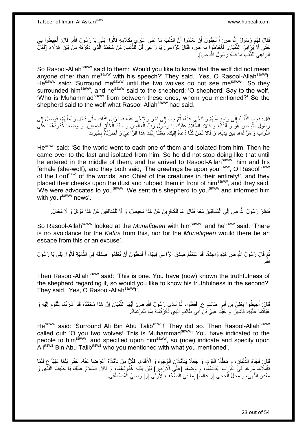فَقَالَ لَهُمْ رَسُولُ اللَّهِ ص: أَ تُجِبُّونَ أَنْ تَعْلَمُوا أَنَّ الذِّئْبَ مَا عَنَى غَيْرِي بِكَلامِهِ قَالُوا: بَلَي يَا رَسُولَ اللَّهِ. قَالَ: أَحِيطُوا بِي<br>فَقَالَ لَهُمْ رَسُولُ اللَّهِ صَرَعَ أَنْجَبُونَ أَنْ ِ َ **∶** َ حَتَّى لَا يُزِلِّقِي الذِّنْبَانِ. فَأَحَاطُوٍا بِهِ ص، فَقَالَ لِلرَّاعِي: يَا رَاعِي قُلَّ لِلذِّئْبِ: مَنْ مُحَمَّدٌ الَّذِي ذَكَرْتَهُ مِنْ بَيْنِ هَؤُلَاءِ [فَقَالَ ه **∶** َ الرَّ اعِي لِلذُّنْبِ ۖ مَا قَالَهُ رَسُولُ اللَّهِ صَ].

So Rasool-Allah<sup>saww</sup> said to them: 'Would you like to know that the wolf did not mean anyone other than me<sup>saww</sup> with his speech?' They said, 'Yes, O Rasool-Allah<sup>saww</sup>!' He<sup>saww</sup> said: 'Surround me<sup>saww</sup> until the two wolves do not see me<sup>saww</sup>'. So they surrounded him<sup>saww</sup>, and he<sup>saww</sup> said to the shepherd: 'O shepherd! Say to the wolf, 'Who is Muhammad<sup>saww</sup> from between these ones, whom you mentioned?' So the shepherd said to the wolf what Rasool-Allah<sup>saww</sup> had said.

قَالَ: فَجَاءَ الذُّنْبُ إِلَى وَإِحِدٍ مِنْهُمْ وَ تَنَحَّى عَنْهُ، ثُمَّ جَاءَ إِلَى آخَرَ وَ تَنَحَّى عَنْهُ فَمَا زَالَ كَذَلِكَ حَتَّى دَخَلَ وَسْطَهُمْ، فَوَصَلَ إِلَى  $\frac{1}{2}$ ِ .<br>• • • • لَ ِ َ سُولِ اللَّهِ صِ هُوَ وَ أَنْثَاهُ، وَ قَالا: السَّلَامُ عَلَيْكَ يَا رَسُولَ رَبِّ الْعِالَمِينَ وَ سَيِّدَ الْخَلْقِ أَجْمَعِينَ. وَ وَضَعَا خُدُودَهُمَا عَلَى ٔ, ا<br>ا ْ ْ َ َ الثُّرَ ابِ وَ مَرَّ غَاهَا بَيْنَ يَدَيْهِ، وَ قَالا نَحْنُ كُنَّا دُعَاةً إِلَيْكَ، بَعَثْنَا إِلَيْكَ هَذَا الرَّاعِيَ وَ أَخْبَرْنَاهُ بِخَبَرِكَ. لَ ِ ْ لَ  $\frac{1}{2}$ ِ ِ

He<sup>asws</sup> said: 'So the world went to each one of them and isolated from him. Then he came over to the last and isolated from him. So he did not stop doing like that until he entered in the middle of them, and he arrived to Rasool-Allah<sup>saww</sup>, him and his female (she-wolf), and they both said, 'The greetings be upon you<sup>saww</sup>, O Rasool<sup>saww</sup> of the Lord<sup>azwj</sup> of the worlds, and Chief of the creatures in their entirety!', and they placed their cheeks upon the dust and rubbed them in front of him<sup>saww</sup>, and they said, We were advocates to you<sup>saww</sup>. We sent this shepherd to you<sup>saww</sup> and informed him with your<sup>saww</sup> news'.

فَنَظَرَ رَسُولُ اللَّهِ ص إِلَى الْمُنَافِقِينَ مَعَهُ فَقَالَ: مَا لِلْكَافِرِينَ عَنْ هَذَا مَحِيصٌ، وَ لَا لِلْمُنَافِقِينَ عَنْ هَذَا مَوْئِلٌ وَ لَا مَعْدِلٌ. ْ ِ ْ ْ  $\frac{1}{2}$ 

So Rasool-Allah<sup>saww</sup> looked at the *Munafiqeen* with him<sup>saww</sup>, and he<sup>saww</sup> said: 'There is no avoidance for the *Kafirs* from this, nor for the *Munafiqeen* would there be an escape from this or an excuse'.

ُمَّ قَالَ رَسُولُ اللَّهِ ص هَذِهِ وَاحِدَةٌ، قَدْ عَلِمْتُمْ صِدْقَ الرَّاعِي فِيهَا، أَ فَتُحِبُّونَ أَنْ تَعْلَمُوا صِدْقَهُ فِي الثَّانِيَةِ قَالُوا: بَلَى يَا رَسُولَ َ ه اللَّهِ.

Then Rasool-Allah<sup>saww</sup> said: 'This is one. You have (now) known the truthfulness of the shepherd regarding it, so would you like to know his truthfulness in the second?' They said, 'Yes, O Rasool-Allah<sup>saww</sup>!'.

قَالَ: أَحِيطُوا بِعَلِيِّ بْنِ أَبِي طَالِبٍ ع فَفَعَلُوا، ثُمَّ نَادَى رَسُولُ اللَّهِ ص: أَيُّهَا الذُّنْبَانِ إِنَّ هَذَا مُحَمَّدٌ، قَدْ أَشَرْتُمَا لِلْقَوْمِ إِلَيْهِ وَ ِ َ ُ ِ لَ ِ ِ ْ َ عَيَّنْتُمَا عَلَيْهِ، فَأَشِيرَا وَ عَيِّنًا عَلِيَّ بْنَ أَبِي طَالِبٍ الَّذِي ذَكَرْتُمَاهُ بِمَا ذَكَرْتُمَاهُ. َ ِ ه َ

Hesaww said: 'Surround Ali Bin Abu Talib<sup>asws</sup>!' They did so. Then Rasool-Allah<sup>saww</sup> called out: 'O you two wolves! This is Muhammad<sup>saww</sup>! You have indicated to the people to him<sup>saww</sup>, and specified upon him<sup>saww</sup>, so (now) indicate and specify upon Ali<sup>asws</sup> Bin Abu Talib<sup>asws</sup> who you mentioned with what you mentioned'.

َ وَلِيَ: فَجَاءَ الذِّنْبَانِ، وَ تَخَلَّلَإِ الْقَوْمَ، وَ جَعَلَا يَتَأَمَّلَانِ الْوُجُوهَ وَ الْأَقْدَامَ، فَكُلُّ مَنْ تَأَمَّلَاهُ أَعْرَضَا عَذْهُ، حَتَّى بَلَغَا عَلِيًاً عِ فَلَم ْ َ ْ َ تَأَمَّلَاهُ- مَرَّ غَا فِيِّ الثُّرَابِ أَبْدَانَهُمَا، وَ وَضَعَا [عَلَي الْأَرْضِ] بَيْنَ يَدَيْهِ خُدُودَهُمَا، وَ قَالا: السَّلَامُ عَلَيْكَ يَا خَلِيفَ النَّذَى وَ َ َ ْ مَعْدِنَ النُّهَى، وَ مَحَلَّ الْحِجَى [وَ عَالِماً] بِمَا فِي الصُّحُفِ الْأُولَى [وَ] وَصَبِيَّ الْمُصْطَفَى ْ ِ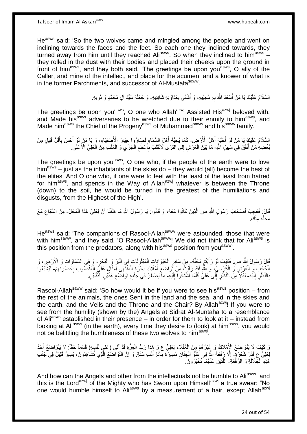He<sup>asws</sup> said: 'So the two wolves came and mingled among the people and went on inclining towards the faces and the feet. So each one they inclined towards, they turned away from him until they reached Ali<sup>asws</sup>. So when they inclined to him<sup>asws</sup> they rolled in the dust with their bodies and placed their cheeks upon the ground in front of him<sup>asws</sup>, and they both said, 'The greetings be upon you<sup>asws</sup>, O ally of the Caller, and mine of the intellect, and place for the acumen, and a knower of what is in the former Parchments, and successor of Al-Mustafa<sup>saww</sup>.

> السَّلَامُ عَلَيْكَ يَا مَنْ أَسْعَدَ اللَّهُ بِهِ مُحِبِّيهِ، وَ أَشْقَى بِعَدَاوَتِهِ شَانِئِيهِ- وَ جَعَلَهُ سَيِّدَ آلِ مُحَمَّدٍ وَ ذَوِيهِ. ِ َ ِ اُ، ِ

The greetings be upon you<sup>asws</sup>, O one who Allah<sup>azwj</sup> Assisted His<sup>azwj</sup> beloved with, and Made his<sup>asws</sup> adversaries to be wretched due to their enmity to him<sup>asws</sup>, and Made him<sup>asws</sup> the Chief of the Progeny<sup>asws</sup> of Muhammad<sup>saww</sup> and his<sup>saww</sup> family.

السَّلَامُ عَلَيْكَ يَا مَنْ لَوْ أَحَبَّهُ أَهْلُ الْأَرْضِ- كَمَا يُحِبُّهُ أَهْلُ السَّمَاءِ لَصَارُوا خِيَارَ الْأَصِنْفِيَاءِ، وَ يَا مَنْ ِلَوْ أَحَسَّ بِأَقَلَّ قَلِيلٍ مِنْ َ َ َ ِ َ بُغْضِهِ مَنْ أَنْفَقَ فِي سَبِيلِ اللَّهِ- مَا بَيْنَ الْعَرْشِ إِلَى الثَّرَى لَانْقَلَبَ بِأَعْظَمِ الْخِزْيِ وَ الْمَقْتِ مِنَ الْعَلِّيِّ الْأَعْلَى. **!** ه ∣∣<br>∶ ْ ْ ْ  $\ddot{\phantom{0}}$ ْ ِ َ ِ

The greetings be upon you<sup>asws</sup>, O one who, if the people of the earth were to love him<sup>asws</sup> – just as the inhabitants of the skies do – they would (all) become the best of the elites. And O one who, if one were to feel with the least of the least from hatred for him<sup>asws</sup>, and spends in the Way of Allah<sup>azwj</sup> whatever is between the Throne (down) to the soil, he would be turned in the greatest of the humiliations and disgusts, from the Highest of the High'.

قَالَ: فَعَجِبَ أَصْحَابُ رَسُولِ اللَّهِ ص الَّذِينَ كَانُوا مَعَهُ، وَ قَالُوا: يَا رَسُولَ اللَّهِ مَا ظَنَنَّا أَنَّ لِعَلِيٍّ هَذَا الْمَحَلَّ- مِنَ السِّبَاعِ مَعَ َ ه َ ْ ِ مَحَلِّهِ مِنْكَ

He<sup>asws</sup> said: 'The companions of Rasool-Allah<sup>saww</sup> were astounded, those that were with him<sup>saww</sup>, and they said, 'O Rasool-Allah<sup>saww</sup>! We did not think that for Ali<sup>asws</sup> is this position from the predators, along with his<sup>asws</sup> position from you<sup>saww</sup>.

قَالَ رَسُولُ اللَّهِ ص: فَكَيْفَ لَوْ رَأَيْتُمْ مَحَلَّهُ- مِنْ سَائِرِ الْحَيَوَانَـاتِ الْمَبْتُوثَـاتِ فِي الْبَرِّ وَ الْبَحْرِ ، وَ فِي السَّمَاوَاتِ وَ الْأَرْضِ، وَ ه َ ْ ِ ِ ْ ْ َ ر ده ۲۰۰۰ با ْ الْجُجُدِ وَ الْعَرْشِ وَ الْكُرْسِيِّ، وَ اللَّهِ لَقَدْ رَأَيْتُ مِنْ تَوَاضُعِ أَمْلَاكِ سِدْرَةِ الْمُنْتَهَى لِمِذَالِ عَلِيَّ الْمَنْصُوبِ بِحَضْرَتِهِمْ- لِيُشَيِّعُوا َ ْ َ ِ َ ْ ِ ِ ْ بِالنَّظَرِ إِلَيْهِ- بَدَلًا مِنَ النَّظَرِ إِلَى عَلِيٍّ كُلَّمَا اشْتَاقُوا إِلَيْهِ- مَاۤ يَصْغَرُ فِي جَنْبِهِ تَوَاضَعُ هَذَيْنِ الذَّنْبَيْنِ لَ  $\frac{1}{2}$ ِ **∶** لَ ِ ه ∣∣<br>∶ ِ **∶** 

Rasool-Allah<sup>saww</sup> said: 'So how would it be if you were to see his<sup>asws</sup> position – from the rest of the animals, the ones Sent in the land and the sea, and in the skies and the earth, and the Veils and the Throne and the Chair? By Allah<sup>azwj</sup>! If you were to see from the humility (shown by the) Angels at Sidrat Al-Muntaha to a resemblance of Ali<sup>asws</sup> established in their presence – in order for them to look at it – instead from looking at Ali<sup>asws</sup> (in the earth), every time they desire to (look) at him<sup>asws</sup>, you would not be belittling the humbleness of these two wolves to him<sup>asws</sup>.

وَ كَيْفَ لَا يَتَواضَعُ الْإِمْلَاكُ وَ غِيْرُهُمْ مِنَ الْعُقَلَاءِ لِعَلِيٍّ ع وَ هِذَا رَبُّ الْعِزَّةِ قَدْ آِلَى (عَلَي نَفْسِهِ) قَسَماً حَقّاً: لَا يَتَوَاضَعُ أَحَدٌ ْ ْ َ لِحَلِيٍّ عِ قَدْرَ شَعْرَةٍ- إِلَّا رَفَعَهُ اللَّهُ فِي عُلْوٍّ الْجِنَانِ مَسِيرَةً مِائَةِ أَلْفِ سَنَةٍ. وَ إِنَّ النَّوَاصَنُعَ الَّذِي تُشَاهِدُونَ، يَسِيرٌ قَلِيلٌ فِي جَنْبِ ْ ُّأ ِ ْ َ ه ِ هَذِهِ الْجَلَالَةِ وَ الرِّفْعَةِ ۖ اللَّنَيْنِ عَنْهُمَا تُخْبَرُونَ ِ

And how can the Angels and other from the intellectuals not be humble to Ali<sup>asws</sup>, and this is the Lord<sup>azwj</sup> of the Mighty who has Sworn upon Himself<sup>azwj</sup> a true swear: "No one would humble himself to Ali<sup>asws</sup> by a measurement of a hair, except Allah<sup>azwj</sup>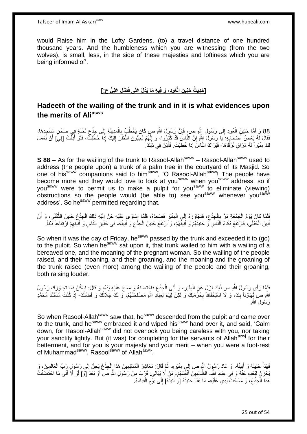would Raise him in the Lofty Gardens, (to) a travel distance of one hundred thousand years. And the humbleness which you are witnessing (from the two wolves), is small, less, in the side of these majesties and loftiness which you are being informed of'.

# **ْض ِل َعلِ ٍّي ع:[ ُعوِد، َو فِي ِه َما َيُدلُّ َعلَى فَ ِن الْ ] َحِدي ُث َحنِي**

#### **Hadeeth of the wailing of the trunk and in it is what evidences upon the merits of Aliasws**

88 وَ أَهَّا حَنِينُ الْعُودِ إِلَى رَسُولِ اللَّهِ صِ، فَإِنَّ رَسُولَ اللَّهِ صِ كَانَ يَخْطُبُ بِالْمَدِينَةِ إِلَى جِذْعِ نَخْلَةٍ فِي صَحْنِ مَسْجِدِهَا،<br>نَقِيْنَ ذَكِيرًا مِنْ أَوْلَى وَلَمْ إِن أَنْ الْقَدِيرَةِ وَ ِ  $\frac{1}{2}$ ْ َ ِ ْ ِ فَقَالَ لَهُ بَعْضُ أَصْحَابِهِ: يَا رَسُولَ اللَّهِ إِنَّ النَّاسَ قَدْ كَثُرُوا، وَ إِنَّهُمْ يُحِبُّونَ النَّظَرَ إِلَيْكَ إِذَا خَطَبْتَ، فَلَوْ أَذِنَّتَ [فِيَ] أَنْ نَعْمَلَ لَ ِ ِ ال<br>سال الما יֲ<br>י ِ َ َ َ لَكَ مِنْبَرٍ أَ لَهُ مَرَ اقٍ تَرْقَاهَا- فَيَرَ اكَ النَّاسُ إِذَا خَطَبْتَ. فَأَذِنَ فِي ذَلِكَ ِ لَ َ

**S 88 –** As for the wailing of the trunk to Rasool-Allah<sup>saww</sup> – Rasool-Allah<sup>saww</sup> used to address (the people upon) a trunk of a palm tree in the courtyard of its Masjid. So one of hissaww companions said to himsaww, 'O Rasool-Allahsaww! The people have become more and they would love to look at you<sup>saww</sup> when you<sup>saww</sup> address, so if you<sup>saww</sup> were to permit us to make a pulpit for you<sup>saww</sup> to eliminate (viewing) obstructions so the people would (be able to) see you<sup>saww</sup> whenever you<sup>saww</sup> address'. So he<sup>saww</sup> permitted regarding that.

فَلَمَّا كَانَ يَوْمُ الْجُمُعَةِ مَرَّ بِالْجِذْعِ، فَتَجَاوَزَهُ إِلَى الْمِنْبَرِ فَصَعِدَهُ، فَلَمَّا اسْتَوَى عَلَيْهِ حَنَّ إِلَيْهِ ذَلِكَ الْجِذْعِ حَنِينَ الثَّكْلَى، وَ أَنَّ ِ ْ  $\frac{1}{2}$ ِ ْ ِ ْ َ **ٔ:** ْ لَ ِ أَنِينَ الْخُلْلَى، فَارْتَفَعَ بُكَاءُ الَنَّاسِ ۖ وَحَنِيتُهُمْ وَ أَنِيتُهُمْ، وَ ارْتَفَعَ حَنِينُ الْجِذْعِ وَ أَنِيتُهُ- فِي حَنِينِ النَّاسِ وَ أَنِيتِهِمْ ارْتِفَاعاً بَيِّناً. َ ْ َ ِ ْ ِ َ

So when it was the day of Friday, he<sup>saww</sup> passed by the trunk and exceeded it to (go) to the pulpit. So when he<sup>saww</sup> sat upon it, that trunk wailed to him with a wailing of a bereaved one, and the moaning of the pregnant woman. So the wailing of the people raised, and their moaning, and their groaning, and the moaning and the groaning of the trunk raised (even more) among the wailing of the people and their groaning, both raising louder.

فَلَمَّا رَأَى رَسُولُ اللَّهِ صِ ذَلِكَ نَزَلَ عَنِ الْمِنْبَرِ ، وَ أَتَى الْجِذْعَ فَاجْتَضَنَهُ وَ مَسَحَ عَلَيْهِ يَدَهُ، وَ قَالَ: اسْكُنْ فَمَا تَجَاوَزَكَ رَسُولُ **ٔ:** ْ َ ِ ْ اللَّهِ ص تَعَاوُناً بِكَ، وَ لَا اسْتِخْفَافاً بِحُرَّمَتِكَ وَ لَكِنْ لِيَتِمَّ لِعِبَادِ اللَّهِ مَصْلَحَتُهُمْ، وَ لَكَ جَلَالُكَ وَ فَضْلُكَ- إِذْ كُنْتَ مُسْتَنَدَ مُحَمَّدٍ ِ **!** ُ اُ **ٔ:** رَ سُول اللَّه

So when Rasool-Allah<sup>saww</sup> saw that, he<sup>saww</sup> descended from the pulpit and came over to the trunk, and he<sup>saww</sup> embraced it and wiped his<sup>saww</sup> hand over it, and said, 'Calm down, for Rasool-Allah<sup>saww</sup> did not overlook you being careless with you, nor taking your sanctity lightly. But (it was) for completing for the servants of Allah<sup>azwj</sup> for their betterment, and for you is your majesty and your merit – when you were a foot-rest of Muhammad<sup>saww</sup>, Rasool<sup>saww</sup> of Allah<sup>azwj,</sup>

فَهَدَأَ حَنِينُهُ وَ أَنِينُهُ، وَ عَادَ رَسُولُ اللَّهِ ص إِلَي مِنْبَرِهِ، ثُمَّ قَالَ: مَعَاشِرَ الْمُسْلِمِينَ هَذَا اِلْحِذْعُ يَحِنُّ إِلَى رَسُولِ رَبٍّ الْعَالَمِينَ، وَ ان<br>المقامات **ٍ**  $\frac{1}{2}$ َ َ ْ ِ ْ ْ ْ يَحْزَنُ لِبُعْدِهِ عَنْهُ وَ فِي عِبَادِ الظَّالِمِيِنَ أَنْفُسَهُمْ- مَنْ لَا يُبَالِي: قَرُبَ مِنْ رَسُولِ اللَّهِ صَ أَوْ بَعُدَ [وَ] لَوْ لَا أَنِّي مَا احْتَضَنْتُ َ َ َ هَذَا الْجِذْعَ، وَ مَسَحْتُ يَدِي عَلَيْهِ- مَا هَدَأَ حَنِينُهُ [وَ أَنِينُهُ] إِلَى يَوْمِ الْقِيَامَةِ. ْ ْ َ َ ْ ِ ِ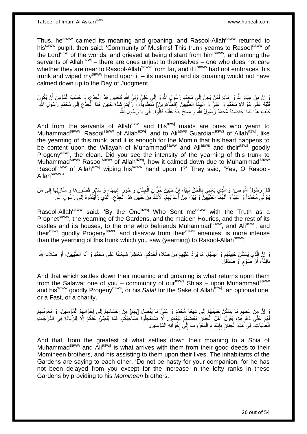Thus, he<sup>saww</sup> calmed its moaning and groaning, and Rasool-Allah<sup>saww</sup> returned to hissaww pulpit, then said: 'Community of Muslims! This trunk yearns to Rasoolsaww of the Lord<sup>azwj</sup> of the worlds, and grieved at being distant from him<sup>saww</sup>, and among the servants of Allah $a^{2x}$ <sup>i</sup> – there are ones unjust to themselves – one who does not care whether they are near to Rasool-Allah<sup>saww</sup> from far, and if I<sup>saww</sup> had not embraces this trunk and wiped my<sup>saww</sup> hand upon it – its moaning and its groaning would not have calmed down up to the Day of Judgment.

وَ إِنَّ مِنْ عِبَادِ اللَّهِ وَ إِمَائِهِ لَمَنْ يَحِنُّ إِلَى مُجَمَّدٍ رَسُولٍ اللَّهِ وَ إِلَى عَلِيٍّ وَلِيٍّ اللَّهِ كَخَنِينِ هَذَا الْجِذْعِ، وَ حَسْبُ الْمُؤْمِنِ أَنْ يَكُونَ ∫≀<br>∶ ِ َ ْ ِ ْ ِ ِ َقَلْبُهُ عَلَيٍ مُوَالاةِ مُحَمَّدٍ وَ عَلِيٍّ وَ آلِهِمَا الطَّيْبِينَ [الطَّاهِرِينَ] مُنْطَوِيةً، أَ رَّأَيْتُمْ شِدَّةَ حَنِينِ هَذَا الْجِذْعِ إِلَى مُحَمَّدٍ رَّسُولِ الثَّهِ **!** ِ ٔ:<br>ا **∶** ِ ِ ا<br>ا َ َ **∶** كَيْفَ هَذَأَ لِمَا احْتَضَنَهُ مُحَمَّدٌ رَّسُولُ اللَّهِ وَ مَسَحَ يَدَهُ عَلَيْهِ قَالُوا: بَلَى َيا رَسُولَ اللَّهِ. ا<br>أ

And from the servants of Allah<sup>azwj</sup> and His<sup>azwj</sup> maids are ones who yearn to Muhammad<sup>saww</sup>, Rasool<sup>saww</sup> of Allah<sup>azwj</sup>, and to Ali<sup>asws</sup> Guardian<sup>asws</sup> of Allah<sup>azwj</sup>, like the yearning of this trunk, and it is enough for the Momin that his heart happens to be content upon the Wilayah of Muhammad<sup>saww</sup> and Ali<sup>asws</sup> and their<sup>asws'</sup> goodly Progeny<sup>asws</sup>, the clean. Did you see the intensity of the yearning of this trunk to Muhammad<sup>saww</sup> Rasool<sup>saww</sup> of Allah<sup>azwj</sup>, how it calmed down due to Muhammad<sup>saww</sup> Rasool<sup>saww</sup> of Allah<sup>azwj</sup> wiping his<sup>saww</sup> hand upon it?' They said, 'Yes, O Rasool-Allah<sup>saww</sup>!'

قَالَ رَسُولُ اللَّهِ ص: وَ الَّذِي بَغَثَنِي بِالْحَقِّ نَبِيّاً، إِنَّ حَنِينَ خُزَّانِ الْجِنَانِ وَ حُورٍ عَيْنِهَا ٍ وَ سَائِرٍ قُصُورِهَا وَ مَنَازِلِهَا إِلَى مَنْ Į, ْ ِ ِ ْ **∶** ة<br>أ ه ِ ِ ِ ِ يَتَوَلَّى مُحَمَّداً وَ عَلِيَّاً وَ اَلَهُمَا الطَّيِّبِينَ وَ يَبْرَأُ مِنْ أَعْدَائِهِمْ، لَأَشَدُّ مِنْ حَنِيِّنِ هَذَا الْجِذْعِ- الَّذِي رَأَيْتُمُوهُ إِلَى رَسُولِ اللَّهِ. ِ ْ ِ َ ُ ِ ׀l َ ه

Rasool-Allah<sup>saww</sup> said: 'By the One<sup>azwj</sup> Who Sent me<sup>saww</sup> with the Truth as a Prophet<sup>saww</sup>, the yearning of the Gardens, and the maiden Houries, and the rest of its castles and its houses, to the one who befriends Muhammad<sup>saww</sup>, and Ali<sup>asws</sup>, and their<sup>asws</sup> goodly Progeny<sup>asws</sup>, and disavow from their<sup>asws</sup> enemies, is more intense than the yearning of this trunk which you saw (yearning) to Rasool-Allah<sup>saww</sup>.

وَ إِنَّ الَّذِي يُسَكِّنُ حَنِينَهُمْ وَ أَنِينَهُمْ، مَا يَرِدُ عَلَيْهِمْ مِنْ صَلَاةِ أَحَدِكُمْ- مَعَاشِرَ شِيعَتِنَا عَلَى مُحَمَّدٍ وَ آلِهِ الطُّيِّبِينَ، أَوْ صَلَاتِهِ شَهِ َ ِ **∶** َ ه ِ َ ِ نَافِلََةً، أَوْ صَوْمِ أَوْ صَدَقَةٍ. ر<br>ا ٍ َ

And that which settles down their moaning and groaning is what returns upon them from the Salawat one of you – community of our<sup>asws</sup> Shias – upon Muhammad<sup>saww</sup> and his<sup>saww</sup> goodly Progeny<sup>asws</sup>, or his Salat for the Sake of Allah<sup>azwj</sup>, an optional one, or a Fast, or a charity.

وَ إِنَّ مِنْ عَظِيمِ مَا يُسَكِّنُ حَنِينَهُمْ إِلَى شِيعَةٍ مُحَمَّدٍ وَ عَلِيٍّ مَا يَتَّصِلُ [بِهِمْ] مِنْ إِحْسَانِهِمْ إِلَى إِخْوَانِهِمُ الْمُؤْمِنِينَ، وَ مَعُونَتِهِمْ ِ ِ ِ ِ ِ ْ  $\frac{1}{2}$ ِ ِ **∶** لَهُمْ عَلَى دَهْرِهُمْ، يَقُولُ أَهْلُ الْجِنَانِ بَعْضُهُمْ لِبَعْضٍ. لَا تَسْتَعْجِلُوا صَاحِبَكُمْ، فَمَا يُبْطِئُ عَنَّكُمْ إِلَّا لِلزِّيَادَةِ فِي الدَّرَجَاتِ ْ َ **∶** ِ الْعَالِيَاتِ- فِي هَذِهِ الْجِنَانِ بِإِسْدَاءِ الْمَعْرُوفِ إِلَى إِخْوَانِهِ الْمُؤْمِنِينَ. ·<br>∶ ِ ْ ין<br>∶ ِ ْ ْ

And that, from the greatest of what settles down their moaning to a Shia of Muhammad<sup>saww</sup> and Ali<sup>asws</sup> is what arrives with them from their good deeds to their Momineen brothers, and his assisting to them upon their lives. The inhabitants of the Gardens are saying to each other, 'Do not be hasty for your companion, for he has not been delayed from you except for the increase in the lofty ranks in these Gardens by providing to his *Momineen* brothers.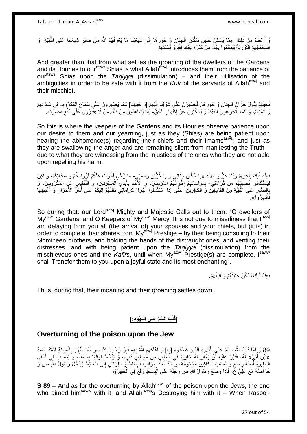وَ أَعْظَمُ مِنْ ذَلِكَ- مِمَّا يُسَكِّنُ حَنِينَ سُكَّانِ الْجِنَانِ وَ حُورِهَا إِلَى شِيعَتِنَا مَا يَعْرِفُهُمُ اللَّهُ مِنْ صَبْرِ شِيعَتِنَا عَلَى التَّقِيَّةِ- وَ َ ِ **ٍ** ِ **∶** ْ اسْتِعْمَالِهِمُ النَّوْرِيَةَ لِيَسْلَمُوا بِهَا- مِنْ كَفَرَةِ عِبَادِ اللَّهِ وَ فَسَقَتِهِمْ ِ ِ ِ

And greater than that from what settles the groaning of the dwellers of the Gardens and its Houries to our<sup>asws</sup> Shias is what Allah<sup>azwj</sup> Introduces them from the patience of ourasws Shias upon the *Taqiyya* (dissimulation) – and their utilisation of the ambiguities in order to be safe with it from the *Kufr* of the servants of Allah<sup>azwj</sup> and their mischief.

فَجِينَئِذٍ يَقُولُ خُزَّانُ الْجِنَانِ وَ حُورُ هَا: لَنَصْبِرَنَّ عَلَى شَوْقِنَا إِلَيْهِمْ [وَ خَنِينِنَا] كَمَا يَصْبِرُونَ عَلَى سَمَاعِ الْمَكْرُوهِ- فِي سَادَاتِهِمْ ِ ِ لَ ┆ ِ ْ ْ ِ ِ وَ أَئِمَّتُهِمْ، ۖ وَ كَمَا يَتَجَرَّ عُونَ الْغَيْظَ وَ يَسْكُتُونَ عَنْ إِظّْهَارِ الْحَقُّ- لِمَا يُشَاهِدُونَ مِنْ ظُلْمَ مَنْ لَا يَقْدِرُونَ عَلَى دَفْع مَضَّرَّتِهِ. ْ **∶** ِ ْ ِ ِ ِ ْ

So this is where the keepers of the Gardens and its Houries observe patience upon our desire to them and our yearning, just as they (Shias) are being patient upon hearing the abhorrence(s) regarding their chiefs and their Imams<sup>asws</sup>, and just as they are swallowing the anger and are remaining silent from manifesting the Truth – due to what they are witnessing from the injustices of the ones who they are not able upon repelling his harm.

فَعِنْدَ ذَلِكَ يُنَادِيهِمْ رَبُّنَا عَزَّ وَ جَلَّ: «يَا سُكَّانَ جِنَانِي وَ يَا خُزَّانَ رَحْمَتِي - مَا لِيُخْلِ أَخَرْتُ عَنْكُمْ أَزْوَاجَكُمْ وَ سَادَاتِكُمْ، وَ لَكِنْ ِ أ َ لِيَسْتَكْمِلُوا نَصِيبَهُمْ مِنْ كَرَامَتِي- بِمُوَاسَاتِهِمْ إِخْوَانَهُمُ الْمُؤْمِنِينَ، وَ الْأَخْذِ بِأَيْدِي الْمَهْهُوفِينَ، وَ التَّنْفِيِسِ عَنِ الْمَكْرُوبِينَ، وَ ِ ِ **∶** ِ ْ ْ ْ َ ِ ْ بِالْصَّبْرِ ۚ عَلَى التَّقِيَّةِ مِنَ الْفَاسِقِينَ وَ الْكَافِرِينَ، ۚ حَتَّى إِذَا اسْتَكْمَلُوا أَجْزَلَ كَرَامَاتِي نَقَلْتُهُمْ إِلَيْكُمْ ۚ عَلَى أَسَرِّ الْأَحْوَالِ وَ ٱغْبَطِهَا َ ِ ْ ْ ِ **∶** َ لَ ِ ْ َ فَأَبْشِرُوَا». َ

So during that, our Lord<sup>azwj</sup> Mighty and Majestic Calls out to them: "O dwellers of My<sup>azwj</sup> Gardens, and O Keepers of My<sup>azwj</sup> Mercy! It is not due to miserliness that l<sup>azwj</sup> am delaying from you all (the arrival of) your spouses and your chiefs, but (it is) in order to complete their shares from  $My^{azwj}$  Prestige – by their being consoling to their Momineen brothers, and holding the hands of the distraught ones, and venting their distresses, and with being patient upon the *Taqiyya* (dissimulation) from the mischievous ones and the Kafirs, until when My<sup>azwj</sup> Prestige(s) are complete, Isaww shall Transfer them to you upon a joyful state and its most enchanting".

> فَعِنْدَ ذَلِكَ يَسْكُنُ حَنِينُهُمْ وَ أَنِينُهُمْ. َ

Thus, during that, their moaning and their groaning settles down'.

# **َي ُهوِد:[ ُب ال َّسِّم َعلَى الْ لْ ]قَ**

### **Overturning of the poison upon the Jew**

89 وَ إِنَّمَا قَلْبُ اللَّهِ السَّمَّ عَلَى الْيَهُودِ الَّذِينَ قَصَدُوهُ [بِهِ] وَ أَهْلَكَهُمُ اللَّهُ بِهِ- فَإِنَّ رَسُولَ اللَّهِ ص لَمَّا ظَهَرَ بِالْمَدِينَةِ اشْتَدَّ جَسَدُ ْ ِ ِ ِ َ ِ ه ا<br>ا ْ َ لِإِابْنِ أُبَيٍّ» لَهُ، فَدَبَّرَ عُلَيْهِ أَنْ يَحْفِرَ لَهُ حَفِيرَةً فِي مَجْلِسٍ مِنْ مُجَالِسٍ دَارِهِ، وَ يَبْسُطَ فَوْقَهَا بِسَاطاً، وَ يَنْصِبَ فِي أَسْفَلِ ُ ر<br>ا لَ ِ **ٍ** َ الْحَفِيَرَةِ أَسِنَّةَ رِمَاحٍ وَ نَصَبَ سَكَاكِينَ مَسْمُومَةً، وَ شَدَّ أَحَدًّ جَوَانِبِ الْبِسَاطِ وَ الْفِرَاشِ إِلَى الْحَائِطِ لِيَدْخُلَ رَسُولُ اللَّهِ ص وَ ٍ ِ َ ْ ِ ْ ِ ْ ا<br>ا خَوَاصُّهُ مَعَ عَلِّيٍّ عَمْ، فَإِذَا وَضَعَ رَسُولُ اللَّهِ ص رِجْلَهُ عَلَى الْبِسَاطِ وَقَعَ فِي الْحَفِيرَةِ، ْ **ِ** ْ **∶** 

**S 89 –** And as for the overturning by Allah<sup>azwj</sup> of the poison upon the Jews, the one who aimed him<sup>saww</sup> with it, and Allah<sup>azwj</sup>'s Destroying him with it – When Rasool-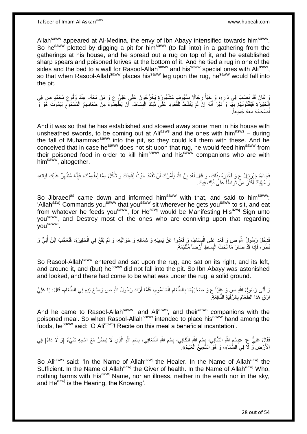Allah<sup>saww</sup> appeared at Al-Medina, the envy of Ibn Abayy intensified towards him<sup>saww</sup>. So he<sup>saww</sup> plotted by digging a pit for him<sup>saww</sup> (to fall into) in a gathering from the gatherings at his house, and he spread out a rug on top of it, and he established sharp spears and poisoned knives at the bottom of it. And he tied a rug in one of the sides and the bed to a wall for Rasool-Allah<sup>saww</sup> and his<sup>saww</sup> special ones with Ali<sup>asws</sup>, so that when Rasool-Allah<sup>saww</sup> places his<sup>saww</sup> leg upon the rug, he<sup>saww</sup> would fall into the pit.

يَ كَانَ قَدْ نَصَبَ فِي دَارِهِ، وَ خَبَأَ رِجَالًا بِسُبُوفٍ مَشْهُورَةٍ يَخْرُجُونَ عَلَى عَلِيٍّ ع وَ مَنْ مَعَهُ- عِنْدَ وُقُوع مُحَمَّدٍ ص فِي ِ ِ **∫ ∶** ِ الْحَفِيرَةِ فَيَقْتُلُونَهُمْ بِهَّا وَ َدَبَّرَ أَنَّهُ إِنَّ لَمْ يَنْشَطْ لِلْقُعُودِ عَلَى ذَلِكَ الْبِسَاطِ- أَنْ يُطَعِمُوهُ مِنْ طَعَامِهِمُ الْمَسْمُومِ لِيَمُوتَ هُوَ وَ ِ َ ِ ْ ِ ْ ْ ِ ِ ْ أَصْحَابُهُ مَعَهُ جَمِيعاً َ

And it was so that he has established and stowed away some men in his house with unsheathed swords, to be coming out at Ali<sup>asws</sup> and the ones with him<sup>asws</sup> – during the fall of Muhammad<sup>saww</sup> into the pit, so they could kill them with these. And he conceived that in case he<sup>saww</sup> does not sit upon that rug, he would feed him<sup>saww</sup> from their poisoned food in order to kill him<sup>saww</sup> and his<sup>saww</sup> companions who are with him<sup>saww</sup>, altogether.

فَجَاءَهُ جَيْرَئِيلُ عِ وَ أَخْبِرَهُ بِذَلِكَ، وَ قَالَ لَهُ: إِنَّ اللَّهَ يَأْمُرُكَ أَنْ تَقْعُدَ حَيْثُ يُقْعِدُكَ وَ تَأْكُلَ مِمَّا يُطْعِمُكَ، فَإِنَّهُ مُظْهِرٌ عَلَيْكَ آيَاتِهِ،<br>في المسلمان الله عليه الله عليه َ ْ ِ َ ِ ِ ْ نَ مُهْلِكٌ أَكْثَرَ مَنْ تَوَاطَأَ عَلَى ذَلِكَ فِيكَ. **∫** َ َ

So Jibraeel<sup>as</sup> came down and informed him<sup>saww</sup> with that, and said to him<sup>saww</sup>: 'Allah<sup>azwj</sup> Commands you<sup>saww</sup> that you<sup>saww</sup> sit wherever he gets you<sup>saww</sup> to sit, and eat from whatever he feeds you<sup>saww</sup>, for He<sup>azwj</sup> would be Manifesting His<sup>azwj</sup> Sign unto you<sup>saww</sup>, and Destroy most of the ones who are conniving upon that regarding yousaww'.

فَدَخَلَ رَسُولُ اللَّهِ ص وَ قَعَدَ عَلَى الْبِسَاطِ، وَ قَعَدُوا عَنْ يَمِينِهِ وَ شِمَالِهِ وَ حَوَالَيْهِ، وَ لَمْ يَقَعْ فِي الْحَفِيرَةِ، فَتَعَجَّبَ الْنُ أُبَيٍّ وَ **∣** ْ ْ نَظَرَ ، فَإِذَا قَدْ صَارَ مَا تَحْتَ الْبِسَاطِ أَرْضاً مُلْتَئِمَةً. ْ **∣** ْ

So Rasool-Allah<sup>saww</sup> entered and sat upon the rug, and sat on its right, and its left, and around it, and (but) he<sup>saww</sup> did not fall into the pit. So Ibn Abayy was astonished and looked, and there had come to be what was under the rug, a solid ground.

وَ أَتَـى رَسُولٍ اللَّهِ ص وَ عَلِيّاً ع وَ صَحْبَهُمَا بِالطَّعَام الْمَسْمُوم، فَلَمَّا أَرَادَ رَسُولُ اللَّهِ ص وَضْعَ يَدِهِ فِي الطَّعَام- قَالَ: يَا عَلِيُّ اً ِ ْ ِ ِ ِ ارْقِ هَذَا الطَّعَامَ بِالرُّقْيَةِ النَّافِعَةِ ِ

And he came to Rasool-Allah<sup>saww</sup>, and Ali<sup>asws</sup>, and their<sup>asws</sup> companions with the poisoned meal. So when Rasool-Allah<sup>saww</sup> intended to place his<sup>saww</sup> hand among the foods, he<sup>saww</sup> said: 'O Ali<sup>asws</sup>! Recite on this meal a beneficial incantation'.

فَقَالَ عَلِيٌّ ع: «بِسْم اللَّهِ الشَّافِي، بِسْم اللَّهِ الْكَافِي، بِسْم اللَّهِ الْمُعَافِي، بِسْم اللَّهِ الَّذِي لَا يَضُنُّ مَعَ اسْمِهِ شَيْءٌ [وَ لَا دَاءٌ] فِي ْ ِ **∫** ِ **ِ** ه ِ ِ ْ ِ **ِ** الْأَرْضِ وَّ لَا فِي السَّمَاءِ، وَ هُوَ السَّمِيعُ الْعَلِيمُ». ْ

So Aliasws said: 'In the Name of Allah<sup>azwj</sup> the Healer. In the Name of Allah<sup>azwj</sup> the Sufficient. In the Name of Allah<sup>azwj</sup> the Giver of health. In the Name of Allah<sup>azwj</sup> Who, nothing harms with His<sup>azwj</sup> Name, nor an illness, neither in the earth nor in the sky, and  $He^{azwj}$  is the Hearing, the Knowing'.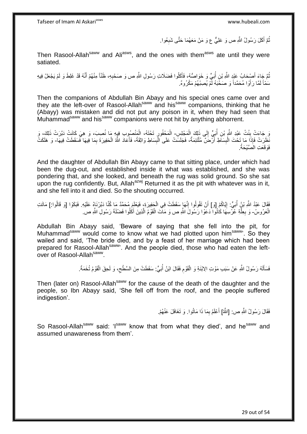ثُمَّ أَكَلَ رَسُولُ اللَّهِ ص وَ عَلِيٌّ ع وَ مَنْ مَعَهُمَا حَتَّى شَبِعُوا. َ ُ ِ

Then Rasool-Allah<sup>saww</sup> and Ali<sup>asws</sup>, and the ones with them<sup>asws</sup> ate until they were satiated.

ُّمَّ جَاءَ أَصْبِحَابُ عَيْدٍ اللَّهِ بْنِ أُبَيٍّ وَ خَوَاصُهُ، فَأَكَلُوا فَضَلَاتِ رَسُولِ اللَّهِ ص وَ صَحْبِهِ، ظَنّاً مِنْهُمْ أَنَّهُ قَدْ غَلِطَ وَ لَمْ يَجْعَلْ فِيهِ َ ر<br>ا ِ َ سَمَّأَ لَمَّا رَأَوْا مُحَمَّداً وَ صَخَّبَهُ لَمْ يُصِبْهُمْ مَكْرُوهٌ. َ لَ

Then the companions of Abdullah Bin Abayy and his special ones came over and they ate the left-over of Rasool-Allah<sup>saww</sup> and his<sup>saww</sup> companions, thinking that he (Abayy) was mistaken and did not put any poison in it, when they had seen that Muhammad<sup>saww</sup> and his<sup>saww</sup> companions were not hit by anything abhorrent.

وَ جَاءَتْ بِنْتُ عَبْدِ اللَّهِ بْنِ أُبَيٍّ إِلَى ذَلِكَ الْمَجْلِسِ- الْمَحْفُورِ تَحْتَهُ، الْمَنْصِبُوبِ فِيهِ مَا نُصِبَ، وَ هِيَ كَانَتْ دَبَّرَتْ ذَلِكَ، وَ ْ  $\frac{1}{2}$ ُ **∣** ْ ِ<br>ڊ َخْلَرَتْ فَإِذَا مَا تَحْتَ الْبِسَاطِ أَرْضَ مُلْتَئِمَةٌ، فَجَلَسَتْ عَلَى الْبِسَاطِ وَاثِقَةً، فَأَعَادَ اللَّهُ الْحَفِيرَةَ بِمَا فِيهَا فَسَقَطَتْ فِيهَا- وَ هَلَكَتْ ْ َ **!** ْ ْ َ **∣** ْ ِ فَوَقَعَتِ الْصَّيْحَةُ.

And the daughter of Abdullah Bin Abayy came to that sitting place, under which had been the dug-out, and established inside it what was established, and she was pondering that, and she looked, and beneath the rug was solid ground. So she sat upon the rug confidently. But, Allah $a^{2xy}$  Returned it as the pit with whatever was in it, and she fell into it and died. So the shouting occurred.

فَقَالَ عَبْدُ اللَّهِ بْنُ أُبَيٍّ. إِيَّاكُمْ [وَ] أَنْ تَقُولُوا إِنَّهَا سَقَطَتْ فِي الْجَفِيرَةِ، فَيَعْلَمَ مُحَمَّدٌ مَا كُنَّا دَبَّرْنَاهُ عَلَيْهِ. فَبَكَوْا [وَ قَالُوا:] مَاتَت ْ ِ َ ֖֧֓<u>֚֚֚֚֓</u> ُ الْعَرُوسُ- وَ بِعِلَّةِ عُرَّسِهَا كَانُوا دَعَوْا رَسُولَ اللَّهِ ص وَ مَالَتَ الْقَوْمُ الَّذِينَ أَكْلُوا فَضْلَةَ رَسُولِ اللَّهِ ص ْ َ ه ْ ه **∶** 

Abdullah Bin Abayy said, 'Beware of saying that she fell into the pit, for Muhammad<sup>saww</sup> would come to know what we had plotted upon him<sup>saww</sup>'. So they wailed and said, 'The bride died, and by a feast of her marriage which had been prepared for Rasool-Allah<sup>saww</sup>. And the people died, those who had eaten the leftover of Rasool-Allah<sup>saww</sup>.

> فَسَأَلَهُ رَسُولُ اللَّهِ عَنْ سَبَبِ مَوْتِ الِابْنَةِ وَ الْقَوْمِ فَقَالَ ابْنُ أُبَيٍّ: سَقَطَتْ مِنَ السَّطْح، وَ لَحِقَ الْقَوْمُ تُخَمَةً. ِ ُ ِ ْ لَ َ ْ

Then (later on) Rasool-Allah<sup>saww</sup> for the cause of the death of the daughter and the people, so Ibn Abayy said, 'She fell off from the roof, and the people suffered indigestion'.

> فَقَالَ رَسُولُ اللَّهِ ص: [اللَّهُ] أَعْلَمُ بِمَا ذَا مَاتُوا. وَ تَغَافَلَ عَنْهُمْ. ِ

So Rasool-Allah<sup>saww</sup> said: 'I<sup>saww</sup> know that from what they died', and he<sup>saww</sup> and assumed unawareness from them'.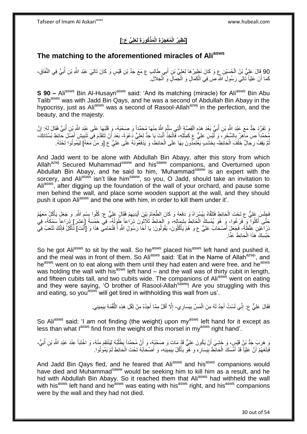# **ُكو َر ِة لَِعلِ ٍّي ع:[ َمذْ ُم ْع ِج َز ِة الْ ]َن ِظي ُر الْ**

## **The matching to the aforementioned miracles of Aliasws**

90 قَالَ عَلِيُّ بْنُ الْحُسَيْنِ عِ وَ كَانَ نَظِيرُ هَا لِعَلِيٍّ بْنِ أَبِي طَالِبٍ ع مَعَ جَدٍّ بْنِ قَيْسٍ وَ كَانَ تَالِيَ عَبْدِ اللَّهِ بْنِ أُبَيٍّ فِي النِّفَاقِ، ِ َ ْ ُكَمَا أَنَ عَلِيَّاً تَّتالِي رَسُولِ اللَّهِ ص فِي الْكَمَالِ وَ الْجَمَالِ وَ ٱلْجَلَالِ ِ اً ْ ْ ْ

**S 90 –** Ali<sup>asws</sup> Bin Al-Husayn<sup>asws</sup> said: 'And its matching (miracle) for Ali<sup>asws</sup> Bin Abu Talibasws was with Jadd Bin Qays, and he was a second of Abdullah Bin Abayy in the hypocrisy, just as Ali<sup>asws</sup> was a second of Rasool-Allah<sup>azwj</sup> in the perfection, and the beauty, and the majesty.

يَ تَفَرَّدَ جَدٌّ مَعَ عَلِدِ اللَّهِ بْنِ أُبَيٍّ بَعْدَ هَذِهِ الْقِصَبَّةِ الَّتِي سَلَّمَ اللَّهُ مِنْهَا مُحَمَّداً وَ صَحْبَهُ- وَ قَلَبَهَا عَلَى عَبْدِ اللَّهِ بِنِ أُبَيٍّ فَقَالَ لَهُ: إِنَّ ه ه ْ ُ ِ ُ مُحَمَّداً ص مَآهِرٌ بِالسِّحْرِ، وَ لَّيْسِ عَلِيٌّ عِ كَمِثْلِهِ، فَاتَّخِذْ أَنْتَ يَا جَدُّ لِعَلِيٍّ دَعْوَةً- بَعْدَ أَنْ تَتَقَدَّمَ فِي تَنْبِيشِ أَصْلَلِ دَائِطِ بُسْتَانِكَ، َ **ٔ** ْ ِ **∶** ِ َ َ نُّمَّ يَقِفُ رِجَالٌ خَلْفَ الْحَاَفِطِ- بِخَشَبٍ يَغْتَمِدُونَ بِهَا عَلَى الْحَائِطِ، وَ يَذْفَعُونَّهُ عَلَى عَلِيٍّ ع [وَ مَنْ مَعَهُ] لِيَمُوتُوا تَحْتَهُ. ْ ْ **∶** ْ ِ ِ

And Jadd went to be alone with Abdullah Bin Abayy, after this story from which Allah<sup>azwj</sup> Secured Muhammad<sup>saww</sup> and his<sup>saww</sup> companions, and Overturned upon Abdullah Bin Abayy, and he said to him, 'Muhammadsaww is an expert with the sorcery, and Aliasws isn't like himsaww, so you, O Jadd, should take an invitation to Ali<sup>asws</sup>, after digging up the foundation of the wall of your orchard, and pause some men behind the wall, and place some wooden support at the wall, and they should push it upon Ali<sup>asws</sup> and the one with him, in order to kill them under it'.

فَجِلَسَ عَلِيٌّ ع تَحْتَ الْحَائِطِ فَتَلَقَّاهُ بِيُسْرَاهُ وَ دَفَعَهُ وَ كَانَ الطَّعَامُ بَيْنَ أَيْدِيهِمْ فَقَالَ عَلِيٌّ ع: كُلُوا بِسْمِ اللَّهِ. وَ جَعَلَ يَأْكُلُ مَعَهُمْ ِ ْ ْ ِ ِ ِ َ حَتَّى أَكَلُوا ۖ وَ فَرَغُوا، وَ هُوَ يُمْسِكُ الْحَائِطَ بِشِمَالِهِ- وَ الْحَائِطُ ثُلَاثُونَ ذِرَاعاً طُولُهُ- فِي خَمْسَةً [عَشَرَ] ذِرَاعاً سَمْكَةً، فِي **∣** ْ َ ُ ان<br>اما ا نِرَاعَيْنِ غِلْظَةً- فَجَعَلٍَ أَصْحَابُ عَلِيٍّ ع وَ هُمْ يَأْكُلُونَ- يَقُولُونَ: يَا أَخَا رَسُولِ اللَّهِ أَ فَتُحَامِي هَذَا وَ [أَنْتَ] تَأْكُلُ فَإِنَّكَ تَتْعَبُ فِي ُ ْ َ َ َ َ ِ حَبْسِكَ هَذَا الْحَائِطَ عَنَّا. ْ

So he got Ali<sup>asws</sup> to sit by the wall. So he<sup>asws</sup> placed his<sup>asws</sup> left hand and pushed it, and the meal was in front of them. So Ali<sup>asws</sup> said: 'Eat in the Name of Allah<sup>azwj</sup>', and heasws went on to eat along with them until they had eaten and were free, and he<sup>asws</sup> was holding the wall with his<sup>asws</sup> left hand – and the wall was of thirty cubit in length, and fifteen cubits tall, and two cubits wide. The companions of Ali<sup>asws</sup> went on eating and they were saying, 'O brother of Rasool-Allah<sup>saww</sup>! Are you struggling with this and eating, so you<sup>asws</sup> will get tired in withholding this wall from us'.

> فَقَالَ عَلِيٌّ ع: إِنِّي لَسْتُ أَجِدُ لَهُ مِنَ الْمَسِّ بِيَسَارِ ي- إِلَّا أَقَلَّ مِمَّا أَجِدُهُ مِنْ ثِقْلِ هَذِهِ اللَّقْمَةِ بِيَمِينِي. ِ ْ َ ِ ِ ُّ َ َ ِ

So Ali<sup>asws</sup> said: 'I am not finding (the weight) upon my<sup>asws</sup> left hand for it except as less than what l<sup>asws</sup> find from the weight of this morsel in my<sup>asws</sup> right hand'.

ِ هَرَبَ جَدُّ بْنُ قَيْسٍ، وَ خَشِيَ أَنْ يَكُونَ عَلِيٌّ قَدْ مَاتَ وَ صَحْبُهُ، وَ أَنَّ مُحَمَّداً يَطْلُبُهُ لِنَنْتَقِمَ مِنْهُ، وَ اخْتَبَأَ عِنْدَ عَبْدِ اللَّهِ بْنِ أُبَيٍّ، ا<br>ا َ اُ َ َ فَبَلَغَهُمْ أَنَّ عَلِيَّاً قَدْ أَمُّسَكَ الْحَانِّطَ بِيَسَارِهِ وَ هُوَ يَأْكُلُ بِيَمِينِهِ، وَ أَصْحَابُهُ تَحْتَ الْحَائِطِ لَمْ يَمُوتُوا. ْ َ ِ ْ ِ **!** ْ َ

And Jadd Bin Qays fled, and he feared that Ali<sup>asws</sup> and his<sup>asws</sup> companions would have died and Muhammad<sup>saww</sup> would be seeking him to kill him as a result, and he hid with Abdullah Bin Abayy. So it reached them that Ali<sup>asws</sup> had withheld the wall with his<sup>asws</sup> left hand and he<sup>asws</sup> was eating with his<sup>asws</sup> right, and his<sup>asws</sup> companions were by the wall and they had not died.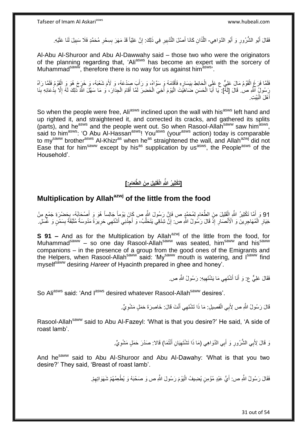فَقَالَ أَبُو الشُّرُورِ وَ أَبُو الدَّوَاهِي- اللَّذَانِ كَانَا أَصْلَ التَّدْبِيرِ فِي ذَلِكَ: إِنَّ عَلِيّاً قَدْ مَهَرَ بِسِحْرِ مُحَمَّدٍ فَلَا سَبِيلَ لَنَا عَلَيْهِ. َ **∶ ٍ !** ِ ِ ِ َ ه

Al-Abu Al-Shuroor and Abu Al-Dawwahy said – those two who were the originators of the planning regarding that, 'Ali<sup>asws'</sup> has become an expert with the sorcery of Muhammad<sup>saww</sup>, therefore there is no way for us against him<sup>asws</sup>'.

فَلَمَّا فَرَغَ الْقَوْمُ مَالَ عَلِيٌّ ع عَلَى الْحَائِطِ بِيَسَارِهِ فَأَقَامَهُ وَ سَوَّاهُ، وَ رَأَبَ صِدْعَهُ، وَ لَأَمَ شَعْبَهُ، وَ خَرَجَ هُوَ وَ الْقَوْمُ فَلَمَّا رَآهُ ِ ِ ْ ْ َ َ ْ يَسُولُ اللَّهِ ص قَالَ [لَمْ]. يَا أَبَا الْحَسَنِ ضَاهَيْتَ الْيَوْمَ أَخِيَ الْخَضِرَ لَمَّا أَقَامَ الْجِدَارَ، وَ مَا سَهَّلَ اللَّهُ ذَلِكَ لَهُ إِلَّا بِدُعَائِهِ بِنَا ِ ْ َ ْ َ ا.<br>إ ْ َ ِ ِ ِيَيْتِ :<br>ا هْلَ الْمَ َ أهْلَ البَيْتِ

So when the people were free, Ali<sup>asws</sup> inclined upon the wall with his<sup>asws</sup> left hand and up righted it, and straightened it, and corrected its cracks, and gathered its splits (parts), and he<sup>asws</sup> and the people went out. So when Rasool-Allah<sup>saww</sup> saw him<sup>asws</sup>, said to him<sup>asws</sup>: 'O Abu Al-Hassan<sup>asws</sup>! You<sup>asws</sup> (your<sup>asws</sup> action) today is comparable to my<sup>saww</sup> brother<sup>asws</sup> Al-Khizr<sup>as</sup> when he<sup>as</sup> straightened the wall, and Allah<sup>azwj</sup> did not Ease that for him<sup>saww</sup> except by his<sup>as</sup> supplication by us<sup>asws</sup>, the People<sup>asws</sup> of the Household'.

#### **]: َّطَعام ِم َن ال لِيلَ ]َتْكثِي ُر ََّّللاِ الْقَ ِ**

# **Multiplication by Allahazwj of the little from the food**

91 وَ أَهَّا تَكْثِيرُ اللَّهِ الْقَلِيلَ مِنَ الطَّعَامِ لِمُحَمَّدٍ ص فَإِنَّ رَسُولَ اللَّهِ ص كَانَ يَوْماً جَالِساً هُوَ وَ أَصْحَابُهُ- بِحَضْرَةِ جَمْعِ مِنْ<br>11 رَبِّيْهِ وَيَسَمَّى اللَّهِ الْقَلِيلَ مِنْ ذَلِكَ م ِ ْ ¦" ِ خِيَارِ الْمُهَاجِرِينَ وَ الْأَنْصَارِ إِذْ قَالَ رَسُولُ الثَّهِ صَ: إِنَّ شِدْقِي يَتَحَلَّبُ، وَ أَجِدُنِي أَشْتَهِي حَرِيرَةً مَدُوسَةً مُلَئِّقَةً بِسَمْنٍ وَ عَمَّسَلٍ ْ ِ **∶** ْ ِ ِ ِ َ َ اً יֲ<br>י

**S 91 –** And as for the Multiplication by Allah<sup>azwj</sup> of the little from the food, for Muhammad<sup>saww</sup> – so one day Rasool-Allah<sup>saww</sup> was seated, him<sup>saww</sup> and his<sup>saww</sup> companions – in the presence of a group from the good ones of the Emigrants and the Helpers, when Rasool-Allah<sup>saww</sup> said: 'My<sup>saww</sup> mouth is watering, and I<sup>saww</sup> find myself<sup>saww</sup> desiring *Hareer* of Hyacinth prepared in ghee and honey'.

> فَقَالَ عَلِيٌّ ع: وَ أَنَا أَشْتَهِي مَا يَشْتَهِيهِ. رَسُولُ اللَّهِ ص. ِ َ

So Aliasws said: 'And I<sup>asws</sup> desired whatever Rasool-Allah<sup>saww</sup> desires'.

قَالَ رَسُولُ اللَّهِ ص لِأَبِي الْفَصِيلِ: مَا ذَا تَشْتَهِي أَنْتَ قَالَ: خَاصِرَةَ حَمَلٍ مَشْوِيٍّ. ِ َ ْ

Rasool-Allah<sup>saww</sup> said to Abu Al-Fazeyl: 'What is that you desire?' He said, 'A side of roast lamb'.

> وَ قَالَ لِأَبِي الشُّرُورِ وَ أَبِي الذَّوَاهِي (مَا ذَا تَشْتَهِيَانِ أَنْتُمَا) قَالا: صَدْرَ حَمَلٍ مَشْوِيٍّ. َ **∶** َ ِ

And he<sup>saww</sup> said to Abu Al-Shuroor and Abu Al-Dawahy: 'What is that you two desire?' They said, 'Breast of roast lamb'.

> فَقَالَ رَسُولُ اللَّهِ ص: أَيُّ عَبْدٍ مُؤْمِنٍ يُضِيفُ الْيَوْمَ رَسُولَ اللَّهِ ص وَ صَحْبَهُ وَ يُطْعِمُهُمْ شَهَوَاتِهِمْ. ْ اً<br>ا ِ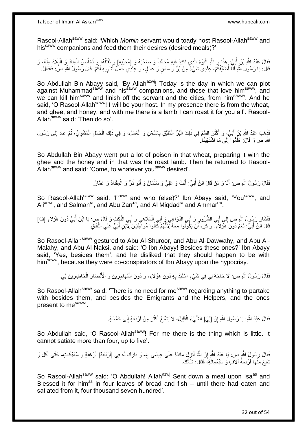Rasool-Allah<sup>saww</sup> said: 'Which *Momin* servant would toady host Rasool-Allah<sup>saww</sup> and his<sup>saww</sup> companions and feed them their desires (desired meals)?'

فَقَالَ عَبْدُ اللَّهِ بْنُ أُبَيٍّ. هَذَا وَ اللَّهِ الْيَوْمُ الَّذِي نَكِيدُ فِيهِ مُحَمَّداً وَ صَحْبَهُ وَ [مُحِبِّيهِ] وَ نَقْتُلُهُ، وَ نُخَلِّصُ الْعِبَادَ وَ الْبِلَادَ مِنْهُ، وَ ه ْ ِ ْ ْ ِّ ُ قَالَ: يَا رَسُولَ اللَّهِ أَنَّا أُضَيِّفُكُمْ، عِنْدِي شَيْءٌ مِنْ بُرٍّ وَ سَمْنٍ وَ عَسَلٍ، وَ عِنْدِي حَمَلٌ أَشْوِيهِ لَكُمْ. قَالَ رَسُولُ اللَّهِ صَ فَافْعَلْ. ا<br>ا َ ِ َ

So Abdullah Bin Abayy said, 'By Allah<sup>azwj</sup>! Today is the day in which we can plot against Muhammad<sup>saww</sup> and his<sup>saww</sup> companions, and those that love him<sup>saww</sup>, and we can kill him<sup>saww</sup> and finish off the servant and the cities, from him<sup>saww</sup>. And he said, 'O Rasool-Allah<sup>saww</sup>! I will be your host. In my presence there is from the wheat, and ghee, and honey, and with me there is a lamb I can roast it for you all'. Rasool-Allah<sup>saww</sup> said: 'Then do so'.

ا<br>ا فَذَهَبَ عَبْدُ اللَّهِ بْنُ أُبَيٍّ، وَ أَكْثَرَ السَّمَّ فِي ذَلِكَ الْبُرِّ الْمُلَيَّقِ بِالسَّمْنِ وَ الْعَسَلِ، وَ فِي ذَلِكَ الْحَمَلِ الْمَشْوِيِّ، ثُمَّ عَادَ إِلَى رَسُولِ ُ ا<br>ئا ِ ْ ْ ْ ِ ْ ْ َ ِ اللَّهِ ص وَ قَالَ: هَلُمُّوا ۗ إِلَى مَا اشْتَهَيْتُمْ ِ ا<br>ا

So Abdullah Bin Abayy went put a lot of poison in that wheat, preparing it with the ghee and the honey and in that was the roast lamb. Then he returned to Rasool-Allah<sup>saww</sup> and said: 'Come, to whatever you<sup>saww</sup> desired'.

> َ فَقَالَ رَسُولُ اللَّهِ ص: أَنَا وَ مَنْ قَالَ ابْنُ أُبَيٍّ: أَنْتَ وَ عَلِيٌّ وَ سَلْمَانُ وَ أَبُو ذَرٍّ وَ الْمِقْدَادُ وَ عَمَّارٌ. ْ َ ُ َ ْ

So Rasool-Allah<sup>saww</sup> said: 'I<sup>saww</sup> and who (else)?' Ibn Abayy said, 'You<sup>saww</sup>, and Ali<sup>asws</sup>, and Salman<sup>ra</sup>, and Abu Zarr<sup>ra</sup>, and Al Miqdad<sup>ra</sup> and Ammar<sup>ra</sup>'.

فَأَشَارَ رَسُولُ اللَّهِ ص إِلَى أَبِي الشُّرُورِ وَ أَبِي الذَّوَاهِي وَ أَبِي الْمَلَاهِي وَ أَبِي النَّكْتِ وَ قَالَ صِ. يَا ابْنَ أُبَيٍّ دُونَ هَؤُلَاءِ [فَ] َ ِ َ ِ َ ر<br>أ َ ْ َ قَالَ ابْنُ أُبَيٍّ: نَعَمْ دُونَ ۚ هَؤُ لَاءٍ ۖ وَ كَرِهَ أَنْ يَكُونُوا مَعَهُ لِّأَنَّهُمْ كِّأَنُوا مُوَاطِّئِينَ لِآَبْنِ أُبَيٍّ عَلَي النِّفَاقِ. َ ِ ُ

So Rasool-Allah<sup>saww</sup> gestured to Abu Al-Shuroor, and Abu Al-Dawwahy, and Abu Al-Malahy, and Abu Al-Naksi, and said: 'O Ibn Abayy! Besides these ones?' Ibn Abayy said, 'Yes, besides them', and he disliked that they should happen to be with him<sup>saww</sup>, because they were co-conspirators of Ibn Abayy upon the hypocrisy.

> فَقَالَ رَسُولُ اللَّهِ ص: لَا حَاجَةَ لِي فِي شَيْءٍ اسْتَبَدَّ بِهِ دُونَ هَؤُلَاءِ، وَ دُونَ الْمُهَاجِرِينَ وَ الْأَنْصَارِ الْحَاضِرِينَ لِي. ِ ْ ِ ِ ْ ِ

So Rasool-Allah<sup>saww</sup> said: 'There is no need for me<sup>saww</sup> regarding anything to partake with besides them, and besides the Emigrants and the Helpers, and the ones present to mesaww'.

> فَقَالَ عَبْدُ اللَّهِ ۚ يَا رَسُولَ اللَّهِ إِنَّ [لِيَ] الشَّيْءَ الْقَلِيلَ، لَا يَشْبَعُ أَكْثَرَ مِنْ أَرْبَعَةٍ إِلَى خَمْسَةٍ ِ ْ ِ َ َ َ

So Abdullah said, 'O Rasool-Allah<sup>saww</sup>! For me there is the thing which is little. It cannot satiate more than four, up to five'.

فَقَالَ رَسُولُِ الثَّهِ ص: يَا عَبْدَ اللَّهِ إِنَّ اللَّهَ أَنْزَلٍّيَ مَائِدَةً عَلَى عِيسَى ع- وَ بَارَكَ لَمُه فِي [أَرْبَعَةِ] أَرْغِفَةٍ وَ سُمَيْكَاتٍ- حَتَّى أَكَلَ وَ َ ِ َ َ َ نُنبِعَ مِنْهَا أَرْبَعَةُ آلَافٍ وَ سَبْعُمِانَةٍ، فَقَالَ: شَأْنَكَ ْ َ ِ

So Rasool-Allah<sup>saww</sup> said: 'O Abdullah! Allah<sup>azwj</sup> Sent down a meal upon Isa<sup>as</sup> and Blessed it for him<sup>as</sup> in four loaves of bread and fish  $-$  until there had eaten and satiated from it, four thousand seven hundred'.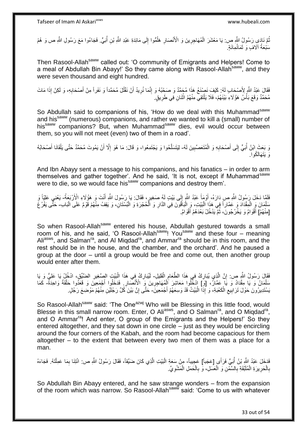ا<br>ا نُمَّ نَادَىِ رَسُولُ اللَّهِ ص: يَا مَعْشَرَ الْمُهَاجِرِينَ وَ الْأَنْصَارِ هَلُمُّوا إِلَى مَائِدَةِ عَبْدِ اللَّهِ بْنِ أُبَيٍّ. فَجَاءُوا مَعَ رَسُولِ اللَّهِ ص وَ هُمْ ∣∣<br>ِ ُ **∶** ِ ْ سَٰبْعَةُ آلَافٍ وَ ثَمَانُمِائَةٍ. َ

Then Rasool-Allah<sup>saww</sup> called out: 'O community of Emigrants and Helpers! Come to a meal of Abdullah Bin Abayy!' So they came along with Rasool-Allahsaww, and they were seven thousand and eight hundred.

فَقَالَ عَبْدُ اللَّهِ لِأَصْحَابِ لَهُ: كَيْفَ نَصِنْعُ هَذَا مُحَمَّدٌ وَ صَحْبُهُ وَ إِنَّمَا نُرِيدُ أَنْ نَقْتُلَ مُحَمَّداً وَ نَفَراً مِنْ أَصْحَابِهِ، وَ لَكِنْ إِذَا مَاتَ<br>فَقَالَ عَبْدُ اللَّهِ لِأَصْحَابِ وَيَه ِ اُ ِ ِ مُحَمَّدٌ وَقَعَ بَأْسُ هَؤُلَاءِ بَيْنَهُمْ، فَلَا يَلْتَقِي مِنْهُمُ اثْنَانِ فِي طَرِيقٍ. ْ ْ ِ ْ

So Abdullah said to companions of his, 'How do we deal with this Muhammad<sup>saww</sup> and his<sup>saww</sup> (numerous) companions, and rather we wanted to kill a (small) number of his<sup>saww</sup> companions? But, when Muhammad<sup>saww</sup> dies, evil would occur between them, so you will not meet (even) two of them in a road'.

وَ بَعَثَ ابْنُ أَبَيٍّ إِلَى أَصْحَابِهِ وَ الْمُتَعَصِّبِينَ لَهُ- لِيَتَسَلَّحُوا وَ يَجْتَمِعُوا، وَ قَالَ: مَا هُوَ إِلَّا أَنْ يَمُوتَ مُحَمَّدٌ حَتَّى يَلْقَانَا أَصْحَابُهُ **!** ْ **∶** َ  $\frac{1}{2}$ ُ َ ْ اُ ِ ه هَ نَتَصَالَكُه ا

And Ibn Abayy sent a message to his companions, and his fanatics – in order to arm themselves and gather together'. And he said, 'It is not, except if Muhammad saww were to die, so we would face his<sup>saww</sup> companions and destroy them'.

فَلَمَّا دَخَلَ رَسُولُ اللَّهِ صِ دَارَهُ، أَوْمِأَ عَبْدُ اللَّهِ إِلَى بَيْتٍ لَمُ صَغِيرٍ، فَقَالَ: يَا رَسُولَ اللَّهِ أَنْتَ وَ هَؤُلَاءِ الْأَرْبَعَةُ- يَعْنِي عَلِيّاً وَ َ َ َ ∣∣<br>پہ سَلْمَانَ وَ الْمِقْدَادَ وَ عَمَّاراً فِي هَذَا الْبَيْتِ، وَ الْبَاقُونَ فِي الدَّارِ وَ الْحُجْرَةِ وَ الْبُسْتَانِ، وَ يَقِفُ مِنْهُمْ قَوْمٌ عَلَى الْبَابِ حَتَّى يَفْرُغَ ْ ْ ْ ْ ْ ْ ِ ْ [مِنْهُمْ] أَقْوَامٌ وَ يَخْرُجُونَ، ثُمَّ يَدْخُلُ بَعْدَهُمْ أَقْوَامٌ. َ ُ َ

So when Rasool-Allah<sup>saww</sup> entered his house, Abdullah gestured towards a small room of his, and he said, 'O Rasool-Allah<sup>saww</sup>! You<sup>saww</sup> and these four – meaning Ali<sup>asws</sup>, and Salman<sup>ra</sup>, and Al Miqdad<sup>ra</sup>, and Ammar<sup>ra</sup> should be in this room, and the rest should be in the house, and the chamber, and the orchard'. And he paused a group at the door – until a group would be free and come out, then another group would enter after them.

فَقَالَ رَسُولُ اللَّهِ ص: إِنَّ الَّذِي يُبَارِكُ فِي هَذَا الطَّعَامِ الْقَلِيلِ- لَيُبَارِكُ فِي هَذَا الْبَيْتِ الصَّغِيرِ الضَّيِّقِ، ادْخُلْ بَا عَلِيُّ وَ يَا ْ ِ ِ ه **׀** ِ ْ ِ لَ ا<br>ا سَلْمَانُ وَ يَا مِقْدَادُ وَ يَا عَمَّانُ، [وَ] ادْخُلُوا مَعَاشِرَ الْمُهَاجُرِينَ وَ الْأَنْصَارِ. فَدَخَلُوا أَجْمَعِينَ وَ قَعَدُوا حَلْقَةً وَاحِدَةً ۖ كَمَا ْ ْ َ **ٍ** ِ ْ َبِسْتَدِيرُونَ حَوْلَ تَرَابِيعِ الْكَعْبَةِ، وَ إِذَآ الْبَيْتُ قَدْ وَسِعَهُمْ أَجْمَعِينََ- حَتَّى إِنَّ بَيْنَ كُلِّ رَجُلَيْنِ مِنْهُمْ مَوْضِعَ رَجُلٍ. َ ْ ْ ِ **!** ِ

So Rasool-Allah<sup>saww</sup> said: 'The One<sup>azwj</sup> Who will be Blessing in this little food, would Blesse in this small narrow room. Enter, O Ali<sup>asws</sup>, and O Salman<sup>ra</sup>, and O Miqdad<sup>ra</sup>, and O Ammar<sup>ra</sup>! And enter, O group of the Emigrants and the Helpers!' So they entered altogether, and they sat down in one circle – just as they would be encircling around the four corners of the Kabah, and the room had become capacious for them altogether – to the extent that between every two men of them was a place for a man.

فَدَخَلَ عَبْدُ اللَّهِ بْنُ أُبَيٍّ فَرَأَى [عَجَباً] عَجِيباً- مِنْ سَعَةِ الْبَيْتِ الَّذِي كَانَ ضَيِّقاً، فَقَالَ رَسُولُ اللَّهِ ص: ائْتِنَا بِمَا عَمِلْنَهُ. فَجَاءَهُ ُ ْ ِ ه :<br>ا بِالْحَرِيرَةِ الْمُلَبَّقَةِ بِالسَّمْنِ وَ الْعَسَلِ، وَ بِالْحَمَلِ الْمَشْوِيِّ. ِ ْ ْ ِ ْ **∶** ْ **∶** ْ **∶** 

So Abdullah Bin Abayy entered, and he saw strange wonders – from the expansion of the room which was narrow. So Rasool-Allah<sup>saww</sup> said: 'Come to us with whatever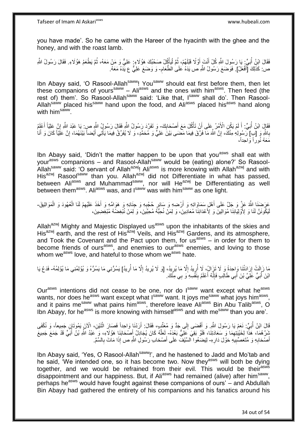you have made'. So he came with the Hareer of the hyacinth with the ghee and the honey, and with the roast lamb.

فَقَالَ ابْنُ أُبَيٍّ: يَا رَسُولَ اللَّهِ كُلْ أَنْتَ إَوَّلًا قَبْلَهُمْ، ثُمَّ لْيَأْكُلْ صَحْبُكَ هَؤُلَاءِ. عَلِيٌّ وَ مَنْ مَعَهُ، ثُمَّ بَطْعَمُ هَؤُلَاءِ. فَقَالَ رَسُولُ اللَّهِ ْ :<br>إ ُ َ َ ر<br>ا ا<br>المقام ص: كَذَٰلِكَ [ٓأَفْعَلُ] ۖ فَوَضَعَ رَسُولُ اللَّهِ ص يَدَهُ عَلَىٰ الطَّعَامِ- وَ وَضَعَ عَلِيٌّ ع يَدَّهُ مَعَهُ ۚ َ ِ

Ibn Abayy said, 'O Rasool-Allah<sup>saww</sup>! You<sup>saww</sup> should eat first before them, then let these companions of yours<sup>saww</sup> – Ali<sup>asws</sup> and the ones with him<sup>asws</sup>. Then feed (the rest of) them'. So Rasool-Allah<sup>saww</sup> said: 'Like that, Isaww shall do'. Then Rasool-Allah<sup>saww</sup> placed his<sup>saww</sup> hand upon the food, and Ali<sup>asws</sup> placed his<sup>asws</sup> hand along with him<sup>saww</sup>.

فَقَالٍَ ابْنُ أُبَيٍّ: أَ لَمْ يَكُنِ الْأَمْرُ عِلَى أَنْ تَأْكُلَ مَعَ أَصْحَابِكَ- وَ تَفَرَّدَ رَسُولُ اللَّهِ فَقَالَ رَسُولٍ اللَّهِ صِ بِ يَا عَبْدَ اللَّهِ إِنَّ عِلِيّاً أَعْلِمُ  $\frac{1}{2}$ َ **ٔ** اً لَ َ ُ َ ِ بِاللَّهِ وَ [بِ] رَسُولِهِ مِنْكَ، إِنَّ اللَّهَ مَا فَرَّقَ فِيمَا مَضَى بَيْنَ عَلِيٍّ وَ مُحَمَّدٍ، وَ لَا يُفَرِّقُ فِيمَا يَأْتِي أَيْضاً بَيْنَهُمَا، إِنَّ عَلِّيًّا كَانَ وَ أَنَا ِ ِ ِ َ ْ َ مَعَهُ نُوراً وَاحِداً،

Ibn Abayy said, 'Didn't the matter happen to be upon that you<sup>asws</sup> shall eat with yourasws companions – and Rasool-Allahsaww would be (eating) alone?' So Rasool-Allah<sup>saww</sup> said: 'O servant of Allah<sup>azwj</sup>! Ali<sup>asws</sup> is more knowing with Allah<sup>azwj</sup> and with His<sup>azwj</sup> Rasool<sup>saww</sup> than you. Allah<sup>azwj</sup> did not Differentiate in what has passed, between Ali<sup>asws</sup> and Muhammad<sup>saww</sup>, nor will He<sup>azwj</sup> be Differentiating as well between them<sup>asws</sup>. Ali<sup>asws</sup> was, and I<sup>saww</sup> was with him<sup>saww</sup> as one light.

َمْرَضِنَا اللَّهُ عَزَّ وَ جَلَّ عَلَى أَهْلِ سَمَاوَاتِهِ وَ أَرْضِهِ وَ سَائِرٍ حُجُبِهِ وَ جِنَانِهِ وَ هَوَامِّهِ وَ أَخَذَ عَلَيْهِمْ لَنَا الْعُهُودَ وَ الْمَوَاثِيقَ-اُ َ **∶** ِ ْ ْ ِ َ لَيْكُونَنَّ لَذَا وَ لِأَوْلِيَالِنَا مُوَالِينَ وَ لِأَعْدَائِنَا مُعَادِينَ، وَ لِمَنْ نُحِبُّهُ مُحِبِّينَ، وَ لِمَنْ نُبْغِضُهُ مُبْغِضِينَ،

Allah<sup>azwj</sup> Mighty and Majestic Displayed us<sup>asws</sup> upon the inhabitants of the skies and His<sup>azwj</sup> earth, and the rest of His<sup>azwj</sup> Veils, and His<sup>azwj</sup> Gardens, and its atmosphere, and Took the Covenant and the Pact upon them, for us<sup>asws</sup>  $-$  in order for them to become friends of ours<sup>asws</sup>, and enemies to our<sup>asws</sup> enemies, and loving to those whom we<sup>asws</sup> love, and hateful to those whom we<sup>asws</sup> hate.

مَا زَ إِلَي ادَتُنَا وَاحِدَةً وَ لَا تَزِالُ، لَا أُرِيدُ إِلَّا مَا يُرِيدُ، [وَ لَا يُرِيدُ إِلَّا مَا أُرِيدُ إِلَّا مَا يُرِيدُ ، وَلا يُرِيدُ إِلَّا مَا أُرِيدُ إِلَّا مَا أُرِيدُ إِلَّا مَا أُرِيدُ إِلَّا مَا أُرِي ِ ِ ُ ِ ِ ِ ِ ِ ُ ابْنَ أَبَيٍّ عََلِيَّ بْنَ أَبِي طَالِبٍ فَإِنَّهُ أَعْلَمُ بِنَفْسِهِ وَ بِي مِنْكَ. َ ُ **∣** َ ِ

Ourasws intentions did not cease to be one, nor do Isaww want except what he<sup>asws</sup> wants, nor does he<sup>asws</sup> want except what l<sup>saww</sup> want. It joys me<sup>saww</sup> what joys him<sup>asws</sup>, and it pains me<sup>saww</sup> what pains him<sup>asws</sup>, therefore leave Ali<sup>asws</sup> Bin Abu Talib<sup>asws</sup>, O Ibn Abayy, for he<sup>asws</sup> is more knowing with himself<sup>asws</sup> and with me<sup>saww</sup> than you are'.

ْ َالَ ابْنُ أُبَيٍّ. نَعَمْ يَا رَسُولَ اللَّهِ وَ أَفْضَى إِلَى جَدٍّ وَ مُعَتِّبٍ، فَقَالَ: أَرَدْنَا وَاحِداً فَصَالَ اثْنَيْنِ، الْأَنَ يَمُوتَانٍ جَمِيعاً، وَ نُكْفَى َ  $\frac{1}{2}$ َ ثَلَّأَهُمَا، هَذَا لِخَيْبِتِهِمَا وَ سَعَادَتِنَا، فَلَوْ بَقِيَ عَلِيٌّ بَعْدَهُ- لَعَلَّهُ كَانَ يُجَادِلُ أَصْحَابَنَا هَؤُلاءِ، وَ عَبْدُ اللَّهِ بْنُ أُبَيٍّ قَدْ جَمَعَ جَمِيعَ ا<br>ا َ ه لَ أَصْحَابِهِ وَ مُتَعَصِّبِيَهِ حَوْلَ دَارِهِ- لِيَضعُوا ٱلسَّيْفَ عَلَى أَصْحَابِ رَسُولِ اللَّهِ ص إِذَا مَاتَ بِالسَّمِّ. **∶ !** ِ َ ِ

Ibn Abayy said, 'Yes, O Rasool-Allah<sup>saww</sup>!', and he hastened to Jadd and Mo'tab and he said, 'We intended one, so it has become two. Now they<sup>asws</sup> will both be dying together, and we would be refrained from their evil. This would be their<sup>asws</sup> disappointment and our happiness. But, if Ali<sup>asws</sup> had remained (alive) after him<sup>saww</sup>, perhaps he<sup>asws</sup> would have fought against these companions of ours' – and Abdullah Bin Abayy had gathered the entirety of his companions and his fanatics around his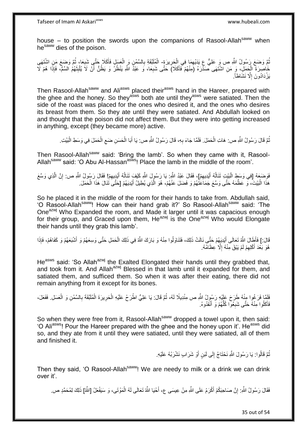house – to position the swords upon the companions of Rasool-Allah $s_{\text{a}}$  when he<sup>saww</sup> dies of the poison.

نْعَ وَضَعَ رَسُولُ اللَّهِ ص وَ عَلِيٌّ عِ يَدَيْهِمَا فِي الْحَرِيزَةِ- الْمُلَنَّقَةِ بِالسَّمْنِ وَ الْعَسَلِ فَأَكَلَا حَتَّى شَبِعَا، ثُمَّ وَضَعَ مَنِ اشْتَهَى **ٍ** ْ ِ ا دیکھیے ِ َ ْ ِ خَاصِرَةَ الْجَمَلِّ، وَ مَنِ اَشْتَهَى صَدْرَهُ (مَنْهُمْ فَأَكَلا) حَتَّى شَبِعَا، وَ عَبْدُ اللَّهِ يَنْظُرُ وَ يَظُنُّ أَنْ لَا يُلْبِتَهُمُ السَّمَّ، فَإِذَا هُمْ لَا َ ِ َ ْ َ ِ ْ يَزْدَادُونَ إِلَّا نَشَاطاً. ِ

Then Rasool-Allah<sup>saww</sup> and Ali<sup>asws</sup> placed their<sup>asws</sup> hand in the Hareer, prepared with the ghee and the honey. So they<sup>asws</sup> both ate until they<sup>asws</sup> were satiated. Then the side of the roast was placed for the ones who desired it, and the ones who desires its breast from them. So they ate until they were satiated. And Abdullah looked on and thought that the poison did not affect them. But they were into getting increased in anything, except (they became more) active.

نُمَّ قَالَ رَسُولُ اللَّهِ ص: هَاتِ الْحَمَلَ. فَلَمَّا جَاءَ بِهِ، قَالَ رَسُولُ اللَّهِ ص: يَا أَبَا الْحَسَنِ ضَعِ الْحَمَلَ فِي وَسَطِ الْبَيْتِ. ِ ْ ُ ْ ْ ِ ْ َ

Then Rasool-Allah<sup>saww</sup> said: 'Bring the lamb'. So when they came with it, Rasool-Allah<sup>saww</sup> said: 'O Abu Al-Hassan<sup>asws</sup>! Place the lamb in the middle of the room'.

فَوَضَعَهُ [فِي وَسَطٍ الْبَيْتِ تَنَالُهُ أَيْدِيهِمْ]، فَقَالَ عَبْدُ اللَّهِ يَا رَسُولَ اللَّهِ كَيْفَ تَنَالُهُ أَيْدِيهِمْ! فَقَالَ رَسُولُ اللَّهِ ص: إِنَّ الَّذِي وَسَّعَ ِ َ ا<br>ا ه ِ ِ َ ُ هَذَا الْبَيْتَ، وَ عَظَّمَهُ حَتَّى وَسَّعَ جَمَاعَتَّهُمْ وَ فَضلَ عَنْهُمْ، هُوَ الَّذِي يُطِيلُ أَيْدِيَهُمْ [حَتَّى تُنَالَ هَذَا الْحَمَلَ. ه :<br>ا ْ َ

So he placed it in the middle of the room for their hands to take from. Abdullah said, 'O Rasool-Allah<sup>saww</sup>! How can their hand grab it?' So Rasool-Allah<sup>saww</sup> said: 'The One<sup>azwj</sup> Who Expanded the room, and Made it larger until it was capacious enough for their group, and Graced upon them, He<sup>azwj</sup> is the One<sup>azwj</sup> Who would Elongate their hands until they grab this lamb'.

قَالَ:] فَأَطَالَ اللَّهُ تَعَالَى أَيْدِيَهُمْ حَتَّى نَالَتْ ذَلِكَ، فَتَنَاوَلُوا مِنْهُ وَ بَارَكَ اللَّهُ فِي ذَلِكَ الْحَمَلِ حَتَّى وَسِعَهُمْ وَ أَشْبَعَهُمْ وَ كَفَاهُمْ، فَإِذَا َ َ ْ هُوَ بَعْدَ أَكْلِهِمْ لَمْ يَبْقَ مِنْهُ إِلَّا عِظَامُهُ. ِ ِ َ

He<sup>asws</sup> said: 'So Allah<sup>azwj</sup> the Exalted Elongated their hands until they grabbed that, and took from it. And Allah<sup>azwj</sup> Blessed in that lamb until it expanded for them, and satiated them, and sufficed them. So when it was after their eating, there did not remain anything from it except for its bones.

فَلَمَّا فَرَغُوا مِنْهُ طَرَحَ عَلَيْهِ رَسُولُ اللَّهِ ص مِنْدِيلًا لَهُ، ثُمَّ قَالَ: يَا عَلِيُّ اطْرَحْ عَلَيْهِ الْحَرِيرَةَ الْمُلَبَّقَةَ بِالسَّمْنِ وَ الْعَسَلِ. فَفَعَلَ،<br>يَهَمُّهُ ُ ْ **∶** ْ ْ فَأَكَلُوا مِنْهُ حَتَّى شَبِعُوّا كُلُّهُمْ وَ أَنْفَدُوهُ. َ ُّ ِ َ

So when they were free from it. Rasool-Allah<sup>saww</sup> dropped a towel upon it, then said: 'O Ali<sup>asws</sup>! Pour the Hareer prepared with the ghee and the honey upon it'. He<sup>asws</sup> did so, and they ate from it until they were satiated, until they were satiated, all of them and finished it.

> ِ نُمَّ قَالُوا: يَا رَسُولَ اللَّهِ نَحْنَاجُ إِلَى لَبَنٍ أَوْ شَرَابٍ نَشْرَبُهُ عَلَيْهِ. ُ اُ

Then they said, 'O Rasool-Allah<sup>saww</sup>! We are needy to milk or a drink we can drink over it'.

فَقَالَ رَسُولُ اللَّهِ. إِنَّ صَاحِبَكُمْ أَكْرَمُ عَلَى اللَّهِ مِنْ عِيسَى عِ، أَحْيَا اللَّهُ تَعَالَى لَهُ الْمَوْتَى، وَ سَيَفْعَلُ [اللَّهُ] ذَلِكَ لِمُحَمَّدٍ ص. ْ َ َ יִי,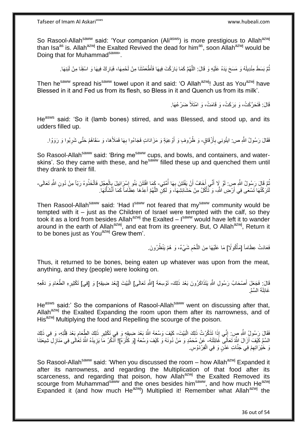So Rasool-Allah<sup>saww</sup> said: 'Your companion (Ali<sup>asws</sup>) is more prestigious to Allah<sup>azwj</sup> than Isa<sup>as</sup> is. Allah<sup>azwj</sup> the Exalted Revived the dead for him<sup>as</sup>, soon Allah<sup>azwj</sup> would be Doing that for Muhammad<sup>saww</sup>'.

> ُّمَّ بَسَطَ مِنْدِيلَهُ وَ مَسَحَ يَدَهُ عَلَيْهِ وَ قَالَ: اللَّهُمَّ كَمَا بَارَكْتَ فِيهَا فَأَطْعَمْتَنَا مِنْ لَحْمِهَا، فَبَارِكْ فِيهَا وَ اسْقِنَا مِنْ لَبَنِهَا. ه ُ ِ

Then he<sup>saww</sup> spread his<sup>saww</sup> towel upon it and said: 'O Allah<sup>azwj</sup>! Just as You<sup>azwj</sup> have Blessed in it and Fed us from its flesh, so Bless in it and Quench us from its milk'.

قَالَ: فَتَحَرَّكَتْ، وَ بَرَكَتْ، وَ قَامَتْ، وَ امْتَلَأَ ضَرْعُهَا.

He<sup>asws</sup> said: 'So it (lamb bones) stirred, and was Blessed, and stood up, and its udders filled up.

فَقَالَ رَسُولُ اللَّهِ ص: ابتُونِي بِأَزْقَاقٍ- وَ ظُرُوفٍ وَ أَوْعِيَةٍ وَ مَزَادَاتٍ فَجَاءُوا بِهَا فَمَلأَهَا، وَ سَقَاهُمْ حَتَّى شَرِبُوا وَ رَوَوْا. َ ِ َ ِ ِ

So Rasool-Allah<sup>saww</sup> said: 'Bring me<sup>saww</sup> cups, and bowls, and containers, and waterskins'. So they came with these, and he<sup>saww</sup> filled these up and quenched them until they drank to their fill.

ثُمَّ قَالَ رَسُولُ اللَّهِ ص: لَوْ لَا أَنِّي أَخَافُ أَنْ يَفْتَتِنَ بِهَا أُمَّتِي- كَمَا افْتَتَنَ بَنُو إِسْرَائِيلَ بِالْعِجْلِ فَاتَّخَذُوهُ رَبّاً مِنْ دُونِ اللَّهِ تَعَالَى-اُ َ َ ا<br>ا ِ ْ ا<br>; ∣∣<br>∶ لَتَرَكْتُهَا تَسْعَى فِي أَرْضِ اللَّهِ، وَ تَأْكُلُ مِنْ حَشَائِشِهَا، وَ لَكِلِّ اللَّهُمَّ أَعِدْهَا عِظَاماً كَمَا أَنْشَأْتَهَا ِ َ َ ه ْ ْ

Then Rasool-Allah<sup>saww</sup> said: 'Had I<sup>saww</sup> not feared that my<sup>saww</sup> community would be tempted with it – just as the Children of Israel were tempted with the calf, so they took it as a lord from besides Allah<sup>azwj</sup> the Exalted  $-$  l<sup>saww</sup> would have left it to wander around in the earth of Allah<sup>azwj</sup>, and eat from its greenery. But, O Allah<sup>azwj</sup>, Return it to be bones just as You<sup>azwj</sup> Grew them'.

> فَعَادَتْ عِظَاماً [مَأْكُولًا] مَا عَلَيْهَا مِنَ اللَّحْمِ شَيْءٌ، وَ هُمْ يَنْظُرُونَ. ِ ه **ٔ**

Thus, it returned to be bones, being eaten up whatever was upon from the meat, anything, and they (people) were looking on.

قَالَ: فَجَعَلَ أَصْحَابُ رَسُولِ اللَّهِ يَتَذَاكَرُونَ بَعْدَ ذَلِكَ- تَوْسِعَةَ [اللَّهِ تَعَالَى] الْبَيْتَ [بَعْدَ ضِيقِهِ] وَ [فِي] تَكْثِيرِهِ الطَّعَامَ وَ دَفْعِهِ َ ِ غَائِلَةَ السَّمِّ.

He<sup>asws</sup> said:' So the companions of Rasool-Allah<sup>saww</sup> went on discussing after that, Allah<sup>azwj</sup> the Exalted Expanding the room upon them after its narrowness, and of His<sup>azwj</sup> Multiplying the food and Repelling the scourge of the poison.

فَقَالَ رَسُولُ اللَّهِ صٍ: إِنِّي إِذَا تَذَكَّرْتُ ذَلِكَ الْبَيْتَ- كَيْفَ وَسَعَهُ اللَّهُ بَعْدَ ضِيقِهٍ وَ فِي تَكْثِيرِ ذَلِكَ الطِّعَامِ بَعْدَ قِلَّتِهِ، وَ فِي ذَلِكَ :<br>ا יִין<br>י ه ِ ِ السَّمِّ كَيْفَ أَزَالَ اللَّهُ تَعَالَى ۖ غَائِلَتَهُ- عِنْ مُحَمَّدٍ وَ مَنْ دُونَهُ وَ كَيْفَ وَسَّعَهُ [وَ كَثْرَهُ]! أَذْكُرُ مَا يَزِيدُهُ اللَّهُ تَغَالَى فِي مَنَازِلِ شِّيعَتِنَا ه **ٍ** ة<br>. َ **∶** نَ خَيْرَ اتِهِمْ فِي جَنَّاتِ عَدْنٍ وَ فِي الْفِرْدَوْسِ. ْ ِ

So Rasool-Allah<sup>saww</sup> said: 'When you discussed the room – how Allah<sup>azwj</sup> Expanded it after its narrowness, and regarding the Multiplication of that food after its scarceness, and regarding that poison, how Allah<sup>azwj</sup> the Exalted Removed its scourge from Muhammad<sup>saww</sup> and the ones besides him<sup>saww</sup>, and how much He<sup>azwj</sup> Expanded it (and how much He<sup>azwj</sup>) Multiplied it! Remember what Allah<sup>azwj</sup> the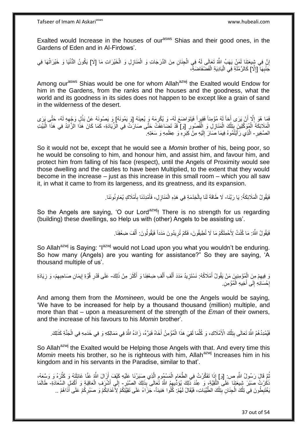Exalted would Increase in the houses of our<sup>asws</sup> Shias and their good ones, in the Gardens of Eden and in Al-Firdows'.

إِنَّ فِي شِبِعَتِنَا لَمَنْ يَهَبُ اللَّهُ تَعَالَى لَهُ فِي الْجِنَانِ مِنَ الدَّرَجَاتِ وَ الْمَنَازِلِ وَ الْخَيْرَاتِ مَا [لا] يَكُونُ الدُّنْيَا وَ خَيْرَاتُهَا فِي ا ْ **∶** ْ ْ كَنْبِهَا [إِلَّا] كَالرَّمْلَةِ فِي الْبَادِيَةِ الْفَضْفَاضَةِ، ْ ْ ِ ِ

Among our<sup>asws</sup> Shias would be one for whom Allah<sup>azwj</sup> the Exalted would Endow for him in the Gardens, from the ranks and the houses and the goodness, what the world and its goodness in its sides does not happen to be except like a grain of sand in the wilderness of the desert.

فَمَا هُوَ إِلَّا أَنْ يَرَى أَخاً لَهُ مُؤْمِناً فَقِيراً فَيَتَوَاضَعَ لَهُ- وَ يُكْرِمَهُ وَ يُعِينَهُ [وَ يَمُونَهُ] وَ يَصُونَهُ عَنْ بَذْلِ وَجْهِهِ لَهُ، حَتَّى يَرَى لَ َ ِ ِ ِ الْمَلَائِكَةَ الْمُوَكَّلِينَ بِتِلْكَ الْمَنَازِلِ وَ الْقُصُورِ [وَ] قَدْ تَضِاعَفَتْ حَتَّى صَارَتْ فِي الْزِّيَادَةِ- كَمَا كَانَ هَذَا الذَّالِّذُ فِي هَذَا الْبَيْتِ ِ ْ **∶** ْ ْ **∣** ْ ْ **∶** الصَّغِيرِ - الَّذِي رَأَيْتُمُوهُ فِيمَا صَالَ إِلَيْهِ مِنْ كَبَرٍ ۚ وَ عِظَمِهِ وَ سَعَتِهِ ۚ **∶** لَ  $\frac{1}{2}$ َ

So it would not be, except that he would see a *Momin* brother of his, being poor, so he would be consoling to him, and honour him, and assist him, and favour him, and protect him from falling of his face (respect), until the Angels of Proximity would see those dwelling and the castles to have been Multiplied, to the extent that they would become in the increase – just as this increase in this small room – which you all saw it, in what it came to from its largeness, and its greatness, and its expansion.

> فَيَقُولُ الْمَلَائِكَةُ: يَا رَبَّنَا- لَا طَاقَةَ لَنَا بِالْخِدْمَةِ فِي هَذِهِ الْمَنَازِلِ، فَأَمْدِدْنَا بِأَمْلَاكٍ يُعَاوِنُونَنَا. ْ ِ َ ِ َ ِ ْ ْ **∶**

So the Angels are saying, 'O our Lord<sup>azwj</sup>! There is no strength for us regarding (building) these dwellings, so Help us with (other) Angels to be assisting us'.

> فَيَقُولُ اللَّهُ: مَا كُنْتُ لِأَحْمِلَكُمْ مَا لَا تُطِيقُونَ، فَكَمْ تُرِيدُونَ مَدَداً فَيَقُولُونَ: أَلْفَ ضِعْفِذَا. **∶** ْ َ

So Allah<sup>azwj</sup> is Saying: "I<sup>azwj</sup> would not Load upon you what you wouldn't be enduring. So how many (Angels) are you wanting for assistance?" So they are saying, 'A thousand multiple of us'.

وَ فِيهِمْ مِنَ الْمُؤْمِنِينَ مَنْ يَقُولُ أَمْلَاكُهُ: نَسْتَزِيدُ مَدَدَ أَلْفِ أَنْفِ ضِعْفِذَا وَ أَكْثَرَ مِنْ ذَلِكَ- عَلَى قَدْرِ قُوَّةِ إِيمَانِ صَاحِبِهِمْ، وَ زِيَادَةِ َ َ ْ َ ْ َ **∶** َ ْ ِ ِ ِ ِ ِ إِحْسَاٰنِهِ إِلَى أُخِيهِ الْمُؤْمِنِ. ْ َ  $\frac{1}{2}$ **·** 

And among them from the *Momineen*, would be one the Angels would be saying, 'We have to be increased for help by a thousand thousand (million) multiple, and more than that – upon a measurement of the strength of the *Eman* of their owners, and the increase of his favours to his *Momin* brother'.

فَيُمْدِدُهُمُ اللَّهُ تَعَالَى بِتِلْكَ الْأَمْلَاكِ، وَ كُلَّمَا لَقِيَ هَذَا الْمُؤْمِنُ أَخَاهُ فَبَرَّهُ، زَادَهُ اللَّهُ فِي مَمَالِكِهِ وَ فِي خَدَمِهِ فِي الْجَنَّةِ كَذَلِكَ. َ ْ ه ْ ِ ْ

So Allah<sup>azwj</sup> the Exalted would be Helping those Angels with that. And every time this *Momin* meets his brother, so he is righteous with him, Allah<sup>azwj</sup> Increases him in his kingdom and in his servants in the Paradise, similar to that'.

نُّمَّ قَالَ رَسُولُ اللَّهِ ص: [وَ] إِذَا تَفَكَّرْتُ فِي الطَّعَامِ الْمَسْمُومِ الَّذِي صَبَرْنَا عَلَيْهِ كَيْفَ أَزَالَ اللَّهُ عَنَّا غَائِلَتَهُ وَ كَثَّرَهُ وَ وَسَعَهُ، اُ ه ِ ْ ِ ُ ه ذَكِّرْتُ صَبْرَ شِيعَتِنَا عَلَى الثَّقِيَّةِ، وَ عِنْدَ ذَلِكَ يُؤَدُّيهِمُ اللَّهُ تُعَالَى بِذَلِكَ الصَّبْرِ - إِلَى أَشْرَف الْعَاقِبَةِ وَ أَكْمَلٍ السَّعَادَةِ- طَالَمَا ِ َ ْ َ ِ َبَغْتَبِطُونَ فِي تِلْكَ الْجِنَانِ بِتِلْكَ الطَّيِّبَاتِ، فَيُقَالُ لَهُمْ: كُلُوا هَنِيئاً- جَزَاءً عَلَى تَقِيَّتِكُمْ لِأَعْدَائِكُمْ وَ صَبْرِكُمْ عَلَى أَذَاهُمْ .. ْ **!** ْ ֡֡<u>֡</u> ِ َ ِ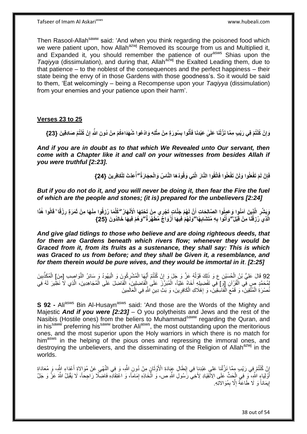Tafseer of Imam Al Askariasws www.hubeali.com

Then Rasool-Allah<sup>saww</sup> said: 'And when you think regarding the poisoned food which we were patient upon, how Allah<sup>azwj</sup> Removed its scourge from us and Multiplied it, and Expanded it, you should remember the patience of our<sup>asws</sup> Shias upon the *Taqiyya* (dissimulation), and during that, Allah<sup>azwj</sup> the Exalted Leading them, due to that patience – to the noblest of the consequences and the perfect happiness – their state being the envy of in those Gardens with those goodness's. So it would be said to them, 'Eat welcomingly – being a Recompense upon your *Taqiyya* (dissimulation) from your enemies and your patience upon their harm'.

#### **Verses 23 to 25**

وَإِنْ كُنْتُمْ فِي رَيْبٍ مِمَّا نَزَّلْنَا عَلَىٰ عَبْدِنَا فَأْتُوا بِسُورَةٍ مِنْ مِثْلِهِ وَادْعُوا شُهَدَاءَكُمْ مِنْ دُونِ اللّٰهِ إِنْ كُنْتُمْ صَادِقِينَ {23} **ِ ْ ِ ِ**

*And if you are in doubt as to that which We Revealed unto Our servant, then come with a Chapter like it and call on your witnesses from besides Allah if you were truthful [2:23].*

> فَإِنْ لَمْ تَفْعَلُوا وَلَنْ تَفْعَلُوا فَاتَّقُوا النَّارَ الَّتِي وَقُودُهَا النَّاسُ وَالْحِجَارَةُ ۖأُعِدَّتْ لِلْكَافِرِينَ {24} **ُ ِ ِ**

*But if you do not do it, and you will never be doing it, then fear the Fire the fuel of which are the people and stones; (it is) prepared for the unbelievers [2:24]*

**ِ** وَبِشِّرِ الَّذِينَ آمَنُوا وَعَمِلُوا الصَّالِحَاتِ أَنَّ لَهُمْ جَنَّاتٍ تَجْرِي مِنْ تَحْتِهَا الْأَنْهَارُ كُلِّمَا رُزِقُوا مِنْهَا مِنْ ثَمَرَةٍ رِزْقًا ۚ قَالُوا هٰذَا **ِ ِ** الَّذِي َرُزِقْنَا مِنْ قَبْلُ ۖ وَأُتُوا بِهِ مُتَشَابِهَا ۖ وَلَهُمْ فِيهَا أَزْوَاجٌ مُطَهَّرَةٌ ۖ وَهُمْ فِيهَا خَالِدُونَ ۖ {25} **ِ َ ِ ِ**

*And give glad tidings to those who believe and are doing righteous deeds, that for them are Gardens beneath which rivers flow; whenever they would be Graced from it, from its fruits as a sustenance, they shall say: This is which was Graced to us from before; and they shall be Given it, a resemblance, and for them therein would be pure wives, and they would be immortal in it*. *[2:25]*

92 قَالَ عَلِيُّ بْنُ الْحُسَيْنِ ع وَ ذَلِكَ قَوْلُهُ عَزَّ وَ جَلَ وَ إِنْ كُنْتُمْ أَيُّهَا الْمُشْرِكُونَ وَ الْيَهُودُ وَ سَائِرُ النَّوَاصِدِ [مِنَ] الْمُكَذِّبِينَ<br>المنصور العاملية ِ ْ ْ ْ َ ِ ٔ<br>ا ْ لْمُحَمَّدٍ صٍ فِي الْقُرْآنِ [وَ] فِي تَفْضِيلِهِ أَخَاهُ عَلِيّاً، الْمُبَرِّزَ عَلَى إِلْفَاضِلِينَ، الْفَاضِلَ عَلَى الْمُجَاهِدِينَ، الَّذِي لَا نَظِيرَ لَهُ فَي ْ ْ َ ه ْ ْ نُصْرَةِ الْمُتَّقِينَ، وَ قَمْعِ الْفَاسِقِينَ، وَ إِهْلَاكِ الْكَافِرِينَ، وَ بَثِ دِينِ اللَّهِ فِي الْعَالَمِينَ **∶** ْ ِ ْ  $\zeta$ ْ ْ

**S 92 -** Ali<sup>asws</sup> Bin Al-Husavn<sup>asws</sup> said: 'And those are the Words of the Mighty and Majestic *And if you were [2:23]* – O you polytheists and Jews and the rest of the Nasibis (Hostile ones) from the beliers to Muhammad<sup>saww</sup> regarding the Quran, and in his<sup>saww</sup> preferring his<sup>saww</sup> brother Ali<sup>asws</sup>, the most outstanding upon the meritorious ones, and the most superior upon the Holy warriors in which there is no match for him<sup>asws</sup> in the helping of the pious ones and repressing the immoral ones, and destroying the unbelievers, and the disseminating of the Religion of Allah<sup>azwj</sup> in the worlds.

إِنْ كُنْتُمْ فِي رَيْبِ مِمَّا نَزَّلْنِا عَلمٍ عَبْدِنٍا فِي إِبْطَالٍ عِبَادَةِ الْأَوْثَانِ مِنْ دُونِ اللَّهِ، وَ فِي النَّهْبِي عَنْ مُوَالِاةِ أَعْدَاءِ اللَّهِ، وَ مُعَادَاةِ ْ ِ َ ِ َ ِ أَوَّلِيَاءٍ اللَّهِ، ۖ وَ فِي الْجَثِّ عَلَى الِاَنْقِيَادِ لِأَخِي رَسُولِ اللَّهِ ص، وَ اتَّخَاذِهِ إِمَاماً، وَ اعْتِقَادِهِ فَاضِّلَّا رَاجِحاً، لَا يَقْبَلُ اللَّهُ عَنَّ وَ جَلَّ ْ َ ِ إِيمَاناً وَ لَا طَاعَةً إِلَّا بِمُوَالاتِهِ. ِ ِ <u>֖֚֚֚֚֚֚֓</u>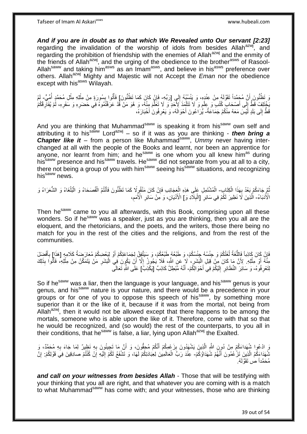*And if you are in doubt as to that which We Revealed unto Our servant [2:23]*  regarding the invalidation of the worship of idols from besides Allah<sup>azwj</sup>, and regarding the prohibition of friendship with the enemies of Allah<sup>azwj</sup> and the enmity of the friends of Allah<sup>azwj</sup>, and the urging of the obedience to the brother<sup>asws</sup> of Rasool-Allah<sup>saww</sup> and taking him<sup>asws</sup> as an Imam<sup>asws</sup>, and believe in his<sup>asws</sup> preference over others. Allah<sup>azwj</sup> Mighty and Majestic will not Accept the *Eman* nor the obedience except with his<sup>asws</sup> Wilayah.

وَ تَظُنُّونَ أَنَّ مُجَمَّداً تَقَوَّلَهُ مِنْ عِنْدِهِ، وَ يَنْسُبُهُ إِلَى [رَبِّهِ ۖ فَإِنْ كَانَ كَمَا تَظُنُّونَ] فَأْتُوا بِسُورَةٍ مِنْ مِثْلِهِ مِثْلِ مُحَمَّدٍ أُمِّيٍّ ۖ لَمْ اُ لَ ِ ِ ْ ِ ֧֟֟֟֓֟֓֟׆֧֧ ُ لَ يَخْتَلِفْ قَطَّ إِلَى أَصْحَابِ كُتُبِ ۖ وَ عِلْمِ وَ لَا تَتَلْمَذَ لِأَحَدٍ وَ لَا تَعَلَّمَ مِنْهُ، وَ هُوَ مَنْ قَدْ عَرَفْتُمُوهُ فَي حَضرِهِ وَ سَفَرِهِ، لَمْ يُفَاّرِقْكُمْ ه ْ ֧֧֧֧֝֝֓֝֓֝֓׆֧ ْ  $\frac{1}{2}$ ِ ِ ِ قَطُّ إِلَى بَلَدٍ أَيْسَ مَعَهُ مِنْكُمْ جَمَاعَةٌ- يُٰرَاعُونَ أَحْوَالَهُ، وَ يَعْرِفُونَٰ أَخْبَارَهُ، ِ َ ِ َ

And you are thinking that Muhammad<sup>saww</sup> is speaking it from his<sup>saww</sup> own self and attributing it to his<sup>saww</sup> Lord<sup>azwj</sup> – so if it was as you are thinking - *then bring a* **Chapter like it** – from a person like Muhammad<sup>saww</sup>, Ummy never having interchanged at all with the people of the Books and learnt, nor been an apprentice for anyone, nor learnt from him; and he<sup>saww</sup> is one whom you all knew him<sup>as</sup> during his<sup>saww</sup> presence and his<sup>saww</sup> travels. He<sup>saww</sup> did not separate from you at all to a city, there not being a group of you with him<sup>saww</sup> seeing his<sup>saww</sup> situations, and recognizing his<sup>saww</sup> news.

ثُمَّ جَاءَكُمْ بَعْدُ بِهَذَا الْكِتَابِ- الْمُشْتَمِلِ عَلَى هَذِهِ الْعِجَائِبِ فَإِنْ كَانَ مَنْقُومٍ لَا كَمَا تَظُنُّونَ فَأَنْتُمُ الْفُصَحَاءُ وَ الْبُلْغَاءُ وَ الشُّعَرَاءُ وَ ْ ِ ْ ِ ْ ْ ْ َ الْأُدَيَاءُ- الّْذِينَ لَا نَظِيرَ لَكُمْ فِي سَائِرِ [الْبِلَادِ وَ] الْأَدْيَانِ، وَ مِّنْ سَائِرِ الْأُمَمِ، ِ **∶** ِ ْ ِ ه

Then he<sup>saww</sup> came to you all afterwards, with this Book, comprising upon all these wonders. So if he<sup>saww</sup> was a speaker, just as you are thinking, then you all are the eloquent, and the rhetoricians, and the poets, and the writers, those there being no match for you in the rest of the cities and the religions, and from the rest of the communities.

َ فَإِنْ كَانَ كَاذِباً فَاللُّغَةُ لُغَتُكُمْ وَ جِنْسُكُمْ، وَ طَبْعُهُ طَبْعُكُمْ، وَ سَيَتَّقِِقُ لِجَمَاعَتِكُمْ أَوْ لِبَعْضِكُمْ مُعَارَضِمَةُ كَلَامِهِ [هَذَا] بِأَفْضِلَ ُ ُّ ِ َ **∶** مِنَّهُ أَوْ مِثْلِهِ. لِأَنَّ مَا كَانَ مِنْ قَبَلِ الْبَشَرِ، لَا ۖ عَنِ اللَّهِ، فَلَا يُجُودُ إِلَّا أَنْ يَكُونَ فِي الْبَشَرِ مَنْ يَتَمَكَّنُ مِنْ مِثْلِهِ، فَأَتُوا بِذَلِكَ ْ َ ِ ْ َ ِ ِ :<br>ا ْ **ٔ** لِتَعْرِ فُوِه- وَ سَائِرَ ۖ النَّظَائِرِ ۗ إِلَيْكُمْ فِي أَحْوَ الْكُمْ- أَنَّهُ مُّبْطِلٌ كَاذِبٌ ۗ [يَكْذِبُ] عَلَى اللَّهِ تَعَالَى **∶** َ لَ  $\frac{1}{2}$ ِ

So if he<sup>saww</sup> was a liar, then the language is your language, and his<sup>saww</sup> genus is your genus, and his<sup>saww</sup> nature is your nature, and there would be a precedence in your groups or for one of you to oppose this speech of his<sup>saww</sup>, by something more superior than it or the like of it, because if it was from the mortal, not being from Allah<sup>azwj</sup>, then it would not be allowed except that there happens to be among the mortals, someone who is able upon the like of it. Therefore, come with that so that he would be recognized, and (so would) the rest of the counterparts, to you all in their conditions, that he<sup>saww</sup> is false, a liar, lying upon Allah<sup>azwj</sup> the Exalted.

َرِ ادْعُوا شُهَداءَكُمْ مِنْ دُوِنٍ اللَّهِ الَّذِينَ يَشْهَدُونَ بِزَعْمِكُمْ أَنَّكُمْ مُحِقُّونَ، وَ أَنَّ مَا تَجِيئُونَ بِهِ نَظِيرٌ لِمَا جَاءَ بِهِ مُحَمَّدٌ، وَ<br>يُرِي الْجُمُونِ فَيُحْمَدُ مِنْ دُوِنٍ اللَّهِ الَ ِ ِ َ َ ِ ه شُهَدَاءَكُمُ الَّذِينَ تَزْعُمُونَ أَنَّهُمْ شُهَدَاؤُكُمْ- عِنْدَ رَبِّ الْعَالَمِينَ لِعِبَادَتِكُمْ لَهَا، وَ تَشْفَعُ لَكُمْ إِلَيْهِ إِنْ كُنْتُمْ صادِقِينَ فِي قَوْلِكُمْ: إِنَّ ه ْ لَ ِ ِ ِ مُحَمَّداً ص تَقَوَّلَهُ.

*and call on your witnesses from besides Allah* - Those that will be testifying with your thinking that you all are right, and that whatever you are coming with is a match to what Muhammad<sup>saww</sup> has come with; and your witnesses, those who are thinking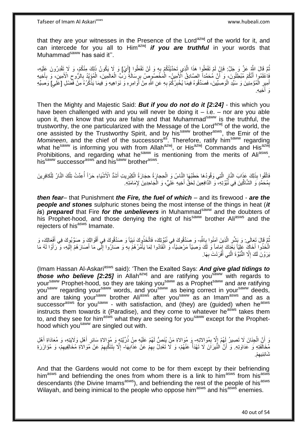that they are your witnesses in the Presence of the Lord<sup>azwj</sup> of the world for it, and can intercede for you all to Him<sup>azwj</sup> *if you are truthful* in your words that Muhammad<sup>saww</sup> has said it".

نُمَّ قَالَ اللَّهِ عَزَّ وَ جَلَّ: فَإِنْ لَمْ تَفْعَلُوا هَذَا الَّذِي تَحَدَّيْتُكُمْ بِهِ وَ لَنْ تَفْعَلُوا إِأَيْ] وَ لَا يَكُونُ ذَلِكَ مِنْكُمْ، وَ لَا تَقْرِرُونَ عَلَيْهِ، ِ ه ِ ُ ُ َ فَاعْلَمُوا أَنَّكُمْ مُبْطِلُونَ، وَ أَنَّ مُحَمَّداً الصَّادِقُ الْأَمِينُ- الْمَخْصُوصِ بِرِسَالَةٍ رَبِّ الْعَالَمِينَ، الْمُؤَيَّدُ بِالرُّوحِ الْأَمِينِ، وَ بِأَخِيهِ َ م<br>أ ِ  $\zeta$ ِ ْ ْ ِ ْ أَمِيرٍ الْمُؤْمِنِينَ وَ سَيِّدِ الْوَصِنِّينَ، فَصَدِّقُوهُ فِيماً يُخْبِرُكُمْ بِهِ عَنِ اللَّهِ مِنْ أَوَامِرِهِ وَ نَوَاهِيهِ وَ فِيمَا يَذْكُرُهُ مِنْ فَضَلِ [عَلِي] وَصَمِّهِ ِ **∶** ِ ْ ْ ِ خِيهِ. َو أ

Then the Mighty and Majestic Said: *But if you do not do it [2:24]* - this which you have been challenged with and you will never be doing it  $-$  i.e.  $-$  nor are you able upon it, then know that you are false and that Muhammad<sup>saww</sup> is the truthful, the trustworthy, the one particularized with the Message of the Lord<sup>azwj</sup> of the world, the one assisted by the Trustworthy Spirit, and by his<sup>saww</sup> brother<sup>asws</sup>, the Emir of the *Momineen*, and the chief of the successors<sup>as</sup>. Therefore, ratify him<sup>saww</sup> regarding worrance, and the chief of the successors. Therefore, ratify film the regarding what he<sup>saww</sup> is informing you with from Allah<sup>azwj</sup>, or His<sup>azwj</sup> Commands and His<sup>azwj</sup> Prohibitions, and regarding what he<sup>saww</sup> is mentioning from the merits of Ali<sup>asws</sup>, his<sup>saww</sup> successor<sup>asws</sup> and his<sup>saww</sup> brother<sup>asws</sup>.

فَاتَّقُوا بِذَلِكَ عَذَابَ النَّارِ الَّتِي وَقُودُهَا حَطَبُهَا إِلنَّاسُ وَ الْحِجارَةُ حِجَارَةُ الْكِبْرِيتِ أَشَدُّ الْأَشْيَاءِ حَرّاً أُعِدَّتْ تِلْكَ النَّارُ لِلْكافِرِينَ َ **ٍ** ْ ْ ه ِ المية التي تحت المساحة المساحة المساحة المساحة المساحة المساحة المساحة المساحة المساحة المساحة المساحة المساحة<br>المساحة المساحة المساحة المساحة المساحة المساحة المساحة المساحة المساحة المساحة المساحة المساحة المساحة المساح ِ ْ ْ بِمُحَمَّدٍ وَ الشَّاكِّينَ فِي نُبُوَّتِهِ، وَ الدَّافِعِينَ لِحَقِّ أَخِيهِ عَلِيٍّ، وَ الْجَاحِدِينَ لِإِمَامَتِهِ. َ ِ ْ

*then fear*– that Punishment *the Fire, the fuel of which* – and its firewood - *are the people and stones* sulphuric stones being the most intense of the things in heat (*it is*) *prepared* that Fire *for the unbelievers* in Muhammad<sup>saww</sup> and the doubters of his Prophet-hood, and those denying the right of his<sup>saww</sup> brother Ali<sup>asws</sup> and the rejecters of his<sup>asws</sup> Imamate.

ثُمَّ قَالَ تَعَالَى: وَ بَشِّرِ الَّذِينَ آمَنُوا بِاللَّهِ- وَ صِدَّقُوكَ فِي نُبُوَّتِكَ، فَاتَّخَذُوكَ نَبِيّاً وَ صَدَّقُوكَ فِي أَقْوَالِكَ وَ صَوَّبُوكَ فِي أَفْعَالِكَ، وَ **∶** ه ِ ُ ِ َ َ ِ اتَّخَذُوا أَخَاكَ عَلِيّاً بَغَدَكَ إِمَاماً وَ لَكَ وَصِيّاً مَرْضِيّاً، وَ انْقَادُوا لِمَا يَأْمُرُهُمْ بِهِ وَ صَارُوا إِلَّى مَا أَصَارَهُمْ إِلَيْهِ، وَ رَأَوْا لَهُ مَا ِ :<br>أ ِ َ َ لَ ِ َ يَرَوْنَ لَكَ إِلَّا النُّبُوَّةَ الَّتِي أَفْرَدْتَ بِهَا. **∶** َ ه ِ

(Imam Hassan Al-Askari<sup>asws</sup> said): 'Then the Exalted Says: And give glad tidings to *those who believe [2:25]* in Allah<sup>azwj</sup> and are ratifying you<sup>saww</sup> with regards to yoursaww Prophet-hood, so they are taking you<sup>saww</sup> as a Prophet<sup>saww</sup> and are ratifying you<sup>saww</sup> regarding your<sup>saww</sup> words, and you<sup>saww</sup> as being correct in your<sup>saww</sup> deeds, and are taking your<sup>saww</sup> brother Ali<sup>asws</sup> after you<sup>saww</sup> as an Imam<sup>asws</sup> and as a successor<sup>asws</sup> for you<sup>saww</sup> - with satisfaction, and (they) are (guided) when he<sup>asws</sup> instructs them towards it (Paradise), and they come to whatever he<sup>asws</sup> takes them to, and they see for him<sup>asws</sup> what they are seeing for you<sup>saww</sup> except for the Prophethood which you<sup>saww</sup> are singled out with.

وَ أَنَّ الْجِنَانَ لَا تَصِيرُ لِّهُمْ إِلَّا بِمُوَالِاتِهِ- وَ مُوَالاةِ مَنْ يُنَصِّ لَهُمْ عَلَيْهِ مِنْ ذُرِّيَّتِهِ وَ مُوَالاةِ سَائِرِ أَهْلِ وَلَايَتِهِ، وَ مُعَادَاةِ أَهْلِ ْ ِ ِ َ َ **∶** مُخَالَفَتِهِ وَ عَدَاوَتِهِ. وَ أَنَّ النَّيرَانَ لَا تَهْدَأُ عَنْهُمْ، وَ لَا تَعْدِلُ بِهِمْ عَنْ عَذَابِهَا- إِلَّا بِتَنَكَّبِهِمْ عَنْ مُوَالاَةِ مُخَالِفِيهِمْ، وَ مُؤَازَرَةِ ِ ا<br>ا اً ِ ِ ِ ا<br>ا ِ ه<br>م. ِ َشاِنِئيه

And that the Gardens would not come to be for them except by their befriending him<sup>asws</sup> and befriending the ones from whom there is a link to him<sup>asws</sup> from his<sup>asws</sup> descendants (the Divine Imams<sup>asws</sup>), and befriending the rest of the people of his<sup>asws</sup> Wilayah, and being inimical to the people who oppose him<sup>asws</sup> and his<sup>asws</sup> enemies.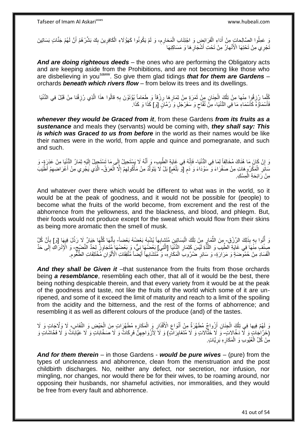وَ عَمِلُوا الصَّالِحاتِ مِنْ أَدَاءِ الْفَرَائِضِ وَ اجْتِنَابِ الْمَحَارِمِ، وَ لَمْ يَكُونُوا كَهَؤُلَاءِ الْكَافِرِينَ بِكَ بَشِّرْهُمْ أَنَّ لَهُمْ جَنَّاتٍ بَسَاتِينَ **ٍ** ْ ْ ِ ِ ْ **∶** َنَّجْرِي مِنْ تَحْتِهَا الْأَنْهارُ مِنْ تَحْتِ أَشْجَارِهَا وَ مَسَاكِنِهَا ِ َ

*And are doing righteous deeds* – the ones who are performing the Obligatory acts and are keeping aside from the Prohibitions, and are not becoming like those who are disbelieving in you<sup>saww</sup>. So give them glad tidings *that for them are Gardens* orchards *beneath which rivers flow* – from below its trees and its dwellings.

كُلِّما رُزِقُوا مِنْها مِنْ تِلْكَ الْجِنَانِ مِنْ ثَمَرَةٍ مِنْ ثِمَارِهَا رِزْقاً وَ طَعَاماً يُؤْتَوْنَ بِهِ قالُوا هذَا الَّذِي رُزِقْنا مِنْ قَبْلُ فِي الدُّنْيَا ِ ْ ْ **∶** ِ ِ ه فَأَسْمَاؤُهُ كَأَسْمَاءِ مَا فِي الدُّنْيَا- مِنَّ ثُفَّاحٍ وَ سَفَرْجَلٍ وَ رُمَّانٍ [وَ] كَذَا وَ كَذَا. َ َ ٍ

*whenever they would be Graced from it*, from these Gardens *from its fruits as a sustenance* and meals they (servants) would be coming with, *they shall say: This is which was Graced to us from before* in the world as their names would be like their names were in the world, from apple and quince and pomegranate, and such and such.

رَ إِنْ كَانَ مَا هُنَاكَ مُخَالِفاً لِمَا فِي الدُّنْيَا- فَإِنَّهُ فِي غَايَةِ الطِّيبِ، وَ أَنَّهُ لَا يَسْتَحِيلُ إِلَى مَا تَسْتَحِيلُ إِلَيْهِ ثِمَارُ الدُّنْيَا مِنْ عَذِرَةٍ- وَ **׀** لَ ِ ।।<br>१ َ ِ ֧֖֧֚֚֓֝֝֝ مَائِرِ الْمَكْرُوهاتِ مِنْ صَفْرَاءَ وَ ۖسَوْدَاءَ وَ دَمٍ [وّ بَلْغَمِ] بَلْ لَا يَتَوَلَّدُ مِنْ مَأْكُولِهِمْ إِلَّا الْعَرَقُ- الَّذِي يَجْرِي مِنْ أَعْرَاضِهِمْ أَطْيَبَ ْ ٍ ْ ِ ْ ِ ِ ْ ه ِ َ ه مِنْ رَائِحَةِ الْمِسْكِ ْ

And whatever over there which would be different to what was in the world, so it would be at the peak of goodness, and it would not be possible for (people) to become what the fruits of the world become, from excrement and the rest of the abhorrence from the yellowness, and the blackness, and blood, and phlegm. But, their foods would not produce except for the sweat which would flow from their skins as being more aromatic then the smell of musk.

وَ أَثُوا بِهِ بِذَلِكَ الرِّرْقِ- مِنَ الثَّمَارِ مِنْ تِلْكَ الْبَسَاتِينِ مُتَشِابِهاً يُشْبِهُ بَعْضُهُ بَعْضاً- بِأَنَّهَا كُلُّهَا خِيَارٌ لَا رَذْلَ فِيهَا [وَ] بِأَنَّ كُلَّ **∶** ُ :<br>ا ْ ِ ِّ ِ **ٔ** ه َ **∶** َ **∶** ِّصِنْٰفٍ مَثْمَاً فِي غَايَةِ الطِّيبِ وَ اللَّذِّةِ لَيْسَ كَثِمَارِ الدُّنْبَا [الَّتِيَ] بَعْضُهَا نِيٌّ، وَ بَعْضُهَا مُتَجَارِزٌ لِحَدٌّ النَّضْبِحِّ- وَ الْإِدْرَاكِ إَلَى حَدِّ ه **∶** ه ِ ِ لَ ِ الْفَسَادِ مِنْ حُمُوصَةٍ وَ مَرَارَةٍ- وَ سَائِرِ ضَٰرُوبِ الْمَكَارِهِ، وَ مُتَشَابِهاً أَيْضًا مُتَّفِقَاتِ الْأَلْوَانِ مُخْتَلِفَاتِ الطُّعُومِ ْ ِ ْ َ ِ ْ **∶** 

And they shall be Given it –that sustenance from the fruits from those orchards being *a resemblance*, resembling each other, that all of it would be the best, there being nothing despicable therein, and that every variety from it would be at the peak of the goodness and taste, not like the fruits of the world which some of it are unripened, and some of it exceed the limit of maturity and reach to a limit of the spoiling from the acidity and the bitterness, and the rest of the forms of abhorrence; and resembling it as well as different colours of the produce (and) of the tastes.

وَ لَهُمْ فِيها فِي تِلْكَ الْجِنَانِ أَزْواجٌ مُطَهَّرَةٌ مِنْ أَنْوَاعِ الْأَقْذَارِ وَ الْمَكَارِهِ مُطَهَّرَاتٍ مِنَ الْحَيْضِ وَ النَّفَاسِ، لَا وَلَّاجَاتٍ وَ لَا ْ ْ ِ ْ **ٍ** ِ َ (خَرَّاجَاتٍ وَ لَّا دَخَّالاتٍ- وَّ لَا خَثَّالاتٍ وَ لَا مُتَغَايِرَاتٍ) وَ لَا َلِأَزْوَاجِهِنَّ فَرِكَاتٌ وَ لَا صَخَّابَاتٍ وَ لَا عَيَّابَاتٌ وَ لَا فَخَاشَاتٍ وَ ِ ِ ِ مِنْ كُلِّ الْعُيُوبِ وَ الْمَكَارِهِ بَرِيَّاتٍ ِ **∶** ْ ْ

*And for them therein* – in those Gardens - *would be pure wives* – (pure) from the types of uncleanness and abhorrence, clean from the menstruation and the post childbirth discharges. No, neither any defect, nor secretion, nor infusion, nor mingling, nor changes, nor would there be for their wives, to be roaming around, nor opposing their husbands, nor shameful activities, nor immoralities, and they would be free from every fault and abhorrence.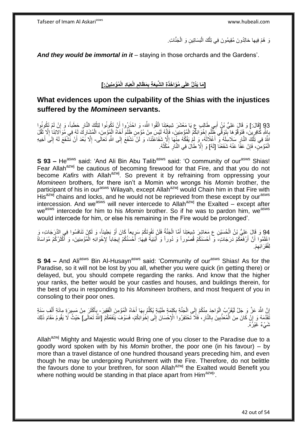ىَ هُمْ فِيها خالِدُونَ مُقِيمُونَ فِي تِلْكَ الْبَسَاتِينِ وَ الْجَنَّاتِ. ْ ْ ْ

*And they would be immortal in it* – staying in those orchards and the Gardens'.

[مَا يَذُلُّ عَلَى مُوَاخَذَةِ الشَّيعَةِ بِمَظَّالِمِ الْعِبَادِ الْمُؤْمِنِينَ:] **ِ ِ ْ**

# **What evidences upon the culpability of the Shias with the injustices suffered by the** *Momineen* **servants.**

93 [قَالَ:] وَ قَالَ عَلِيُّ بَنُ أَبِي طَالِبٍ عِ يَا مَعْشَرَ شِيعَتِنَا اتَّقُوا النَّهَ- وَ اخْذَرُوا أَنْ تَكُونُوا لِتِلْكَ النَّارِ حَطَباً، وَ إِنْ لَمْ تَكُونُوا<br>د الجنسية المستقى بِي الله عليه الله عليه المستقى ِ ْ َ **∶** َ بِاللَّهِ كَافِرِينَ، فَتَوَقَّوْ هَا بِّتَوَفِّي َظُلْمٍ إِخْوَانِكُمُ الْمُؤْمِنِينَ، فَإِنَّهُ لَيْسَ مِنْ مُؤْمِنٍ ظَلَمَ أَخَاهُ الْمُؤْمِنَ، الْمُشَارِكَ لَهُ فِي مُوَالِاتِنَا إِلَّا ثَقَّلَ اا ْ  $\frac{1}{2}$ ِ ْ **∣** ِ **∶** َ ا<br>ا ِ ْ ْ ْ اللَّهُ فِي تَلْكَ النَّارِ سَلَاسِلَهُ وَ أَغْلَالَهُ، وَ لَمْ يَفُكَّهُ مِنْهَا إِلَّا شَفَاعَتُنَا، وَ لَنْ نَشْفَعُ إِلَى اللَّهِ تَعَالَى۔ إِلَّا بَعْدَ أَنْ نَشْفَعَ لَهُ إِلَى أَخِيهِ َ **∶** ِ ِ َ ِ َ ِ الْمُؤْمِنِ، فَإِنْ عَفَا عَنْهُ شَفَعْنَا [لَهُ] وَ إِلَّا طَالَ فِي النَّارِ مَكْثُهُ. ِ ْ ِ ِ ُ

**S 93 –** He<sup>asws</sup> said: 'And Ali Bin Abu Talib<sup>asws</sup> said: 'O community of our<sup>asws</sup> Shias! Fear Allah<sup>azwj</sup> be cautious of becoming firewood for that Fire, and that you do not become *Kafirs* with Allah<sup>azwj</sup>. So prevent it by refraining from oppressing your *Momineen* brothers, for there isn't a Momin who wrongs his *Momin* brother, the participant of his in our<sup>asws</sup> Wilayah, except Allah<sup>azwj</sup> would Chain him in that Fire with His<sup>azwj</sup> chains and locks, and he would not be reprieved from these except by our<sup>asws</sup> intercession. And we<sup>asws</sup> will never intercede to Allah<sup>azwj</sup> the Exalted – except after we<sup>asws</sup> intercede for him to his *Momin* brother. So if he was to pardon him, we<sup>asws</sup> would intercede for him, or else his remaining in the Fire would be prolonged'.

94 وَ قَالَ عَلِيُّ بْنُ الْحُسَيْنِ عِ مَعَاشِرَ شِيعَتِنَا أُمَّا الْجَنَّةُ فَلَنْ تَفُوتَكُمْ سَرِيعاً كَانَ أَوْ بَطِيئاً، وَ لَكِنْ تَنَافَسُوا فِي الدَّرَجَاتِ، وَ<br>وَذَا قَدْ يَمَعُ أَيَرَكُمْ بِنَ الْحُسَيْنِ عَ م َ :<br>ٌ ْ َ ْ اعْلَمُوا أَنَّ أَرْفَعَكُمْ دَرَجَاتٍ، وَ أَحْسَنَكُمْ قُصُوراً وَ دُوراً وَ أَبْنِيَةً فِيهَا: أَحْسَنُكُمْ إِيجَاباً لِإِخْوَانِهِ الْمُؤْمِنِينَ، وَ أَكْثَرُكُمْ مُوَاسَاةً َ َ َ َ ْ ِ َ لِفُقَرَ ائِهِمْ. ِ

**S 94 –** And Ali<sup>asws</sup> Bin Al-Husayn<sup>asws</sup> said: 'Community of our<sup>asws</sup> Shias! As for the Paradise, so it will not be lost by you all, whether you were quick (in getting there) or delayed, but, you should compete regarding the ranks. And know that the higher your ranks, the better would be your castles and houses, and buildings therein, for the best of you in responding to his *Momineen* brothers, and most frequent of you in consoling to their poor ones.

ْ إِنَّ اللَّهَ عَزَّ وَ جَلَّ لَيُقَرِّبُ الْوَاحِدَ مِنْكُمْ إِلَى الْجَنَّةِ بِكَلِمَةٍ طَيِّبَةٍ يُكَلِّمُ بِهَا أَخَاهُ الْمُؤْمِنَ الْفَقِيرَ - بِأَكْثَرَ مِنْ مَسِيرَةِ مِائَةِ أَلْفِ سَنَةٍ َ **∶** ِّ ِ ْ ِ :<br>ا ِ ْ َ َ َ ِ فَقَدَّمَهُ وَ إِنَّ كَانَ مِنَ الْمُعَذَّبِينَ بِالنَّارِ ، فَلَا تَحْتَقِرُوا الْإِحْسَانَ إِلَى إِخْوَانِكُمْ، فَسَوْفَ يَنْفَعُكُمُ [اللَّهُ تَعَالَى] حَيْثُ لَا يَقُومُ مَقَامَ ذَلِكَ<br>يَجِمِدُ مِنْ الْمُعَامَلَةِ الْ ِ יֲ<br>י ِ **ٍ** ِ **!** َشَيْءٌ غَيْرُهُ.

Allah<sup>azwj</sup> Mighty and Majestic would Bring one of you closer to the Paradise due to a goodly word spoken with by his *Momin* brother, the poor one (in his favour) – by more than a travel distance of one hundred thousand years preceding him, and even though he may be undergoing Punishment with the Fire. Therefore, do not belittle the favours done to your brethren, for soon Allah<sup>azwj</sup> the Exalted would Benefit you where nothing would be standing in that place apart from  $\text{Him}^{\text{azwj}}$ .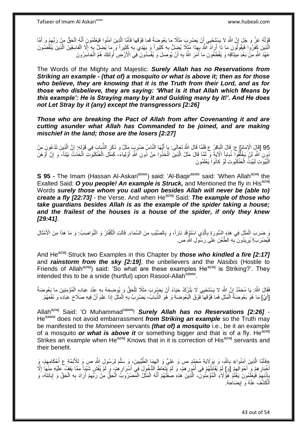قَوْلُهُ عَزَّ وَ جَلَ إِنَّ اللَّهَ لا يَسْتَحْيِي أَنْ يَضْرِبَ مَثَلًا ما بَعُوضَةً فَما فَوْقَها فَأَمَّا الَّذِينَ آمَنُوا فَيَعْلَمُونَ أَنَّهُ الْحَقُّ مِنْ رَبِّهِمْ وَ أَمَّا **∶** اُ ِ َ ِ ْ َ ه َ الَّذِينَ كَفَرُوا فَيَقُولُونَ ما ذا أَرِادَ اللَّهُ بِهِذا مَظَلاً يُضِلُّ بِهِ كَثِيراً وَ يَهْدِي بِهِ كَثِيراً وَ ما يُضلُّ بِهِ إِلَّا الْفاسِقِينَ الَّذِينَ يَنْقُضُونَ ِ **∶** َ ه ْ ِ ِ عَهْدَ اللَّهِ مِنْ بَعْدِ مِيثاقِهِ وَ يَقْطَعُونَ ما أَمَرَ اللَّهُ بِهِ أَنْ يُوصَلَ وَ يُفْسِدُونَ فِيَ الْأَرْضِ أُولَئِكَ هُمُ الْخاسِرُونَ اُ اُ **∶** َ ْ

The Words of the Mighty and Majestic: *Surely Allah has no Reservations from Striking an example - (that of) a mosquito or what is above it; then as for those who believe, they are knowing that it is the Truth from their Lord, and as for those who disbelieve, they are saying: 'What is it that Allah which Means by this example': He is Straying many by it and Guiding many by it!'. And He does not Let Stray by it (any) except the transgressors [2:26]*

*Those who are breaking the Pact of Allah from after Covenanting it and are cutting asunder what Allah has Commanded to be joined, and are making mischief in the land; those are the losers [2:27]*

95 [قَالَ الْإِمَامُ] ع: قَالَ الْبَاقِرُ ع فَلَمًا قَالَ اللَّهُ تَعَالَى: بِإِ أَيُّهَا النَّاسُ ضُرِبَ مَثَلٌ وَ ذَكَرَ الذَّبَابَ فِي قَوْلِهِ: إِنَّ الَّذِينَ تَدْعُونَ مِنْ<br>وَالْقَالَ الْإِمْرَةُ فَيْ أَوْجَدَتَ عَل ه ِ ُّ َ ْ ُونِ اللَّهِ لَنْ يَخْلُقُوا ذُباباً الْآيَةَ وَ لَمَّا قَالَ مَثَلُ الَّذِينَ اتَّخَذُوا مِنْ دُونِ اللَّهِ أَوْلِياءَ- كَمَثَلِ الْعَنْكَبُوتِ اتَّخَذَتَ بَيْتاً- وَ إِنَّ أَوْهَنَ<br>وَمُنْ الْعَنْكُمُوتِ اللَّهِ لَنْ يَج :<br>ا َ ه ْ َ أ ِ الْبُيُوَتِ لَبَيْتُ الْعَنْكَبُوتِ لَوْ كانُوا يَعْلَمُونَ ْ :<br>ا

**S 95 -** The Imam (Hassan Al-Askari<sup>asws</sup>) said: 'Al-Baqir<sup>asws</sup> said: 'When Allah<sup>azwj</sup> the Exalted Said: O you people! An example is Struck, and Mentioned the fly in His<sup>azwj</sup> Words *surely those whom you call upon besides Allah will never be (able to) create a fly [22:73]* - the Verse. And when He<sup>azwj</sup> Said: The example of those who *take guardians besides Allah is as the example of the spider taking a house; and the frailest of the houses is a house of the spider, if only they knew [29:41]*.

وَ ضَرَبَ الْمَثَلَ فِي هَذِهِ السُّورَةِ بِالَّذِي اسْتَوْقَدَ نَاراً، وَ بِالصَّيِّبِ مِنَ السَّمَاءِ. قَالَتِ الْكُفَّارُ وَ النَّوَاصِبُ: وَ مَا هَذَا مِنَ الْأَمْثَالِ **∶** ه ِ ة<br>أ ْ َ فَيُضْرَبَ! يُرِيدُونَ بِهِ الطَّعْنَ عَلَىَ رَسُولِ اللَّهِ ص. **∶ ∶** 

And He<sup>azwj</sup> Struck two Examples in this Chapter by *those who kindled a fire [2:17]* and *rainstorm from the sky [2:19]*, the unbelievers and the *Nasibis* (Hostile to Friends of Allah<sup>azwj</sup>) said: 'So what are these examples He<sup>azwj</sup> is Striking?'. They intended this to be a snide (hurtful) upon Rasool-Allah<sup>saww</sup>.

فَقَالَ اللَّهُ: يَا مُحَمَّدُ إِنَّ اللَّهَ لا يَسْتَحْيِي لَا يَتْزُكُ حَيَاءً أَنْ يَضْرِبَ مَثَلًا لِلْحَقِّ وَ يُوِضِحَهُ بِهِ عِنْدَ عِبَادِهِ الْمُؤْمِنِينَ ما بَعُوضَةً ِ ِ ْ **∶** ْ **∶** َ [أَيْ] مَا هُوَ بَعُوضَةً الْمَثَلِ فَما فَوْقَهَا فَوْقَ الْبَعُوضَةِ وَ هُوَ الذُّبَاَبُ، يَضْرِبُ بِهِ الْمَثَلَ إِذَا عَلِمَ أَنَّ فِيهِ صَلَاحَ عِبَادِهِ وَ نَفْعَهُمْ.  $\ddot{\phantom{0}}$ ْ **∶** ْ اُ َ ْ ِ

Allah<sup>azwj</sup> Said: 'O Muhammad<sup>saww</sup>! **Surely Allah has no Reservations [2:26]** -Hesaww does not avoid embarrassment *from Striking an example* so the Truth may be manifested to the *Momineen* servants *(that of) a mosquito* i.e., be it an example of a mosquito *or what is above it* or something bigger and that is of a fly. He<sup>azwj</sup> Strikes an example when He<sup>azwj</sup> Knows that in it is correction of His<sup>azwj</sup> servants and their benefit.

ِهِفَأَمَّا الَّذِينَ آمَنُوا» بِاللَّهِ- وَ بِوَلَايَةِ مُحَمَّدٍ ص وَ عَلِيٍّ وَ أَلِهِمَا الطَّيِّبِينَ، وَ سَلَّمَ لِرَسُولِ اللَّهِ صِ وَ لِلْأَئِمَّةِ ع أَحْكَامِهِمْ- وَ َ ه ِ ِ ه **∶** ه َ أَخْبَارِهِمْ وَرِ أَحْوَالِهِمْ [وَ] لَمْ يُقَابِلْهُمْ فِي أُمُورِهِمْ، وَ لَمْ يَتَعَاطَ الدُّخُولَ فَبِي أَسْرَارِهِمْ، وَ لَمْ يُفْشِ شَيْئٍاً مِمَّا يَقِفْ عَلَيْهِ مِنْهَا إِلَّا ِ َ ِ ُ ْ  $\frac{1}{2}$ ِ َ ِ َ ِ بِإِذْنِهِمْ فَيُعْلَمُونَ يَعْلَمُ هَؤُلَاءِ الْمُؤْمِنُونَ ۖ- الَّذِينَ هَذِهِ صِفَتُهُمْ أَنَّهُ الْمَثَّلُ الْمَضْرُوبِّ الْحَقُّ مِنْ رَبِّهِمْ أَرَادَ بِهِ الْحَقَّ وَ إِبَانَتَهُ، وَ ِ **ٔ : : : ∶** ْ ْ َ ِ ِ ْ ِ َ اَلْكَشْفَ عَنْهُ وَ إِيضَاحَهُ. ْ ֖֧֓<u>֚֚֚֚֓</u>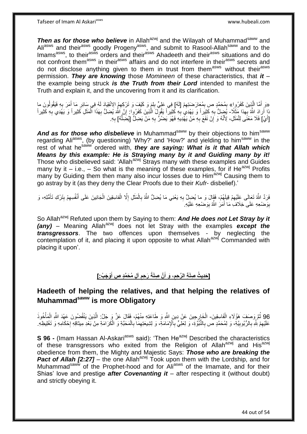*Then as for those who believe* in Allah<sup>azwj</sup> and the Wilayah of Muhammad<sup>saww</sup> and Ali<sup>asws</sup> and their<sup>asws</sup> goodly Progeny<sup>asws</sup>, and submit to Rasool-Allah<sup>saww</sup> and to the Imams<sup>asws</sup>, to their<sup>asws</sup> orders and their<sup>asws</sup> Ahadeeth and their<sup>asws</sup> situations and do not confront them<sup>asws</sup> in their<sup>asws</sup> affairs and do not interfere in their<sup>asws</sup> secrets and do not disclose anything given to them in trust from them<sup>asws</sup> without their<sup>asws</sup> permission. *They are knowing* those *Momineen* of these characteristics, that *it* – the example being struck *is the Truth from their Lord* intended to manifest the Truth and explain it, and the uncovering from it and its clarification.

«وَ أَمَّا الَّذِينَ كَفَرُوا» بِمُحَمَّدٍ صِ بِمُعَارَضَتِهِمْ [لَهُ] فِي عَلِيٍّ بِلِمَ وَ كَيْفَ وَ تَرْكِهِمُ الاِنْقِيَادَ لَهُ فِي سَائِرِ مَا أَمَرَ بِهِ فَيَقُولُونَ ما<br>... وَيَسَمَّلُ مَنْ الْمَرَى بِهِ فَيَقُولُ ِ َ ِ ِ ِ ه َ َ أَرَادَ اللَّهُ بِهِدا مَثَلًا- يُضِلُّ بِهِ كَثِيراً وَ يَهْدِي بِهِ كَثِيراً يَقُولُ الَّذِينَ كَفَرُوا ۚ إِنَّ اللَّهَ يُضِلُّ بِهَذَا أَلْمَثَلِ كَثِيراً وَ يَهْدِي بِهِ كَثِيراً َ ْ ِ ِ ه **∶ ∶** ِ [أَيْ] فَلَا مَعْنَى لِلْمَثَلِ، لِأَنَّهُ وَ إِنْ نَفَعَ بِهِ مَنْ يَهْدِيَهِ فَهُوَ يَضُرُّ بِهِ مَنْ يَضِلُّ [يُضِلُّهُ] بِهِ. **∶** ِ َ ْ ُّ ِ ِ

And as for those who disbelieve in Muhammad<sup>saww</sup> by their objections to him<sup>saww</sup> regarding Ali<sup>asws</sup>, (by questioning) 'Why?' and 'How?' and yielding to him<sup>saww</sup> in the rest of what he<sup>saww</sup> ordered with, *they are saying: What is it that Allah which Means by this example: He is Straying many by it and Guiding many by it!*  Those who disbelieved said: 'Allah<sup>azwj</sup> Strays many with these examples and Guides many by it – i.e., – So what is the meaning of these examples, for if He<sup>azwj</sup> Profits many by Guiding them then many also incur losses due to Him<sup>azwj</sup> Causing them to go astray by it (as they deny the Clear Proofs due to their *Kufr*- disbelief).'

فَرَدَّ اللَّهُ تَعَالَى عَلَيْهِمْ قِيلَهُمْ، فَقَالَ وَ ما يُضِلُّ بِهِ يَعْنِي مَا يُضِلُّ اللَّهُ بِالْمَثَلِ إِلَّا الْفاسِقِينَ الْجَانِينَ عَلَى أَنْفُسِهِمْ بِتَرْكِ تَأَمُّلِهِ، وَ ِ ِ َ ْ ِ ْ ِ َ ِ ِ َ بِوَضْعِهِ عَلَى خِلَافِ مَا أَمَرَ اللَّهُ بِوَضْعِهِ عَلَيْهِ ِ ِ َ

So Allah<sup>azwj</sup> Refuted upon them by Saying to them: **And He does not Let Stray by it** *(any)* – Meaning Allah<sup>azwj</sup> does not let Stray with the examples *except the transgressors*. The two offences upon themselves - by neglecting the contemplation of it, and placing it upon opposite to what Allah<sup>azwj</sup> Commanded with placing it upon'.

#### [حَدِيثُ صِلَةِ الرَّحِمِ، وَ أَنَّ صِلَةً رَحِمِ آلِ مُحَمَّدٍ صِ أَوْجَبُ:] **َ ِ َ ِ**

# **Hadeeth of helping the relatives, and that helping the relatives of Muhammadsaww is more Obligatory**

96 ثُمَّ وَصَفَ هَؤُلَاءِ الْفَاسِقِينَ- الْخَارِجِينَ عَنْ دِينِ اللَّهِ وَ طَاعَتِهِ مِنْهُمْ، فَقَالَ عَنَّ وَ جَلَّ: الَّذِينَ يَنْقُصُونَ عَهْدَ اللَّهِ الْمَأْخُوذَ ه ْ ْ ْ عَلَيْهِمْ لِثُّهِ بِالرُّبُوبِيَّةِ، وَ لِمُحَمَّدٍ ص بِالنُّبُوَّةِ، وَ لِعَلِيٍّ بِالْإِمَامَةِ، وَ لِشِيعَتِهِمَا بِالْمَحَبَّةِ وَ الْكَرَامَةِ مِنْ بَعْدِ مِيثاقِهِ إِحْكَامِهِ وَ تَغْلِيظِهِ **∶ ! ∶** ِ ْ ْ ِ ِ ِ יֲ<br>י

**S 96 -** (Imam Hassan Al-Askari<sup>asws</sup> said): 'Then He<sup>azwj</sup> Described the characteristics of these transgressors who exited from the Religion of Allah<sup>azwj</sup> and His<sup>azwj</sup> obedience from them, the Mighty and Majestic Says: *Those who are breaking the Pact of Allah [2:27]* – the one Allah<sup>azwj</sup> Took upon them with the Lordship, and for Muhammad<sup>saww</sup> of the Prophet-hood and for Ali<sup>asws</sup> of the Imamate, and for their Shias' love and prestige *after Covenanting it* – after respecting it (without doubt) and strictly obeying it.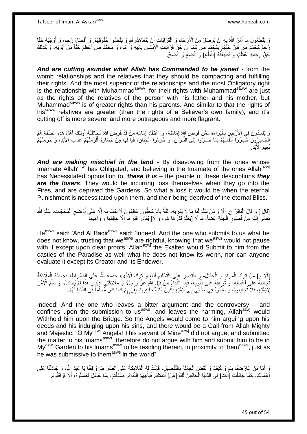Tafseer of Imam Al Askariasws www.hubeali.com

وَ يَقْطَعُونَ ما أَمَرَ اللَّهُ بِهِ أَنْ يُوصَلَ مِنَ الْأَرْحَامِ وَ الْقَرَابَاتِ أَنْ يَتَعَاهَدُوهُمْ وَ يَقْضُوا حُقُوقَهُمْ وَ أَفْضَلُ رَحِمٍ، وَ أَوْجَبُهُ حَقّاً َ ِ َ َ ْ ِ َ ہ<br>پا َ رَحِهُ مُحَمَّدٍ ص فَإِنَّ حَقَّهُمْ بِمُحَمَّدٍ ص كَمَا أَنَّ حَقَّ قَرَابَاتِ الْإِنْسَانِ بِأَبِيهِ وَ أُمِّهِ، وَ مُحَمَّدٌ ص أَعْظَمُ حَقَّاً مِنْ أَبَوَيْهِ، وَ كَذَلِكَ<br>رَحِمُ مُحَمَّدٍ مَن يَجِمَعُهُمْ بِمُحَمَّدٍ ُ ِ َ ِ َ **∫** ِ َ َ حَقُّ رَحِمِهِ أَعْظَمُ، وَ قَطِيعَتُهُ [أَقْطَعُ] وَ أَفْضَعُ وَ أَفْضَحُ. اً<br>ا َ َ

*And are cutting asunder what Allah has Commanded to be joined* - from the womb relationships and the relatives that they should be compacting and fulfilling their rights. And the most superior of the relationships and the most Obligatory right is the relationship with Muhammad<sup>saww</sup>, for their rights with Muhammad<sup>saww</sup> are just as the rights of the relatives of the person with his father and his mother, but Muhammad<sup>saww</sup> is of greater rights than his parents. And similar to that the rights of his<sup>saww</sup> relatives are greater (than the rights of a Believer's own family), and it's cutting off is more severe, and more outrageous and more flagrant.

رَ يُفْسِدُونَ فِي الْأَرْضِِ بِالْبَرَاءَةِ مِمَّنْ فَرَضَ اللَّهُ إِمَامَتَهُ، وَ اعْتِقَادٍ إِمَامَةِ مَنْ قَدْ فَرَضَ اللَّهُ مُخَالَفَتَهُ أُولئِكَ أَهْلُ هَذِهِ الصِّفَةِ هُمُ ِ ْ **∶** ِ اُ َ الْخَاسِرُ وِنَ خَسِرُوا أَنْفُسَهُمْ لِمَا صَارُوا إِلَى النِّيرَاٰنِ، وَ حُرِمُوا الْجِنَانَ، فَيَا لَهَا مِنْ خَسَارَةٍ أَلْزَمَتْهُمْ عَذَابَ الْأَبَدِ، وَ حَرَمَتْهُمْ ْ َ ْ ِ  $\frac{1}{2}$ َ نَعِيمَ الْأَبَدِ

*And are making mischief in the land* - By disavowing from the ones whose Imamate Allah<sup>azwj</sup> has Obligated, and believing in the Imamate of the ones Allah<sup>azwj</sup> has Necessitated opposition to, *these it is* – the people of these descriptions *they are the losers*. They would be incurring loss themselves when they go into the Fires, and are deprived the Gardens. So what a loss it would be when the eternal Punishment is necessitated upon them, and their being deprived of the eternal Bliss.

[قَالَ:] وَ قَالَ الْبَاقِرُ ع: أَلَا وَ مَنْ سَلَّمَ لَنِا مَا لَا يَدْرِيهِ، ثِقَةً بِأَنَّا مُحِقُّونَ عَالِمُونَ لَا نَقِفُ بِهِ إِلَّا عَلَى أَوْضَحِ الْمَحَجَّاتِ، سَلَّمَ اللَّهُ َ ِ ِ ه َ :<br>ا ه ْ  $\zeta$ َ ِ ِ نَّعَالَى إِلَيْهِ مِنْ قُصُورِ ۖ الْجَنَّةِ أَيْضاً- مَا لَا [يَعْلَمُ قَدْرَهَا هُوَ، وَ لَا] يُقَادِرُ قَدْرَهَا إِلَّا خَالِقَهَا وَ وَاهِبَهَا. َ ْ ِ لَ ِ ِ

He<sup>asws</sup> said: 'And Al Baqir<sup>asws</sup> said: 'Indeed! And the one who submits to us what he does not know, trusting that we<sup>asws</sup> are rightful, knowing that we<sup>asws</sup> would not pause with it except upon clear proofs, Allah<sup>azwj</sup> the Exalted would Submit to him from the castles of the Paradise as well what he does not know its worth, nor can anyone evaluate it except its Creator and its Endower.

[أَلاَ وَإِ] مَنْ تَزِكَ الْمِرَاءَ وَ الْجِدَالَ- وَ اقْتَصَنِ عَلَى التَّسْلِيمِ لَنَاءٍ وَ تَزِكَ الْأَذَى، حَبَسَهُ اللَّهِ عَلَى الصِّرَاطِ، فَجَاءَتْهُ إِلْمَلَإِئِكَةُ ْ ْ ِ ْ تُجَادِلُهُ عَلَى أَعْمَالِهِ، وَ تُوَافِقُهُ عَلَى ذُنُوبِهِ، فَإِذَا النِّدَاءُ مِنْ قِيَلِ اللَّهِ عَزَّ وَ جَلَّ: يَا مَلَائِكَتِي عَبْدِي هَذَا لَمْ يُجَادِلْ، وَ سَلَّمَ الْأَمْرَ َ ُ ِ ه لِأَئِمَّتِهِ، فَلَا تُجَادِلُوهُ، وَ سَلِّمُوهُ فِي جِنَانِيَ إِلَى أَئِمَّتِهِ يَكُونُ مُثَبَجِّحاً فِيهَا، بِقُرْبِهِمْ كَمَا كَانَ مُسَلِّماً فِي الدُّنْيَا لَهُمْ. ِ ِ ِ ِّ َ ِّ

Indeed! And the one who leaves a bitter argument and the controversy – and confines upon the submission to us<sup>asws</sup>, and leaves the harming, Allah<sup>azwj</sup> would Withhold him upon the Bridge. So the Angels would come to him arguing upon his deeds and his indulging upon his sins, and there would be a Call from Allah Mighty and Majestic: "O My<sup>azwj</sup> Angels! This servant of Mine<sup>azwj</sup> did not argue, and submitted the matter to his Imams<sup>asws</sup>, therefore do not argue with him and submit him to be in My<sup>azwj</sup> Garden to his Imams<sup>asws</sup> to be residing therein, in proximity to them<sup>asws</sup>, just as he was submissive to them<sup>asws</sup> in the world".

وَ أَمَّا مَنْ عَارَضَنَا بِلِمَ وَ كَيْفَ وَ نَقَضٍ الْجُمْلَةَ بِالتَّفْصِيلِ، قَالَتْ لَهُ الْمَلَائِكَةُ عَلَى الصِّرَاطِ: وَاقِفْنَا يَا عَبْدَ اللَّهِ، وَ جَادِلْنَا عَلَى ْ **∶** ْ ِ ْ أَعْمَالِكَ- كَمَا جَادَلْتَ [أَنْتَ] فِي الدُّنْيَا الْحَاكِينَ لَكَ [عَنْ] أَئِمَّتِكَ. فَيَأْتِيهِمُ النِّدَاءُ: صَدَقْتُمْ، بِمَا عَامَلَ فَعَامِلُوهُ، أَلَا فَوَاقِفُوهُ. َ ْ ْ َ َ ِ ْ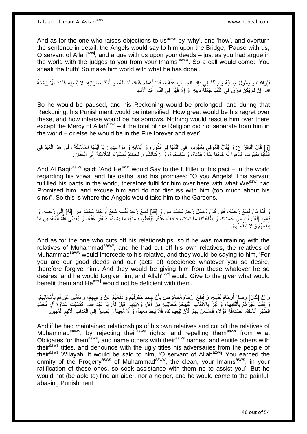And as for the one who raises objections to us<sup>asws</sup> by 'why', and 'how', and overturn the sentence in detail, the Angels would say to him upon the Bridge, 'Pause with us, O servant of Allah $a^{2xy}$ , and argue with us upon your deeds – just as you had argue in the world with the judges to you from your Imams<sup>asws</sup>'. So a call would come: 'You speak the truth! So make him world with what he has done'.

فَيُوَاقَفُ وَ يَطُولُ حِسَابُهُ وَ يَشْتَدُّ فِي ذَلِكَ الْحِسَابِ عَذَابُهُ، فَمَا أَعْظَمَ هُنَاكَ نَدَامَتَهُ، وَ أَشَدَّ حَسَرَاتِهِ، لَا يُنْجِيهِ هُنَاكَ إِلَّا رَحْمَةُ َ َ ْ ِ اللَّهِ- إِنْ لَمْ يَكُنْ فَارَقَ فِي الدُّنْيَا جُمْلَّةَ دِينِهِ- وَ إِلَّا فَهُوَ فِي النَّارِ أَبَدَ الْآبَادِ َ ِ ِ

So he would be paused, and his Reckoning would be prolonged, and during that Reckoning, his Punishment would be intensified. How great would be his regret over these, and how intense would be his sorrows. Nothing would rescue him over there except the Mercy of Allah $a^{2xy}$  – if the total of his Religion did not separate from him in the world – or else he would be in the Fire forever and ever'.

[وَ] قَالَ الْبَاقِرُ ع: وَ يُقَالُ لِلْمُوفِي بِعُهُودِهِ- فِي الدُّنْيَا فِي نُذُورِهِ وَ أَيْمَانِهِ وَ مَوَاعِيدِهِ-: يَا أَيَّتُهَا الْمَلَائِكَةُ وَفَى هَذَا الْعَبْدُ فِي **∶** َ ¦ ْ ْ َ الْذُنْيَا بِعُهُودِهِ، فَأَوْفُوا لَهُ هَاهُنَا بِمَآ وَكَدْنَاهُ، وَ سَامِحُوهُ، وَ لَا تُنَاقِشُوهُ. فَحِينَئِذٍ تُصَيِّرُهُ الْمَلَائِكَةُ إِلَى الْجِنَانِ. ِ َ **∶** ْ ِ ْ

And Al Bagir<sup>asws</sup> said: 'And He<sup>azwj</sup> would Say to the fulfiller of his pact – in the world regarding his vows, and his oaths, and his promises: "O you Angels! This servant fulfilled his pacts in the world, therefore fulfil for him over here with what  $We^{azwj}$  had Promised him, and excuse him and do not discuss with him (too much about his sins)". So this is where the Angels would take him to the Gardens.

وَ أَمَّا مَنْ قَطَعَ رَحِمَهُ، فَإِنْ كَانَ وَصَلَ رَحِمَ مُحَمَّدٍ ص وَ [قَدْ] قَطَعَ رَحِمَ نَفْسِهِ شَفَعَ أَرْجَامُ مُحَمَّدٍ ص [لَهُ] إِلَى رَحِمِهِ، وَ ِ َ لَ ِ قَالُوا [لَهُ] ۚ لَكَ مِنْ حَسَنَاتِنَاۤ وَ طَاعَاتِنَا مَا شِئْتَ، فَاعْفُ عَنْهُ. فَيُعْطُونَهُ مِنْهَا مَا يَشَاءُ، فَيَعْفُو عَنْهُ، وَ يُعْطِي اللَّهُ الْمُعْطِينَ مَا ْ ْ يَنْفَعُهُمْۚ وَ ۚ لَا يَنْقُصُنُهُمْ.

And as for the one who cuts off his relationships, so if he was maintaining with the relatives of Muhammad<sup>saww</sup>, and he had cut off his own relatives, the relatives of Muhammad<sup>saww</sup> would intercede to his relative, and they would be saying to him, 'For you are our good deeds and our (acts of) obedience whatever you so desire, therefore forgive him'. And they would be giving him from these whatever he so desires, and he would forgive him, and Allah<sup>azwj</sup> would Give to the giver what would benefit them and  $He^{azwj}$  would not be deficient with them.

وَ إِنْ [كَانَ] وَصَلٍّ أَرْحَامَ نَفْسِهِ، وَ قَطَعَ أَرْجَامَ مُحَمَّدٍ ص بِأَنْ جَجَدَ حُقُوقَهُمْ وَ دَفَعَهُمْ عَنْ وَاجِبِهِمْ، وَ سَمَّى غَيْرَهُمْ بِأَسْمَائِهِمْ، ِ ِ َ ِ َ َ **∶** يْهِ أَهْلَى مَثَرَ هُمْ بِأَلْقَابِهِمْ، وَ نَبَزَ بِالْأَلْقَابِ الْقَبِيحَةِ مُخَالِفِيهِ مِنْ أَهْلِ وَلاَيتَهِمْ. قِيلَ لَهُ ٰ يَا عَبْدَ اللَّهِ الْكَسَبْتَ عَدَاوَةً آلِ مُحَمَّدٍ ِ َ ِ ْ ْ ِ ِ ْ َ **∶** ا<br>ا الْطُّهْرِ أَئِمَّتِكَ، لِصَدَاقَةِ هُؤُلًاءِ فَاسْتَعِنْ بِهِمُ الْأَنَ لِيُعِينُوكَ، فَلَا يَجِدُ مُعِينًا، وَ لَا مُعِيثًا وَ يَصِيرُ إِلَى الْعَذَابِ الْأَلِيمِ الْمُهِينِ ۖ َ **∶ ∶** ِ ْ ِ ْ ِ

And if he had maintained relationships of his own relatives and cut off the relatives of Muhammad<sup>saww</sup>, by rejecting their<sup>asws</sup> rights, and repelling them<sup>asws</sup> from what Obligates for them<sup>asws</sup>, and name others with their<sup>asws</sup> names, and entitle others with their<sup>asws</sup> titles, and denounce with the ugly titles his adversaries from the people of their<sup>asws</sup> Wilayah, it would be said to him, 'O servant of Allah<sup>azwi</sup>! You earned the enmity of the Progeny<sup>asws</sup> of Muhammad<sup>saww</sup>, the clean, your Imams<sup>asws</sup>, in your ratification of these ones, so seek assistance with them no to assist you'. But he would not (be able to) find an aider, nor a helper, and he would come to the painful, abasing Punishment.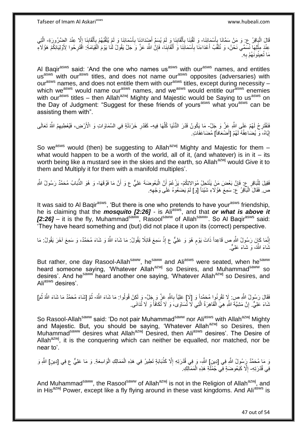قَالَ الْبَاقِرُ عِ: وَ مَنْ سَمَّانَا بِأَسْمَائِنَا- وَ لَقَّبَنَا بِأَلْقَابِنَا وَ لَمْ يُسَمِّ أَضِدَادَنَا بِأَسْمَائِنَا وَ لَمْ يُسَمِّ أَصْدَادَنَا بِأَسْمَائِنَا وَ لَمْ يُلَقَّبْهُمْ بِأَلْقَابِنَا إِلَّا عِنْدَ اً، ِ ْ ِ ِ ْ َ **∶** اً، ِ َ ْ َ ِ ه عِنْدَ مِثْلِهَا نُسَمِّي نَحْنُ، وَ نُلَقُّبُ أَعْدَاءَنَا بِأَسْمَائِنَا وَ أَلْقَابِنَا، فَإِنَّ اللَّهَ عَزَّ وَ جَلَّ يَقُولُ لَنَا يَوْمَ الْقِيَامَةِ: اقْتَرِحُوا لِأَوْلِيَانِكُمْ هَؤُلاَمٍ ْ ِ **∣** ْ َ اً **∶** َ لَ ِ مَا تُعِينُونَهُمْ بِهِ ِ

Al Baqir<sup>asws</sup> said: 'And the one who names us<sup>asws</sup> with our<sup>asws</sup> names, and entitles us<sup>asws</sup> with our<sup>asws</sup> titles, and does not name our<sup>asws</sup> opposites (adversaries) with our<sup>asws</sup> names, and does not entitle them with our<sup>asws</sup> titles, except during necessity which we<sup>asws</sup> would name our<sup>asws</sup> names, and we<sup>asws</sup> would entitle our<sup>asws</sup> enemies with our<sup>asws</sup> titles – then Allah<sup>azwj</sup> Mighty and Majestic would be Saying to us<sup>asws</sup> on the Day of Judgment: "Suggest for these friends of yours<sup>asws</sup> what you<sup>asws</sup> can be assisting them with".

فَفْقَتَرِحُ لَهُمْ عَلَى اللَّهِ عَزَّ وَ جَلَّ- مَا يَكُونُ قَدْرَ الدُّنْيَا كُلِّهَا فِيهِ- كَقَدْرِ خَرْدَلَةٍ فِي السَّمَاوَاتِ وَ الْأَرْضِ، فَيُعْطِيهِمُ اللَّهُ تَعَالَى **∶** ِّ ِ إِيَّاهُ، وَ يُضَاعِفُهُ لَهُمْ [أَصْعَافاً] مُضَاعَفَاتٍ. <u>֖֖֚֚֚֚֚֚֓</u>

So we<sup>asws</sup> would (then) be suggesting to Allah<sup>azwj</sup> Mighty and Majestic for them  $$ what would happen to be a worth of the world, all of it, (and whatever) is in it  $-$  its worth being like a mustard see in the skies and the earth, so Allah<sup>azwj</sup> would Give it to them and Multiply it for them with a manifold multiples'.

فَقِيلَ لِلْبَاقِرِ عِ: فَإِنَّ بَعْضَ مَنْ يَنْتَجِلُ مُوَالاِتِكُمْ- يَزْعُمُ أَنَّ الْبَعُوضَةَ عَلِيٌّ ع وَ أَنَّ مَا فَوْقَهَا- وَ هُوَ الذُّبَابُ مُحَمَّدٌ رَسُولُ الثَّبِ ِ :<br>ا َ :<br>ا ص فَقَالَ الْبَاقِرُ ۚ ع: سَمِعَ هَؤُلَاءِ شَيْئاً [وَ] لَمْ يَضَعُوهُ عَلَى وَجْهِهِ. :<br>ا

It was said to Al Bagir<sup>asws</sup>, 'But there is one who pretends to have your<sup>asws</sup> friendship, he is claiming that the **mosquito [2:26]** - is Ali<sup>asws</sup>, and that **or what is above it** [2:26] – it is the fly, Muhammad<sup>saww</sup>, Rasool<sup>saww</sup> of Allah<sup>saww</sup>'. So Al Baqir<sup>asws</sup> said: 'They have heard something and (but) did not place it upon its (correct) perspective.

إِنَّمَا كَإِنَ رَسُولُ اللَّهِ ص قَاعِداً ذَاتَ يَوْمٍ هُوَ وَ عَلِيٌّ ع إِذْ سَمِعَ قَائِلًا يَقُولُ: مَا شَاءَ اللَّهُ وَ شَاءَ مُحَمَّدٌ، وَ سَمِعَ آخَرَ يَقُولُ: مَا **ٔ** ٍ نَّمَاءَ اللَّهُ، وَ شَاءَ عَلِيٌّ.

But rather, one day Rasool-Allah<sup>saww</sup>, he<sup>saww</sup> and Ali<sup>asws</sup> were seated, when he<sup>saww</sup> heard someone saying, 'Whatever Allah<sup>azwj</sup> so Desires, and Muhammad<sup>saww</sup> so desires'. And he<sup>saww</sup> heard another one saying, 'Whatever Allah<sup>azwj</sup> so Desires, and Ali<sup>asws</sup> desires'.

فَقَالَ رَسُولُ اللَّهِ صِ: لَإِ تَقْرِنُوا مُحَمَّداً وَ [لَا] عَلِيّاً بِاللَّهِ عَلَّ وَ جَلَّ- وَ لَكِنْ قُولُوا: مَا شَاءَ اللَّهُ- ثُمَّ [شَاءَ مُحَمَّدٌ مَا شَاءَ اللَّهُ ثُمَ]<br>. **∶** ِ ُ ا<br>ا ا پایا<br>سال ثْنَاءَ عَلِيٌّ. إِنَّ مَشِيَّةَ اللَّهِ هِيَ الْقَاهِرَةُ الَّتِي لَّا تُسَاوَى، وَ لَا تُكَافَأُ وَ لَا تُدَانَى. ِ ا<br>ا ه ْ

So Rasool-Allah<sup>saww</sup> said: 'Do not pair Muhammad<sup>saww</sup> nor Ali<sup>asws</sup> with Allah<sup>azwj</sup> Mighty and Majestic. But, you should be saying, 'Whatever Allah $a^{2x}$  so Desires, then Muhammad<sup>saww</sup> desires what Allah<sup>azwj</sup> Desired, then Ali<sup>asws</sup> desires'. The Desire of Allah $a^{2x}$ , it is the conquering which can neither be equalled, nor matched, nor be near to'.

وَ مَا مُحَمَّدٌ رَِسُولُ اللَّهِ فِي [دِينِ] اللَّهِ- وَ فِي قُدْرَتِهِ إِلَّا كَذُبَابَةٍ تَطِيرُ فِي هَذِهِ الْمَمَالِكِ الْوَاسِعَةِ. وَ مَا عَلِيٌّ ع فِي [دِينِ] اللَّهِ وَ ِ ْ ْ فِي قُدْرَتِهِ- إِلَّا كَبَعُوضَةٍ فِي جُمْلَةٍ هَذِهِ الْمَمَالِكِ. ْ ِ

And Muhammad<sup>saww</sup>, the Rasool<sup>saww</sup> of Allah<sup>azwj</sup> is not in the Religion of Allah<sup>azwj</sup>, and in His $^{a}$ zwj Power, except like a fly flying around in these vast kingdoms. And Ali $^{a}$ sws is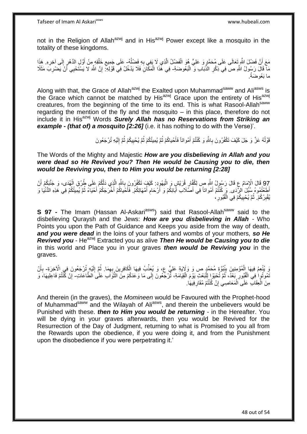not in the Religion of Allah<sup>azwj</sup> and in His<sup>azwj</sup> Power except like a mosquito in the totality of these kingdoms.

مَعَ أَنَّ فَضْلَ اللَّهِ تَعَالَى عَلَى مُحَمَّدٍ وَ عَلِيٍّ هُوَ الْفَضْلُ الَّذِي لَا يَفِي بِهِ فَضْلُهُ- عَلَى جَمِيعِ خَلْقِهِ مِنْ أَوَّلِ الدَّهْرِ إِلَى آخِرِهِ. هَذَا ه ُ **∶** ِ ِ ِ َ ْ ِ مَا قَالَ رَسُولُ اللَّهِ صَّ فِي ذِكْرِ الذَّبَابِ وَ ۖ الْبَعْوضَةِ- فِي هَٰذَا الْمَكَّانِ فَلَا يَدْخُلُ فِي قَوْلِهِ ۚ إِنَّ اللَّهَ لَا يَسْتَحْيِي أَنَّ يَضْرِبَ مَثَلًا ْ ِ ِ ْ ِ َ ما بَعُوضَةً.

Along with that, the Grace of Allah<sup>azwj</sup> the Exalted upon Muhammad<sup>saww</sup> and Ali<sup>asws</sup> is the Grace which cannot be matched by His $^{a}$ zwj Grace upon the entirety of His $^{a}$ zwj creatures, from the beginning of the time to its end. This is what Rasool-Allah<sup>saww</sup> regarding the mention of the fly and the mosquito – in this place, therefore do not include it in His<sup>azwj</sup> Words **Surely Allah has no Reservations from Striking an** *example - (that of) a mosquito [2:26]* (i.e. it has nothing to do with the Verse)'.

> قَوْلُهُ عَزَّ وَ جَلَ كَيْفَ تَكْفُرُونَ بِاللَّهِ وَ كُنْتُمْ أَمْواتاً فَأَحْياكُمْ ثُمَّ يُلْمِيتُكُمْ ثُمَّ إِلَيْهِ تُرْجَعُونَ ا<br>ا لَ ِ ان<br>المقامات **!** ُ ان<br>المقام َ َ ِ

The Words of the Mighty and Majestic *How are you disbelieving in Allah and you were dead so He Revived you? Then He would be Causing you to die, then would be Reviving you, then to Him you would be returning [2:28]*

97 قَالَ الْإِمَامُ عِ قَالَ رَسُولُ اللَّهِ صِ لِكُفَّارٍ قُرَيْشٍ وَ الْيَهُودِ. كَيْفَ تَكْفُرُونَ بِاللَّهِ الَّذِي ذَلَّكُمْ عَلَى طُرُقِ الْهُدَى، وَ جَنَّبَكُمْ أَنْ<br>وَمَنْ الْمُدَامِنِينَ مِنْ أَرْضُ مَنْ اللَّهِ َ ْ ه ة ِ ْ أَطَعْتُمُوهُ سُبُلَ الرِّدَى. وَ كُنْتُمْ أَمْواتاً فِي أَصَّلَابَ أَبَائِكُمْ وَ أَرْحَامِ أُمَّهَاتِكُمْ. فَأَخْياكُمْ أَخْرَجَكُمْ أَحْيَاءً ثُمَّ يُمِيتُكُمْ فِي هَذِهِ الدُّنْيَا وَ ُ ِ اُ َ َ ُ َ يُقْبِرُكُمْ. ثُمَّ يُحْيِيكُمْ فِي الْقُبُورِ ، **ِ !** .<br>• • • • ِ ْ

**S 97 -** The Imam (Hassan Al-Askari<sup>asws</sup>) said that Rasool-Allah<sup>saww</sup> said to the disbelieving Quraysh and the Jews: *How are you disbelieving in Allah -* Who Points you upon the Path of Guidance and Keeps you aside from the way of death, *and you were dead* in the loins of your fathers and wombs of your mothers, *so He Revived you* - He<sup>azwj</sup> Extracted you as alive *Then He would be Causing you to die* in this world and Place you in your graves *then would be Reviving you* in the graves.

يَ يُنْعِمُ فِيهَا الْمُؤْمِنِينَ بِبُُبُوَّةِ مُحَمَّدٍ ص وَ وَلَايَةِ عَلِيٍّ ع، وَ يُعَذِّبُ فِيهَا الْكَافِرِينَ بِهِمَا. ثُمَّ إِلَيْهِ تُرْجَعُونَ فِي الْأَخِرَةِ- بِأَنْ ِ ِ ْ ِ ْ لَ ِ ان<br>المقامات المقامات المقامات المقامات المقامات المقامات المقامات المقامات المقامات المقامات المقامات المقامات<br>المقامات المقامات المقامات المقامات المقامات المقامات المقامات المقامات المقامات المقامات المقامات المقامات َ ِ نَمُوتُوا فِي الْقُبُورِ بَعْدُ، ثُمَّ تُحْبَوْا الْلُبَعْثِ يَوْمَ الْقِيَامَةِ، ثَّرْجَعُونَ إِلَى مَا وَعَدَكُمْ مِنَ الثَّوَابِ عَلَى الطَّاعَاتِ- إِنْ كَنْتُمْ فَاعِلِيهَا، وَ ْ :<br>ا ُ **∶** ْ ه ِ ِ مِنَ الْعِقَابِ عَلَى الْمَعَاصِمِي إِنْ كُنْتُمْ مُقَارِفِيهَا. ِ ِ ْ ْ

And therein (in the graves), the *Momineen* would be Favoured with the Prophet-hood of Muhammad<sup>saww</sup> and the Wilayah of Ali<sup>asws</sup>, and therein the unbelievers would be Punished with these. *then to Him you would be returning* - in the Hereafter. You will be dying in your graves afterwards, then you would be Revived for the Resurrection of the Day of Judgment, returning to what is Promised to you all from the Rewards upon the obedience, if you were doing it, and from the Punishment upon the disobedience if you were perpetrating it.'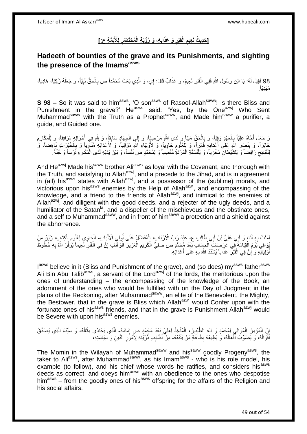#### [حَدِيثُ نَعِيم الْقَبْرِ وَ عَذَابِهِ، وَ رُوْيَةِ الْمُحْتَضَرِ لِلْأَنِمَّةِ عِ:] **ِ ِ ِ ِ**

# **Hadeeth of bounties of the grave and its Punishments, and sighting the presence of the Imamsasws**

98 فَقِيلَ لَهُ: يَا ابْنَ رَسُولِ اللَّهِ فَفِي الْقَبْرِ نَعِيمٌ، وَ عَذَابٌ قَالَ: إِي، وَ الَّذِي بَعَثَ مُحَمَّداً ص بِالْحَقِّ نَبِيّاً، وَ جَعَلَهُ زَكِيّاً، هَادِياً،<br>2. يُحْمَلُ اللہ عَالَمَ اللہ عَالَمَ اللہ عَال ِ ْ ِ ه ْ . َمْهِدّياً

**S 98 –** So it was said to him<sup>asws</sup>, 'O son<sup>asws</sup> of Rasool-Allah<sup>saww</sup>! Is there Bliss and Punishment in the grave?' He<sup>asws</sup> said: 'Yes, by the One<sup>azwj</sup> Who Sent Muhammad<sup>saww</sup> with the Truth as a Prophet<sup>saww</sup>, and Made him<sup>saww</sup> a purifier, a guide, and Guided one.

ِ وَ جَعَلَ أَخَاهُ عَلِيّاً بِالْعَهْدِ وَفِِيّاً، وَ بِالْحَقِّ مَلِيّاً وَ لَدَى اللَّهِ مَرْضِيّاً، وَ إِلَي الْجِهَادِ سَابِقاً، وَ لِلَّهِ فِي أَحْوَالِهِ مُوَافِقاً، وَ لِلْمَكَارِمِ ْ ِ ْ ِ ْ **∶** َ ِ ِ ْ َ حَائِزاً، وَ بِنَصْرِ اللَّهِ عَلَى أَعْدَائِهِ فَائِزٍاً، وَ لِلْعُلُومِ جَاوِياً، وَ لِأَوْلِيَاءِ اللَّهِ مُوَالِياً، وَ لِأَعْدَائِهِ مُنَالِّرِياً وَ بِالْخَيْرَاتِ نَاهِضاً، وَ **∶** ِ ِ ِ ْ َ ْ ِ ِ لِلْقَبَائِحِ رَافِضاً وَ لِلشَّيْطَانِ مُخْزِياً، وَ لِلْفَسَقَةِ الْمَرَدَةِ مُقْصَيباً وَ لِمُحَمَّدٍ ص نَفْساً، وَ بَيْنَ يَدَيْهِ لَدَى الْمَكَارِهِ ثَرْساً وَ جُنَّةً. ْ ْ **∶** ِ .<br>ا **∶** ْ

And He<sup>azwj</sup> Made his<sup>saww</sup> brother Ali<sup>asws</sup> as loyal with the Covenant, and thorough with the Truth, and satisfying to Allah<sup>azwj</sup>, and a precede to the Jihad, and is in agreement in (all) his<sup>asws</sup> states with Allah<sup>azwj</sup>, and a possessor of the (sublime) morals, and victorious upon his<sup>asws</sup> enemies by the Help of Allah<sup>azwj</sup>, and encompassing of the knowledge, and a friend to the friends of Allah<sup>azwj</sup>, and inimical to the enemies of Allah<sup>azwj</sup>, and diligent with the good deeds, and a rejecter of the ugly deeds, and a humiliator of the Satan<sup>la</sup>, and a dispeller of the mischievous and the obstinate ones, and a self to Muhammad<sup>saww</sup>, and in front of him<sup>saww</sup> a protection and a shield against the abhorrence.

ِمَنْتُ بِهِ أَنَا، وَ أَبِي عَلِيُّ بْنُ أَبِي ظَالِبِ ع، عَبْدُ رَبِّ الْأَرْبَابِ، الْمُفَضَّلْ عَلَى أُولِي الْأَلْبَابِ- الْحَاوِي لِعُلُومِ الْكِتَابِ، زَيْنُ مَنْ َ َ **∶** ْ اُ ْ ْ ِ ْ پُوَافِي يَوْمَ الْقِيَامَةِ فِّي عَرِّصَاتِ الْحِسَابَ بَعْدَ مُحَمَّدٍ ص صَفِيِّ الْكَرِيمِ الْعَزِيزِ الْوَهَّابِ إِنَّ فِي الْقَبْرِ نَعِيماً يُؤَفِّرُ اللَّهُ بِهِ حُظُوظَّ ْ ْ ِ ِ ْ ِ ْ **∶ ٍ** ْ ِ ِ ْ أُوْلِيَائِّهِ وَ إِنَّ فِي الْقَبْرِ ۚ عَذَاباً يُشَدِّدُ اللَّهُ بِهِ عَلَى أَعْدَائِهِ. َ ِ ِ ْ ِ َ

l<sup>asws</sup> believe in it (Bliss and Punishment of the grave), and (so does) my<sup>asws</sup> father<sup>asws</sup> Ali Bin Abu Talib<sup>asws</sup>, a servant of the Lord<sup>azwj</sup> of the lords, the meritorious upon the ones of understanding – the encompassing of the knowledge of the Book, an adornment of the ones who would be fulfilled with on the Day of Judgment in the plains of the Reckoning, after Muhammad<sup>saww</sup>, an elite of the Benevolent, the Mighty, the Bestower, that in the grave is Bliss which Allah<sup>azwj</sup> would Confer upon with the fortunate ones of his<sup>asws</sup> friends, and that in the grave is Punishment Allah<sup>azwj</sup> would be Severe with upon his<sup>asws</sup> enemies.

إِنَّ الْمُؤْمِنَ الْمُوَالِيَ لِمُحَمَّدٍ وَ آلِهِ الطَّيِّبِينَ، الْمُتَّخِذَ لِعَلِيٍّ بَعْدَ مُجَمَّدٍ ص إِمَامَهُ- الَّذِي يَحْتَذِي مِثَالَهُ، وَ سَيِّدَهُ الَّذِي يُصَدِّقُ ِ ْ ِ ْ ْ ِ ه َ ه أَقَّوَ الَهُ، وَ يُصَوِّبُ أَفْعَالَهُ، وَ يُطِيعُهُ بِطَاعَةٍ مَنْ يَنْدُبُهُ- مِنْ أَطَايِب ذُرِّيَّتِهِ لِأَمُورِ الدِّينِ وَ سِيَاسَتِهِ، َ ِ **∶** ِ

The Momin in the Wilayah of Muhammad<sup>saww</sup> and his<sup>saww</sup> goodly Progeny<sup>asws</sup>, the taker to Ali<sup>asws</sup>, after Muhammad<sup>saww</sup>, as his Imam<sup>asws</sup> - who is his role model, his example (to follow), and his chief whose words he ratifies, and considers his<sup>asws</sup> deeds as correct, and obeys him<sup>asws</sup> with an obedience to the ones who despotise him<sup>asws</sup> – from the goodly ones of his<sup>asws</sup> offspring for the affairs of the Religion and his social affairs.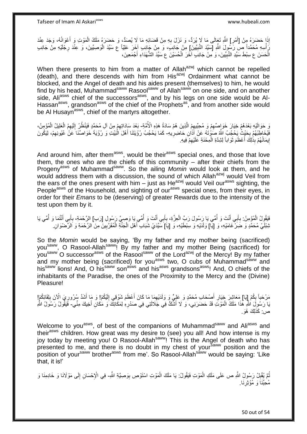إِذَا حَضَرَهُ مِنْ [أَمْرِ] اللّهِ تَعَالَى مَا لَا يُرَدُّ، وَ نَزَلَ بِهِ مِنْ قَضَائِهِ مَا لَا يُصَدُّ، وَ حَضَرَهُ مَلَكُ الْمَوْتِ وَ أَعْوَانُهُ، وَجَدَ عِنْدَ ِ ِ َ َ ْ ِّ أُسِهِ مُحَمَّداً صِّل رَّسُولَ اللَّهِ [سَيِّدَ النَّبِيِّينَ] مِنْ جَانِبَ، وَ مِنْ جَانِبِ آخَرَ عَلِيّاً ع سَيِّدَ الْوَصِيِّينَ، وَ عِنْدَ رِجْلَيْهِ مِنْ جَانِبِ ِ ِ ْ الْحَسَنَ ع سِبْطَ سَيِّدِ النَّبِيِّينَ، وَ مِنْ جَانِبِ آخَرَ الْحُسَيْنَ ع سَيِّدَ الشُّهَدَاءِ أَجْمَعِينَ، َ ْ **!** ْ

When there presents to him from a matter of Allah<sup>azwj</sup> which cannot be repelled (death), and there descends with him from His $^{a}$ zwj Ordainment what cannot be blocked, and the Angel of death and his aides present (themselves) to him, he would find by his head, Muhammad<sup>saww</sup> Rasool<sup>saww</sup> of Allah<sup>saww</sup> on one side, and on another side, Ali<sup>asws</sup> chief of the successors<sup>asws</sup>, and by his legs on one side would be Al-Hassan<sup>asws</sup>, grandson<sup>asws</sup> of the chief of the Prophets<sup>as</sup>, and from another side would be Al Husayn<sup>asws</sup>, chief of the martyrs altogether.

وَ حَوَالَيْهِ بَعْدَهُمْ خِيَارَ خَوَاصِّهِمْ وَ مُحِبِّيهِمْ الَّذِينَ هُمْ سَادَةُ هَذِهِ الْأُمَّةِ بَعْدَ سَادَاتِهِمْ مِنْ آلِ مُحَمَّدٍ فَيَنْظُنُ إِلَيْهِمُ الْعَلِيلُ الْمُؤْمِنُ، ه ِ ِ لَ ِ ِ ْ ْ فَيُخَاطِبُهُمْ بِحَيْثُ بِكَحُمِبُ اللَّهُ صَوْتَهُ عَنْ آذَانِ حَاضِرِيهِ- كَمَا يَحْجُبُ رُؤْيَتَنَا أَهْلَ الْبَيْتِ وَ رُؤْيَةَ خَوَاصَّنَا عَنْ عُيُونِهِمْ، لِيَكُونَ **∶ ∶** ِ ْ َ إِيمَانُهُمْ بِذَٰلِكَ أَعْظَمَ ثَوَاباً لِشِدَّةِ الْمِحْنَةِ عَلَيْهِمْ فِيهِ. ِ ْ َ اً<br>ا <u>֖֖֚֚֚֚֚֚֓</u>

And around him, after them<sup>asws</sup>, would be their<sup>asws</sup> special ones, and those that love them, the ones who are the chiefs of this community – after their chiefs from the Progeny<sup>asws</sup> of Muhammad<sup>saww</sup>. So the ailing *Momin* would look at them, and he would address them with a discussion, the sound of which Allah<sup>azwj</sup> would Veil from the ears of the ones present with him – just as He<sup>azwj</sup> would Veil our<sup>asws</sup> sighting, the People<sup>asws</sup> of the Household, and sighting of our<sup>asws</sup> special ones, from their eyes, in order for their *Emans* to be (deserving) of greater Rewards due to the intensity of the test upon them by it.

فَيَقُولُ الْمُؤْمِنُ: بِأَبِي أَنْتَ وَ أُمِّي يَا رَسُولَ رَبِّ الْعِزَّةِ، بِأَبِي أَنْتَ وَ أُمِّي يَا وَصِيَّ رَسُولِ [رَب] الرَّحْمَةِ، بِأَبِي أَنْتُمَا وَ أُمِّي يَا ا<br>ا َ َ **∶** ْ ا<br>ا َ َ **∶** ْ ُ َ َ **∶** نْبِئْلَيْ مُحَمَّدٍ وَ ضَِرَّ غَامَيْهِ، وَ [يَا] وَلَدَيْهِ وَ سِبْطَيْهِ، وَ [يَا]َ سَيِّدَيْ شَبَابِ أَهْلِ الْجَنَّةِ الْمُقَرَّبِينَ مِنَ الرَّحْمَةِ وَ الرِّضْوَانِ ِ ْ ْ َ

So the *Momin* would be saying, 'By my father and my mother being (sacrificed) yousaww, O Rasool-Allahsaww! By my father and my mother Being (sacrificed) for you<sup>saww</sup> O successor<sup>asws</sup> of the Rasool<sup>saww</sup> of the Lord<sup>azwj</sup> of the Mercy! By my father and my mother being (sacrificed) for you<sup>asws</sup> two, O cubs of Muhammad<sup>saww</sup> and his<sup>saww</sup> lions! And, O his <sup>saww</sup> son<sup>asws</sup> and his<sup>asws</sup> grandsons<sup>asws</sup>! And, O chiefs of the inhabitants of the Paradise, the ones of the Proximity to the Mercy and the (Divine) Pleasure!

مَرْحَباً بِكُمْ إِيَا] مَعَاشِرَ خِيَارِ أَصْحَابِ مُحَمَّدٍ وَ عَلِيٍّ وَ وَلَدَيْهِمَا مَا كَانَ أَعْظَمَ شَوْقِي إِلَيْكُمْ! وَ مَا أَشَدَّ سُرُورِيَ الْأَنَ بِلِقَائِكُمْ! لَ ِ َ ِ ِ ِ ِ ِ َ َبَا رَسُوِلَ اللَّهِ هَٰذَا مَلَكُ الْمَوْتَ قَدْ حَضَرَنِي، وَ لَا أَشُكُّ فِي جَلَالَتِي فِي صَدْرِهِ لِمَكَانِكَ وَ مَكَانِ أَخِيكَ مِنِّي- فَيَفُّولُ رَسُولُ اللَّهِ ِ َ ْ َ ص: كَذَلِكَ هُوَ ِ

Welcome to you<sup>asws</sup>, of best of the companions of Muhammad<sup>saww</sup> and Ali<sup>asws</sup> and their<sup>asws</sup> children. How great was my desire to (see) you all! And how intense is my joy today by meeting you! O Rasool-Allah<sup>saww</sup>! This is the Angel of death who has presented to me, and there is no doubt in my chest of yoursaww position and the position of your<sup>saww</sup> brother<sup>asws</sup> from me'. So Rasool-Allah<sup>saww</sup> would be saying: 'Like that, it is!'

ُّمَّ يُقْلِِلُ رَسُولُ اللَّهِ ص عَلَى مَلَكِ الْمَوْتِ فَيَقُولُ: يَا مَلَكَ الْمَوْتِ اسْتَوْصِ بِوَصِيَّةِ اللَّهِ- فِي الْإِحْسَانِ إِلَى مَوْلَانَا وَ خَادِمِنَا وَ ِ ْ ْ **!** لَ ِ مُحِبِّنَا وَ مُؤْثِرِنَا. ِ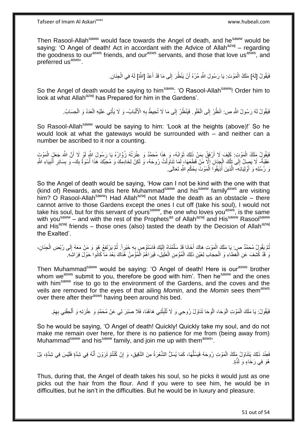Tafseer of Imam Al Askariasws www.hubeali.com

Then Rasool-Allah<sup>saww</sup> would face towards the Angel of death, and he<sup>saww</sup> would be saying: 'O Angel of death! Act in accordant with the Advice of Allah<sup>azwj</sup> – regarding the goodness to our<sup>asws</sup> friends, and our<sup>asws</sup> servants, and those that love us<sup>asws</sup>, and preferred us<sup>asws</sup>

> فَيَقُولُ [لَهُ] مَلَكُ الْمَوْتِ: يَا رَسُولَ اللَّهِ مُرْهُ أَنْ يَنْظُرَ إِلَى مَا قَدْ أَعَدَّ [اللَّهُ] لَهُ فِي الْجِذَانِ. َ ِ ْ ْ

So the Angel of death would be saying to him<sup>saww</sup>: 'O Rasool-Allah<sup>saww</sup>! Order him to look at what Allah<sup>azwj</sup> has Prepared for him in the Gardens'.

> فَيَقُولُ لَهُ رَسُولُ اللَّهِ ص: انْظُرْ إِلَى الْعُلْوِ . فَيَنْظُرُ إِلَى مَا لَا تُحِيطُ بِهِ الْأَلْبَابُ- وَ لَا يَأْتِي عَلَيْهِ الْعَدَدُ وَ الْحِسَابُ. ِ ْ  $\frac{1}{2}$ ْ ِ ِ ْ ْ **ٔ**

So Rasool-Allah<sup>saww</sup> would be saying to him: 'Look at the heights (above)!' So he would look at what the gateways would be surrounded with – and neither can a number be ascribed to it nor a counting.

ة<br>أ فَيَقُولُ مِلَكُ الْمَوْتِ: كَيْفَ لَا أَرْفَقُ بِمَنْ ذَلِكَ ثَوَابُهُ، وَ هَذَا مُحَمَّدٌ وَ عِتْرَتُهُ زُوَّارُهُ يَا رَسُولَ اللَّهِ لَوْ لَا أَنَّ اللَّهَ جَعَلَ الْمَوْتَ ِ ْ ْ َ عَقَبَةً- لَا يَصِلُ إِلَى تِأْكَ الْجِنَانِ إِلَّا مَنْ قَطَعَهَا، لَمَا تَنَاوَلْتُ رُوحَهُ، وَ لَكِنْ لِخَادِمِكَ وَ مُحِبَّكَ هَذَا أُسْوَةٌ بِكَ- وَ بِسَائِرِ أُنْبِيَاءِ اللَّهِ  $\ddot{\phantom{a}}$ ْ ْ  $\frac{1}{2}$ ْ ِ ِ َ ِ ِ وَ رُسُلِهِ وَ أَوْلِيَائِهِ- الَّذِينَ أُذِيقُواَ اَلْمَوْتَ بِحُكْمِ اللَّهِ تَعَالَى ِ َ ِ ِ ْ ُ ه

So the Angel of death would be saying, 'How can I not be kind with the one with that (kind of) Rewards, and this here Muhammad<sup>saww</sup> and his<sup>saww</sup> family<sup>asws</sup> are visiting him? O Rasool-Allah  $\frac{1}{2}$  Had Allah $\frac{1}{2}$  not Made the death as an obstacle – there cannot arrive to those Gardens except the ones I cut off (take his soul), I would not take his soul, but for this servant of yours<sup>saww</sup>, the one who loves you<sup>asws</sup>, is the same with you<sup>saww</sup> – and with the rest of the Prophets<sup>as</sup> of Allah<sup>azwj</sup> and His<sup>saww</sup> Rasool<sup>saww</sup> and His<sup>azwj</sup> friends – those ones (also) tasted the death by the Decision of Allah<sup>azwj</sup> the Exalted'.

نُمَّ يَقُولُ مُحَمَّدٌ صٍ بِا مَلَكَ الْمَوْتِ هَاكَ أَخَانَا قَدْ سَلَّمْنَاهُ إِلَيْكَ فَاسْتَوْصِ بِهِ خَيْراً. ثُمَّ يَرْتَفِعُ هُوَ وَ مَنْ مَعَهُ إِلَى رُبْضِ الْجِنَانِ، ا<br>المقام **∶** لَ  $\frac{1}{2}$ ه َ ْ لَ ِ ْ وَ ٰ قَدْ كُشِفَ عَنِ الْغِطَاءِ وَ الْحِجَابِ لِعَيْنِ ذَلِكَ الْمُؤْمِنِ الْعَلِيلِ، فَيَرَاهُمُ الْمُؤْمِنُ هُذَاكَ بَعْدَ مَا كَانُوا حَوْلَ فِرَاشِهِ. ْ ْ ْ ْ ْ

Then Muhammad<sup>saww</sup> would be saying: 'O Angel of death! Here is our<sup>asws</sup> brother whom we<sup>asws</sup> submit to you, therefore be good with him'. Then he<sup>saww</sup> and the ones with him<sup>saww</sup> rise to go to the environment of the Gardens, and the coves and the veils are removed for the eyes of that ailing *Momin*, and the *Momin* sees them<sup>asws</sup> over there after their<sup>asws</sup> having been around his bed.

فَيَقُولُ: يَا مَلَكَ الْمَوْتِ الْوَحَا، الْوَحَا تَنَاوَلْ رُوحِي وَ لَا تُلْبِثْنِي هَاهُنَا، فَلَا صَبْرَ لِي عَنْ مُحَمَّدٍ وَ عِتْرَتِهِ وَ أَلْحِقْنِي بِهِمْ. **ٔ**  $\frac{1}{2}$ ْ ْ ْ ْ ِ

So he would be saying, 'O Angel of death! Quickly! Quickly take my soul, and do not make me remain over here, for there is no patience for me from (being away from) Muhammad<sup>saww</sup> and his<sup>saww</sup> family, and join me up with them<sup>asws</sup>.

ْم تُ ْن ُكنْ ِ ِق، َو إ ِم َن الهدِقي َها، َكَما ُي َس ُّل ال هش ْع َرةُ ُّ َمْو ِت ُرو َح ُه َفَي ُسل ْ ُك ال لِ َك َيَتَناَو ُل َملَ َد ذَ ْي َس ِفي ِشهدٍة، َب َف ْل ِعنْ ُه ِفي ِشهدٍة َفلَ نه َ َت َرْو َن أ ُهَو ِفي َر ٍة. َخا ٍء َو لَذه

Thus, during that, the Angel of death takes his soul, so he picks it would just as one picks out the hair from the flour. And if you were to see him, he would be in difficulties, but he isn't in the difficulties. But he would be in luxury and pleasure.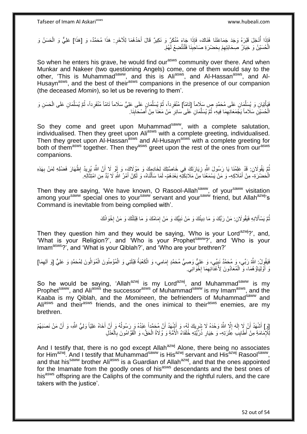َفَإِذَا أُدْخِلَ قَبْرَهُ وَجَدَ جَمَاعَتَنَا هُنَاكَ، فَإِذَا جَاءَ مُنْكَرٌ وَ نَكِيرٌ قَالَ أَحَدُهُمَا لِلْأَخَرِ. هَذَا مُحَمَّدٌ، وَ [هَذَا] عَلِيٌّ وَ الْحَسَنُ وَ ِ َ ُ ْ الْْحُسَيْنُ وَ خِيَارُ صِحَابَتِهِمْ بِحَضْرَةِ صَاحِبِنَا فَلْنَتَّضِعْ لَهُمْ. ْ **∣ ∶** ِ ا<br>ا

So when he enters his grave, he would find our<sup>asws</sup> community over there. And when Munkar and Nakeer (two questioning Angels) come, one of them would say to the other, 'This is Muhammad<sup>saww</sup>, and this is Ali<sup>asws</sup>, and Al-Hassan<sup>asws</sup>, and Al-Husayn<sup>asws</sup>, and the best of their<sup>asws</sup> companions in the presence of our companion (the deceased *Momin*), so let us be revering to them'.

فَهَأْتِيَانِ وَ يُسَلِّمَانِ عَلَى مُحَمَّدٍ صٍ سَلَاماً [تَامّاً] مُنْفَرِداً، ثُمَّ يُسَلِّمَانٍ عَلَى عَلِيٍّ سَلَاماً تَامّاً مُنْفَرِداً، ثُمَّ يُسَلِّمَانِ عَلَى الْحَسَنِ وَ ِّ ان<br>المقامات ِ ِّ ֧֦֧֦֧֦֧֦֧֦֧֦֧֦֧֦֧֦֧֦֧֦֧֧֦֧֦֧֦֦֧֧֧֧֧֧֦֧֧֦֧֦֧֘֝֟֓֓֓֓֓֓֓֓֓֞֓֓֞֓֓֓֓֓֓֓֓֓֓֡֬֓֓֓֓֞֓֬֓֓֡֬֓֓֓֓֓֓֓֓֓ ْ ِّ ُ ِ الْحُسَيْنِ سَلَاماً يَجْمَعَانِهِمَا فِيهِ، ثُمَّ يُسَلِّمَانِ عَلَى سَائِرِ مَنْ مَعَنَا مِنْ أَصْحَابِنَا. ِ َ ِ ِّ ٔ.<br>ـ ِ ْ

So they come and greet upon Muhammad<sup>saww</sup>, with a complete salutation, individualised. Then they greet upon Ali<sup>asws</sup> with a complete greeting, individualised. Then they greet upon Al-Hassan<sup>asws</sup> and Al-Husayn<sup>asws</sup> with a complete greeting for both of them<sup>asws</sup> together. Then they<sup>asws</sup> greet upon the rest of the ones from our<sup>asws</sup> companions.

نُمَّ يَقُولَانِ: قَدْ عَلِمْنَا يَا رَسُولَ اللَّهِ زِيَارَتَكَ فِي خَاصَّتِكَ لِخَادِمِكَ وَ مَوْلَاكَ، وَ إَوْ لَا أَنَّ اللَّهَ يُرِيدُ إِظْهَارَ فَضْلِهِ لِمَنْ بِهَذِهِ ِ َ **ٍ ∶** ِ الْحَضْرَةِ- مِنْ أَمْلَاكِهِ- وَ مَنْ يَسْمَعُنَا مِنْ مَلَائِكَتِهِ بَعْدَهُمْ- لَمَا سَأَلْنَاهُ، وَ لَكِنْ أَمْرُ اللَّهِ لَا بُدَّ مِنِ امْتِثَالِهِ. ْ َ َ َ

Then they are saying, 'We have known, O Rasool-Allah<sup>saww</sup>, of your<sup>saww</sup> visitation among your<sup>saww</sup> special ones to your<sup>saww</sup> servant and your<sup>saww</sup> friend, but Allah<sup>azwj</sup>'s Command is inevitable from being complied with'.

> نُّمَّ يَسْأَلَانِهِ فَيَقُو لَانِ: مَنْ رَبُّكَ وَ مَا دِينُكَ وَ مَنْ نَبِيُّكَ وَ مَنْ إِمَامُكَ وَ مَا قِبْلَتُكَ وَ مَنْ إِخْوَانُكَ ِ **!** َ **∶**

Then they question him and they would be saying, 'Who is your Lord<sup>azwj</sup>?', and, 'What is your Religion?', and 'Who is your Prophet<sup>saww</sup>?', and 'Who is your Imam<sup>asws</sup>?', and 'What is your Qiblah?', and 'Who are your brethren?'

فَيَقُولُ: اللَّهُ رَبِّي، وَ مُحَمَّدٌ نَبِيِّي، وَ عَلِيٌّ وَصِيُّ مُحَمَّدٍ إِمَامِي، وَ الْكَعْبَةُ قِبْلَتِي وَ الْمُؤْمِنُونَ الْمُوَالُونَ لِمُحَمَّدٍ وَ عَلِيٍّ [وَ الْهِمَا] ْ ْ ِ **!** ِ ْ وَ أَوْلِيَاؤُ هُمَا، وَ ۗ الْمُعَادُونَ لِأَعْدَّائِهِمَا إِخْوَانِي. **∶** ِ ْ

So he would be saying, 'Allah<sup>azwj</sup> is my Lord<sup>azwj</sup>, and Muhammad<sup>saww</sup> is my Prophet<sup>saww</sup>, and Ali<sup>asws</sup> the successor<sup>asws</sup> of Muhammad<sup>saww</sup> is my Imam<sup>asws</sup>, and the Kaaba is my Qiblah, and the *Momineen*, the befrienders of Muhammadsaww and Ali<sup>asws</sup> and their<sup>asws</sup> friends, and the ones inimical to their<sup>asws</sup> enemies, are my brethren.

[وَ] أَشْهَدُ أَنْ ِلَا إِلَهَ إِلَّا اللَّهُ وَحْدَهُ لَا شَرِيكَ لَمُ، وَ أَشْهَدُ أَنَّ مُحَمَّداً عَبْدُهُ وَ رَسُولُهُ وَ أَنَّ أَخَاهُ عَلِيّاً وَلِيُّ اللَّهِ، وَ أَنَّ مَنْ نَصَبَهُمْ ِ ِ لَ  $\frac{1}{2}$ اً اُ َ اُ ُ َ َ لِّلْإِمَامَةِ مِنْ أَطَابِبَ عَِتْرَتِهِ- وَ خِيَارِ ذُرِّيِّتِهِ خُلَفَاءُ الْأُمَّةِ وَ وَلَاةُ الْحَقِّ، وَ الْفَوَّامُونَ بِالْعَذْلِ  $\cdot$ ْ ِ ْ ْ **∶** 

And I testify that, there is no god except Allah<sup>azwj</sup> Alone, there being no associates for Him<sup>azwj</sup>. And I testify that Muhammad<sup>saww</sup> is His<sup>azwj</sup> servant and His<sup>azwj</sup> Rasool<sup>saww</sup>, and that his<sup>saww</sup> brother Ali<sup>asws</sup> is a Guardian of Allah<sup>azwj</sup>, and that the ones appointed for the Imamate from the goodly ones of his<sup>asws</sup> descendants and the best ones of his<sup>asws</sup> offspring are the Caliphs of the community and the rightful rulers, and the care takers with the justice'.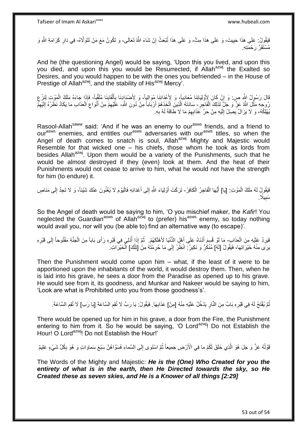فَيَقُولُ: عَلَى هَذَا حَبِيتَ، وَ عَلَى هَذَا مِتَّ، وَ عَلَى هَذَا تُبْعَثُ إِنْ شَاءَ اللّهُ تَعَالَى، وَ تَكُونُ مَعَ مَنْ تَتَوَلَّاهُ- فِي دَارِ كَرَامَةِ اللّهِ وَ **!** ِ **ٍ** مُسْتَقَرٌّ رَ َحْمَتَه

And he (the questioning Angel) would be saying, 'Upon this you lived, and upon this you died, and upon this you would be Resurrected, if Allah<sup>azwj</sup> the Exalted so Desires, and you would happen to be with the ones you befriended – in the House of Prestige of Allah<sup>azwj</sup>, and the stability of His<sup>azwj</sup> Mercy'.

ْقَالَ رَسُولُ النَّهِ صِ. وَ إِنْ كَانَ لِأَوْلِيَائِنَا مُعَادِياً، وَ لِأَعْدَائِنَا مُوَالِياً، وَ لِأَضْدَإِدنَا بِأَلْقَابِنَا مُلَقَّباً، فَإِذَا جَاءَهُ مَلَكُ الْمَوْتِ لِنَزْعِ ِ ِ ْ **!** ْ َ ِ ِ رُوجِهِ مَثَّلِ اللَّهُ عَزَّ وَ جَلَّ لِذَلِكَ الْفَاجِرِ – سَادَتَهُ الَّذِينَ اتَّخَذَهُمْ أَرْبَاباً مِنْ دُونِ اللَّهِ، عَلَيْهِمْ مِنْ أَنُواعِ الْعَذَابِ مَا يَكَادُ نَظَرُهُ إِلَيْهِمْ ْ اً ه ِ لَ ِ ْ ِ َ ِ يُهْلِكُهُ، وَ لَا يَزَالُ يَصِلُ إِلَيْهِ مِنْ حَرٍّ كَذَابِهِمْ مَا لَا طَاقَةَ لَهُ بِهِ. ِ ِ لَ  $\frac{1}{2}$ 

Rasool-Allah<sup>saww</sup> said: 'And if he was an enemy to our<sup>asws</sup> friends, and a friend to our<sup>asws</sup> enemies, and entitles our<sup>asws</sup> adversaries with our<sup>asws</sup> titles, so when the Angel of death comes to snatch is soul, Allah<sup>azwj</sup> Mighty and Majestic would Resemble for that wicked one – his chiefs, those whom he took as lords from besides Allah<sup>azwj</sup>. Upon them would be a variety of the Punishments, such that he would be almost destroyed if they (even) look at them. And the heat of their Punishments would not cease to arrive to him, what he would not have the strength for him (to endure) it.

فَيَقُولُ لَهُ مَلَكُ الْمَوْتِ: [يَا] أَيُّهَا الْفَاجِرُ الْكَافِرُ- تَرَكْتَ أَوْلِيَاءَ اللَّهِ إِلَى أَعْدَائِهِ فَالْيَوْمَ لَا يُغْنُونَ عَنْكَ شَيْئاً، وَ لَا تَجِدُ إِلَى مَنَاصِ ْ ْ ْ لَ ِ َ ِ ْ َ ًَل. ي ِ َسب

So the Angel of death would be saying to him, 'O you mischief maker, the *Kafir*! You neglected the Guardian<sup>asws</sup> of Allah<sup>azwj</sup> to (prefer) his<sup>asws</sup> enemy, so today nothing would avail you, nor will you (be able to) find an alternative way (to escape)'.

فَيَرِدُ عَلَيْهِ مِنَ الْعَذَابِ- مَا لَوْ قُسِمَ أَنْنَاهُ عَلَى أَهْلِ الدُّنْيَا لَأَهْلَكَهُمْ. ثُمَّ إِذَا أُدْلِيَ فِي قَبْرِهِ رَأَى بَاباً مِنَ الْجَنَّةِ مَفْتُوحاً إِلَى قَبْرِهِ ْ ِ َ َ ِ ِ ْ ِ :<br>ا ا دیکھیے يَرَى مِنْهُ خَيْرَاتِهَا، فَيَقُولُ [لَهُ] مُنْكُرٌ وَ نَكِيرٌ ۚ انْظُرْ إِلَى مَا حُرِمْتُهُ مِنْ إِتِلْكَ] الْخَيْرَاتِ ۖ ْ **∶** ِ ْ

Then the Punishment would come upon him – what, if the least of it were to be apportioned upon the inhabitants of the world, it would destroy them. Then, when he is laid into his grave, he sees a door from the Paradise as opened up to his grave. He would see from it, its goodness, and Munkar and Nakeer would be saying to him, 'Look are what is Prohibited unto you from those goodness's'.

نْمَّ يُفْتَحُ لَهُ فِي قَبْرِهِ بَابٌ مِنَ النَّارِ يَدْخُلُ عَلَيْهِ مِنْهُ [مِنْ] عَذَابِهَا. فَيَقُولُ: يَا رَبِّ لَا تُقِمِ السَّاعَةَ. [يَا رَبِّ لَا تُقِم السَّاعَةَ. ِ **∶** ُ ِ ِ ِ

There would be opened up for him in his grave, a door from the Fire, the Punishment entering to him from it. So he would be saying, 'O Lord<sup>azwj</sup>! Do not Establish the Hour! O Lord<sup>azwj</sup>! Do not Establish the Hour!'

قَوْلُهُ عَزَّ وَ جَلَ هُوَ الَّذِي خَلَقَ لَكُمْ ما فِي الْأَرْضِ جَمِيعاً ثُمَّ اسْتَوى إِلَى السَّماءِ فَسَوَّاهُنَّ سَبْعَ سَماواتٍ وَ هُوَ بِكُلِّ شَيْءٍ عَلِيمٌ ا<br>ا ا دیگا ِ ِ

The Words of the Mighty and Majestic: *He is the (One) Who Created for you the entirety of what is in the earth, then He Directed towards the sky, so He Created these as seven skies, and He is a Knower of all things [2:29]*